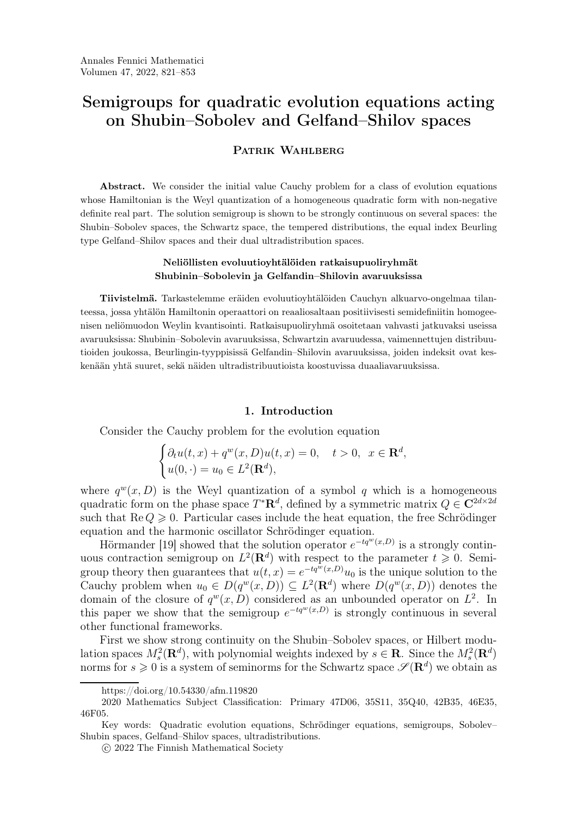# PATRIK WAHLBERG

Abstract. We consider the initial value Cauchy problem for a class of evolution equations whose Hamiltonian is the Weyl quantization of a homogeneous quadratic form with non-negative definite real part. The solution semigroup is shown to be strongly continuous on several spaces: the Shubin–Sobolev spaces, the Schwartz space, the tempered distributions, the equal index Beurling type Gelfand–Shilov spaces and their dual ultradistribution spaces.

### Neliöllisten evoluutioyhtälöiden ratkaisupuoliryhmät Shubinin–Sobolevin ja Gelfandin–Shilovin avaruuksissa

Tiivistelmä. Tarkastelemme eräiden evoluutioyhtälöiden Cauchyn alkuarvo-ongelmaa tilanteessa, jossa yhtälön Hamiltonin operaattori on reaaliosaltaan positiivisesti semidefiniitin homogeenisen neliömuodon Weylin kvantisointi. Ratkaisupuoliryhmä osoitetaan vahvasti jatkuvaksi useissa avaruuksissa: Shubinin–Sobolevin avaruuksissa, Schwartzin avaruudessa, vaimennettujen distribuutioiden joukossa, Beurlingin-tyyppisissä Gelfandin–Shilovin avaruuksissa, joiden indeksit ovat kesken[ä](#page-0-0)[ä](#page-0-1)[n](#page-0-2) yhtä suuret, sekä näiden ultradistribuutioista koostuvissa duaaliavaruuksissa.

### 1. Introduction

Consider the Cauchy problem for the evolution equation

$$
\begin{cases} \partial_t u(t,x) + q^w(x,D)u(t,x) = 0, & t > 0, \ x \in \mathbf{R}^d, \\ u(0, \cdot) = u_0 \in L^2(\mathbf{R}^d), \end{cases}
$$

where  $q^w(x, D)$  is the Weyl quantization of a symbol q which is a homogeneous quadratic form on the phase space  $T^* \mathbf{R}^d$ , defined by a symmetric matrix  $Q \in \mathbf{C}^{2d \times 2d}$ such that  $\text{Re } Q \geq 0$ . Particular cases include the heat equation, the free Schrödinger equation and the harmonic oscillator Schrödinger equation.

Hörmander [\[19\]](#page-31-0) showed that the solution operator  $e^{-tq^w(x,D)}$  is a strongly continuous contraction semigroup on  $L^2(\mathbf{R}^d)$  with respect to the parameter  $t \geq 0$ . Semigroup theory then guarantees that  $u(t, x) = e^{-tq^w(x,D)}u_0$  is the unique solution to the Cauchy problem when  $u_0 \in D(q^w(x, D)) \subseteq L^2(\mathbf{R}^d)$  where  $D(q^w(x, D))$  denotes the domain of the closure of  $q^w(x, D)$  considered as an unbounded operator on  $L^2$ . In this paper we show that the semigroup  $e^{-tq^w(x,D)}$  is strongly continuous in several other functional frameworks.

First we show strong continuity on the Shubin–Sobolev spaces, or Hilbert modulation spaces  $M_s^2(\mathbf{R}^d)$ , with polynomial weights indexed by  $s \in \mathbf{R}$ . Since the  $M_s^2(\mathbf{R}^d)$ shows the space  $M_s(\mathbf{R})$ , with polynomial weights indexed by  $s \in \mathbf{R}$ . Since the  $M_s(\mathbf{R})$  porms for  $s \geqslant 0$  is a system of seminorms for the Schwartz space  $\mathscr{S}(\mathbf{R}^d)$  we obtain as

https://doi.org/10.54330/afm.119820

<span id="page-0-1"></span><span id="page-0-0"></span><sup>2020</sup> Mathematics Subject Classification: Primary 47D06, 35S11, 35Q40, 42B35, 46E35, 46F05.

<span id="page-0-2"></span>Key words: Quadratic evolution equations, Schrödinger equations, semigroups, Sobolev– Shubin spaces, Gelfand–Shilov spaces, ultradistributions.

<span id="page-0-3"></span>c 2022 The Finnish Mathematical Society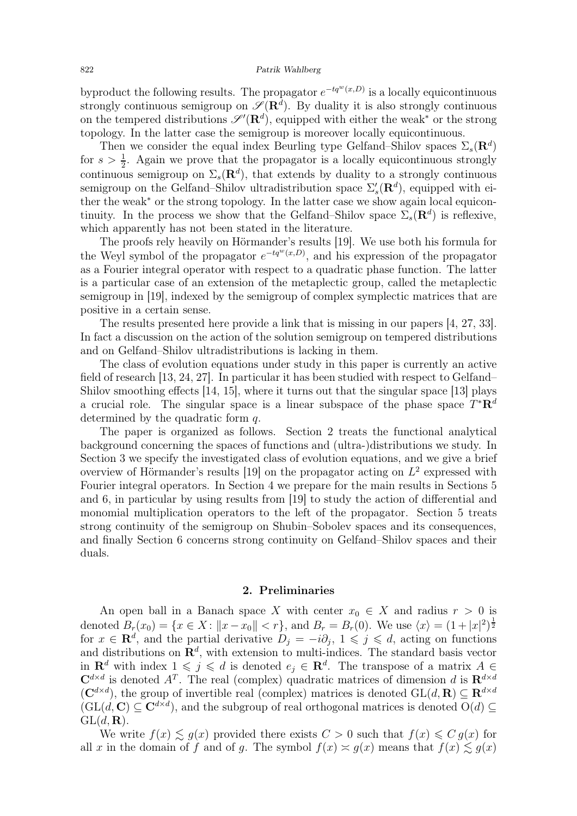by product the following results. The propagator  $e^{-tq^w(x,D)}$  is a locally equicontinuous strongly continuous semigroup on  $\mathscr{S}(\mathbb{R}^d)$ . By duality it is also strongly continuous on the tempered distributions  $\mathscr{S}'(\mathbf{R}^d)$ , equipped with either the weak<sup>\*</sup> or the strong topology. In the latter case the semigroup is moreover locally equicontinuous.

Then we consider the equal index Beurling type Gelfand–Shilov spaces  $\Sigma_s(\mathbf{R}^d)$ for  $s > \frac{1}{2}$ . Again we prove that the propagator is a locally equicontinuous strongly continuous semigroup on  $\Sigma_s(\mathbf{R}^d)$ , that extends by duality to a strongly continuous semigroup on the Gelfand–Shilov ultradistribution space  $\Sigma_s'(\mathbf{R}^d)$ , equipped with either the weak<sup>∗</sup> or the strong topology. In the latter case we show again local equicontinuity. In the process we show that the Gelfand–Shilov space  $\Sigma_s(\mathbf{R}^d)$  is reflexive, which apparently has not been stated in the literature.

The proofs rely heavily on Hörmander's results [\[19\]](#page-31-0). We use both his formula for the Weyl symbol of the propagator  $e^{-tq^w(x,D)}$ , and his expression of the propagator as a Fourier integral operator with respect to a quadratic phase function. The latter is a particular case of an extension of the metaplectic group, called the metaplectic semigroup in [\[19\]](#page-31-0), indexed by the semigroup of complex symplectic matrices that are positive in a certain sense.

The results presented here provide a link that is missing in our papers [\[4,](#page-30-0) [27,](#page-31-1) [33\]](#page-32-0). In fact a discussion on the action of the solution semigroup on tempered distributions and on Gelfand–Shilov ultradistributions is lacking in them.

The class of evolution equations under study in this paper is currently an active field of research [\[13,](#page-31-2) [24,](#page-31-3) [27\]](#page-31-1). In particular it has been studied with respect to Gelfand– Shilov smoothing effects [\[14,](#page-31-4) [15\]](#page-31-5), where it turns out that the singular space [\[13\]](#page-31-2) plays a crucial role. The singular space is a linear subspace of the phase space  $T^*\mathbf{R}^d$ determined by the quadratic form  $q$ .

The paper is organized as follows. Section [2](#page-1-0) treats the functional analytical background concerning the spaces of functions and (ultra-)distributions we study. In Section [3](#page-7-0) we specify the investigated class of evolution equations, and we give a brief overview of Hörmander's results  $[19]$  on the propagator acting on  $L^2$  expressed with Fourier integral operators. In Section [4](#page-8-0) we prepare for the main results in Sections [5](#page-12-0) and [6,](#page-16-0) in particular by using results from [\[19\]](#page-31-0) to study the action of differential and monomial multiplication operators to the left of the propagator. Section [5](#page-12-0) treats strong continuity of the semigroup on Shubin–Sobolev spaces and its consequences, and finally Section [6](#page-16-0) concerns strong continuity on Gelfand–Shilov spaces and their duals.

#### 2. Preliminaries

<span id="page-1-0"></span>An open ball in a Banach space X with center  $x_0 \in X$  and radius  $r > 0$  is denoted  $B_r(x_0) = \{x \in X : ||x - x_0|| < r\}$ , and  $B_r = B_r(0)$ . We use  $\langle x \rangle = (1 + |x|^2)^{\frac{1}{2}}$ for  $x \in \mathbf{R}^d$ , and the partial derivative  $D_j = -i\partial_j$ ,  $1 \leqslant j \leqslant d$ , acting on functions and distributions on  $\mathbb{R}^d$ , with extension to multi-indices. The standard basis vector in  $\mathbf{R}^d$  with index  $1 \leqslant j \leqslant d$  is denoted  $e_j \in \mathbf{R}^d$ . The transpose of a matrix  $A \in$  $\mathbf{C}^{d \times d}$  is denoted  $A^T$ . The real (complex) quadratic matrices of dimension d is  $\mathbf{R}^{d \times d}$  $(\mathbf{C}^{d\times d})$ , the group of invertible real (complex) matrices is denoted  $GL(d, \mathbf{R}) \subseteq \mathbf{R}^{d\times d}$  $(\mathrm{GL}(d, \mathbf{C}) \subseteq \mathbf{C}^{d \times d})$ , and the subgroup of real orthogonal matrices is denoted  $\mathrm{O}(d) \subseteq$  $GL(d, \mathbf{R}).$ 

We write  $f(x) \le g(x)$  provided there exists  $C > 0$  such that  $f(x) \le C g(x)$  for all x in the domain of f and of g. The symbol  $f(x) \simeq g(x)$  means that  $f(x) \lesssim g(x)$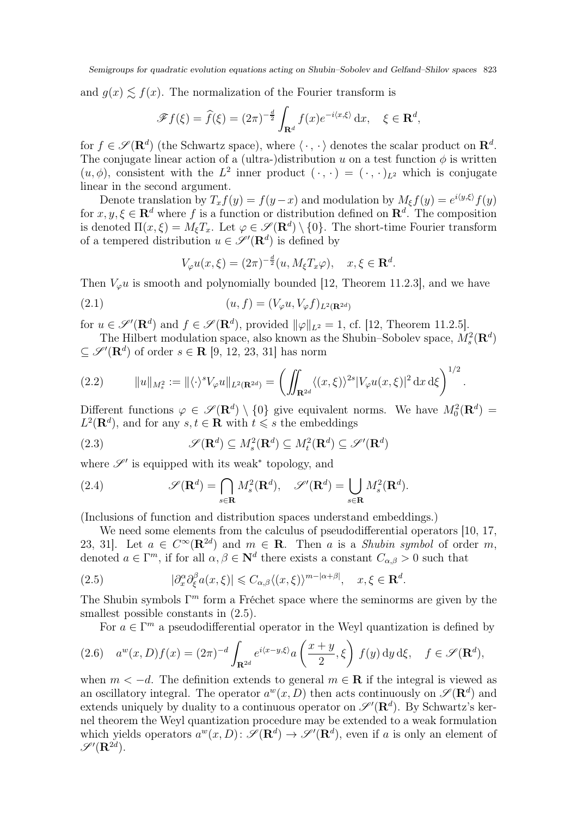and  $g(x) \leq f(x)$ . The normalization of the Fourier transform is

$$
\mathscr{F}f(\xi) = \widehat{f}(\xi) = (2\pi)^{-\frac{d}{2}} \int_{\mathbf{R}^d} f(x) e^{-i\langle x, \xi \rangle} dx, \quad \xi \in \mathbf{R}^d,
$$

for  $f \in \mathscr{S}(\mathbf{R}^d)$  (the Schwartz space), where  $\langle \cdot, \cdot \rangle$  denotes the scalar product on  $\mathbf{R}^d$ . The conjugate linear action of a (ultra-)distribution u on a test function  $\phi$  is written  $(u, \phi)$ , consistent with the  $L^2$  inner product  $(\cdot, \cdot) = (\cdot, \cdot)_{L^2}$  which is conjugate linear in the second argument.

Denote translation by  $T_x f(y) = f(y-x)$  and modulation by  $M_{\xi} f(y) = e^{i \langle y, \xi \rangle} f(y)$ for  $x, y, \xi \in \mathbf{R}^d$  where f is a function or distribution defined on  $\mathbf{R}^d$ . The composition is denoted  $\Pi(x,\xi) = M_{\xi}T_x$ . Let  $\varphi \in \mathscr{S}(\mathbf{R}^d) \setminus \{0\}$ . The short-time Fourier transform of a tempered distribution  $u \in \mathscr{S}'(\mathbf{R}^d)$  is defined by

<span id="page-2-1"></span>
$$
V_{\varphi}u(x,\xi) = (2\pi)^{-\frac{d}{2}}(u, M_{\xi}T_x\varphi), \quad x, \xi \in \mathbf{R}^d.
$$

Then  $V_{\varphi}u$  is smooth and polynomially bounded [\[12,](#page-31-6) Theorem 11.2.3], and we have

(2.1) 
$$
(u, f) = (V_{\varphi}u, V_{\varphi}f)_{L^{2}(\mathbf{R}^{2d})}
$$

for  $u \in \mathscr{S}'(\mathbf{R}^d)$  and  $f \in \mathscr{S}(\mathbf{R}^d)$ , provided  $\|\varphi\|_{L^2} = 1$ , cf. [\[12,](#page-31-6) Theorem 11.2.5].

The Hilbert modulation space, also known as the Shubin–Sobolev space,  $M_s^2(\mathbf{R}^d)$  $\subseteq \mathscr{S}'(\mathbf{R}^d)$  of order  $s \in \mathbf{R}$  [\[9,](#page-31-7) [12,](#page-31-6) [23,](#page-31-8) [31\]](#page-31-9) has norm

<span id="page-2-2"></span>(2.2) 
$$
||u||_{M_s^2} := ||\langle \cdot \rangle^s V_{\varphi} u||_{L^2(\mathbf{R}^{2d})} = \left( \iint_{\mathbf{R}^{2d}} \langle (x,\xi) \rangle^{2s} |V_{\varphi} u(x,\xi)|^2 dx d\xi \right)^{1/2}.
$$

Different functions  $\varphi \in \mathscr{S}(\mathbf{R}^d) \setminus \{0\}$  give equivalent norms. We have  $M_0^2(\mathbf{R}^d) =$  $L^2(\mathbf{R}^d)$ , and for any  $s, t \in \mathbf{R}$  with  $t \leq s$  the embeddings

<span id="page-2-3"></span>(2.3) 
$$
\mathscr{S}(\mathbf{R}^d) \subseteq M_s^2(\mathbf{R}^d) \subseteq M_t^2(\mathbf{R}^d) \subseteq \mathscr{S}'(\mathbf{R}^d)
$$

where  $\mathscr{S}'$  is equipped with its weak<sup>\*</sup> topology, and

<span id="page-2-4"></span>(2.4) 
$$
\mathscr{S}(\mathbf{R}^d) = \bigcap_{s \in \mathbf{R}} M_s^2(\mathbf{R}^d), \quad \mathscr{S}'(\mathbf{R}^d) = \bigcup_{s \in \mathbf{R}} M_s^2(\mathbf{R}^d).
$$

(Inclusions of function and distribution spaces understand embeddings.)

We need some elements from the calculus of pseudodifferential operators [\[10,](#page-31-10) [17,](#page-31-11) [23,](#page-31-8) 31. Let  $a \in C^{\infty}(\mathbf{R}^{2d})$  and  $m \in \mathbf{R}$ . Then a is a *Shubin symbol* of order m, denoted  $a \in \Gamma^m$ , if for all  $\alpha, \beta \in \mathbb{N}^d$  there exists a constant  $C_{\alpha,\beta} > 0$  such that

(2.5) 
$$
|\partial_x^{\alpha} \partial_{\xi}^{\beta} a(x,\xi)| \leq C_{\alpha,\beta} \langle (x,\xi) \rangle^{m-|\alpha+\beta|}, \quad x,\xi \in \mathbf{R}^d.
$$

The Shubin symbols  $\Gamma^m$  form a Fréchet space where the seminorms are given by the smallest possible constants in  $(2.5)$ .

<span id="page-2-5"></span><span id="page-2-0"></span>For  $a \in \Gamma^m$  a pseudodifferential operator in the Weyl quantization is defined by

$$
(2.6) \quad a^w(x,D)f(x) = (2\pi)^{-d} \int_{\mathbf{R}^{2d}} e^{i\langle x-y,\xi\rangle} a\left(\frac{x+y}{2},\xi\right) f(y) \,dy \,d\xi, \quad f \in \mathscr{S}(\mathbf{R}^d),
$$

when  $m < -d$ . The definition extends to general  $m \in \mathbb{R}$  if the integral is viewed as an oscillatory integral. The operator  $a^w(x, D)$  then acts continuously on  $\mathscr{S}(\mathbf{R}^d)$  and extends uniquely by duality to a continuous operator on  $\mathscr{S}'(\mathbf{R}^d)$ . By Schwartz's kernel theorem the Weyl quantization procedure may be extended to a weak formulation which yields operators  $a^w(x, D)$ :  $\mathscr{S}(\mathbf{R}^d) \to \mathscr{S}'(\mathbf{R}^d)$ , even if a is only an element of  $\mathscr{S}'(\mathbf{R}^{2d}).$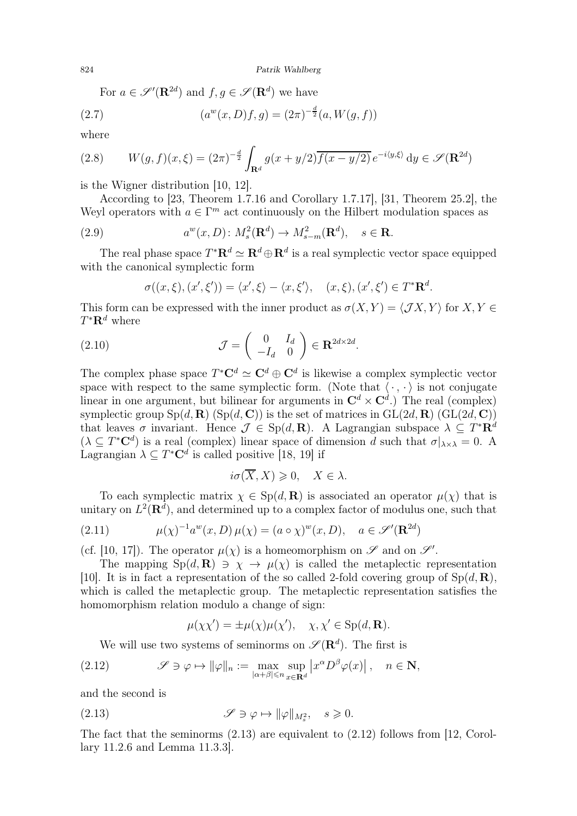<span id="page-3-3"></span>For  $a \in \mathscr{S}'(\mathbf{R}^{2d})$  and  $f, g \in \mathscr{S}(\mathbf{R}^{d})$  we have

(2.7) 
$$
(a^{w}(x, D)f, g) = (2\pi)^{-\frac{d}{2}}(a, W(g, f))
$$

where

<span id="page-3-2"></span>(2.8) 
$$
W(g, f)(x, \xi) = (2\pi)^{-\frac{d}{2}} \int_{\mathbf{R}^d} g(x + y/2) \overline{f(x - y/2)} e^{-i\langle y, \xi \rangle} dy \in \mathcal{S}(\mathbf{R}^{2d})
$$

is the Wigner distribution [\[10,](#page-31-10) [12\]](#page-31-6).

According to [\[23,](#page-31-8) Theorem 1.7.16 and Corollary 1.7.17], [\[31,](#page-31-9) Theorem 25.2], the Weyl operators with  $a \in \Gamma^m$  act continuously on the Hilbert modulation spaces as

(2.9) 
$$
a^{w}(x, D) \colon M_s^2(\mathbf{R}^d) \to M_{s-m}^2(\mathbf{R}^d), \quad s \in \mathbf{R}.
$$

The real phase space  $T^* \mathbf{R}^d \simeq \mathbf{R}^d \oplus \mathbf{R}^d$  is a real symplectic vector space equipped with the canonical symplectic form

<span id="page-3-5"></span><span id="page-3-4"></span>
$$
\sigma((x,\xi),(x',\xi')) = \langle x',\xi\rangle - \langle x,\xi'\rangle, \quad (x,\xi),(x',\xi') \in T^*\mathbf{R}^d.
$$

This form can be expressed with the inner product as  $\sigma(X, Y) = \langle \mathcal{J}X, Y \rangle$  for  $X, Y \in$  $T^* \mathbf{R}^d$  where

(2.10) 
$$
\mathcal{J} = \begin{pmatrix} 0 & I_d \\ -I_d & 0 \end{pmatrix} \in \mathbf{R}^{2d \times 2d}.
$$

The complex phase space  $T^*{\bf C}^d \simeq {\bf C}^d \oplus {\bf C}^d$  is likewise a complex symplectic vector space with respect to the same symplectic form. (Note that  $\langle \cdot, \cdot \rangle$  is not conjugate linear in one argument, but bilinear for arguments in  $\mathbb{C}^d \times \mathbb{C}^d$ .) The real (complex) symplectic group  $Sp(d, \mathbf{R})$  ( $Sp(d, \mathbf{C})$ ) is the set of matrices in  $GL(2d, \mathbf{R})$  ( $GL(2d, \mathbf{C})$ ) that leaves  $\sigma$  invariant. Hence  $\mathcal{J} \in Sp(d,\mathbf{R})$ . A Lagrangian subspace  $\lambda \subseteq T^*\mathbf{R}^d$  $(\lambda \subseteq T^*\mathbb{C}^d)$  is a real (complex) linear space of dimension d such that  $\sigma|_{\lambda \times \lambda} = 0$ . A Lagrangian  $\lambda \subseteq T^*{\bf C}^d$  is called positive [\[18,](#page-31-12) [19\]](#page-31-0) if

$$
i\sigma(\overline{X},X) \geq 0, \quad X \in \lambda.
$$

To each symplectic matrix  $\chi \in Sp(d, \mathbf{R})$  is associated an operator  $\mu(\chi)$  that is unitary on  $L^2(\mathbf{R}^d)$ , and determined up to a complex factor of modulus one, such that

(2.11) 
$$
\mu(\chi)^{-1} a^w(x, D) \mu(\chi) = (a \circ \chi)^w(x, D), \quad a \in \mathscr{S}'(\mathbf{R}^{2d})
$$

(cf. [\[10,](#page-31-10) [17\]](#page-31-11)). The operator  $\mu(\chi)$  is a homeomorphism on  $\mathscr S$  and on  $\mathscr S'$ .

The mapping  $Sp(d, \mathbf{R}) \ni \chi \to \mu(\chi)$  is called the metaplectic representation [\[10\]](#page-31-10). It is in fact a representation of the so called 2-fold covering group of  $Sp(d, R)$ , which is called the metaplectic group. The metaplectic representation satisfies the homomorphism relation modulo a change of sign:

<span id="page-3-1"></span><span id="page-3-0"></span>
$$
\mu(\chi\chi') = \pm \mu(\chi)\mu(\chi'), \quad \chi, \chi' \in Sp(d, \mathbf{R}).
$$

We will use two systems of seminorms on  $\mathscr{S}(\mathbf{R}^d)$ . The first is

(2.12) 
$$
\mathscr{S} \ni \varphi \mapsto \|\varphi\|_{n} := \max_{|\alpha + \beta| \leq n} \sup_{x \in \mathbf{R}^d} \left| x^{\alpha} D^{\beta} \varphi(x) \right|, \quad n \in \mathbf{N},
$$

and the second is

(2.13) 
$$
\mathscr{S} \ni \varphi \mapsto \|\varphi\|_{M_s^2}, \quad s \geqslant 0.
$$

The fact that the seminorms  $(2.13)$  are equivalent to  $(2.12)$  follows from [\[12,](#page-31-6) Corollary 11.2.6 and Lemma 11.3.3].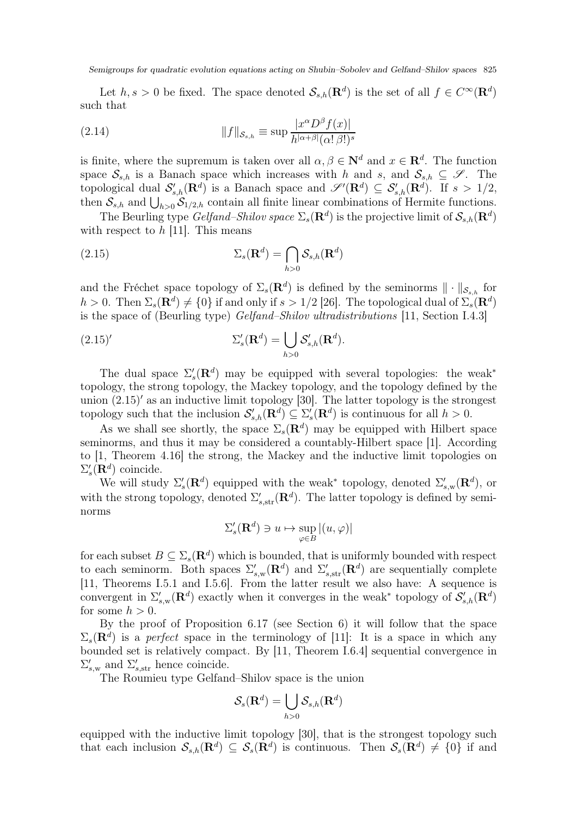Let  $h, s > 0$  be fixed. The space denoted  $\mathcal{S}_{s,h}(\mathbf{R}^d)$  is the set of all  $f \in C^{\infty}(\mathbf{R}^d)$ such that

<span id="page-4-1"></span>(2.14) 
$$
||f||_{\mathcal{S}_{s,h}} \equiv \sup \frac{|x^{\alpha}D^{\beta}f(x)|}{h^{|\alpha+\beta|}(\alpha!\,\beta!)^s}
$$

is finite, where the supremum is taken over all  $\alpha, \beta \in \mathbb{N}^d$  and  $x \in \mathbb{R}^d$ . The function space  $S_{s,h}$  is a Banach space which increases with h and s, and  $S_{s,h} \subseteq \mathscr{S}$ . The topological dual  $\mathcal{S}'_{s,h}(\mathbf{R}^d)$  is a Banach space and  $\mathscr{S}'(\mathbf{R}^d) \subseteq \mathcal{S}'_{s,h}(\mathbf{R}^d)$ . If  $s > 1/2$ , then  $S_{s,h}$  and  $\bigcup_{h>0} S_{1/2,h}$  contain all finite linear combinations of Hermite functions.

The Beurling type  $\text{Gelfand}-\text{Shilov space }\Sigma_s(\mathbf{R}^d)$  is the projective limit of  $\mathcal{S}_{s,h}(\mathbf{R}^d)$ with respect to  $h$  [\[11\]](#page-31-13). This means

<span id="page-4-0"></span>(2.15) 
$$
\Sigma_s(\mathbf{R}^d) = \bigcap_{h>0} \mathcal{S}_{s,h}(\mathbf{R}^d)
$$

and the Fréchet space topology of  $\Sigma_s(\mathbf{R}^d)$  is defined by the seminorms  $\|\cdot\|_{\mathcal{S}_{s,h}}$  for  $h > 0$ . Then  $\Sigma_s(\mathbf{R}^d) \neq \{0\}$  if and only if  $s > 1/2$  [\[26\]](#page-31-14). The topological dual of  $\Sigma_s(\mathbf{R}^d)$ is the space of (Beurling type) Gelfand–Shilov ultradistributions [\[11,](#page-31-13) Section I.4.3]

(2.15)' 
$$
\Sigma_s'(\mathbf{R}^d) = \bigcup_{h>0} \mathcal{S}_{s,h}'(\mathbf{R}^d).
$$

The dual space  $\Sigma_s'(\mathbf{R}^d)$  may be equipped with several topologies: the weak<sup>\*</sup> topology, the strong topology, the Mackey topology, and the topology defined by the union  $(2.15)'$  $(2.15)'$  as an inductive limit topology [\[30\]](#page-31-15). The latter topology is the strongest topology such that the inclusion  $\mathcal{S}'_{s,h}(\mathbf{R}^d) \subseteq \Sigma'_{s}(\mathbf{R}^d)$  is continuous for all  $h > 0$ .

As we shall see shortly, the space  $\Sigma_s(\mathbf{R}^d)$  may be equipped with Hilbert space seminorms, and thus it may be considered a countably-Hilbert space [\[1\]](#page-30-1). According to [\[1,](#page-30-1) Theorem 4.16] the strong, the Mackey and the inductive limit topologies on  $\Sigma'_s(\mathbf{R}^d)$  coincide.

We will study  $\Sigma_s'(\mathbf{R}^d)$  equipped with the weak<sup>\*</sup> topology, denoted  $\Sigma_{s,w}'(\mathbf{R}^d)$ , or with the strong topology, denoted  $\Sigma'_{s,\text{str}}(\mathbf{R}^d)$ . The latter topology is defined by seminorms

$$
\Sigma_s'(\mathbf{R}^d) \ni u \mapsto \sup_{\varphi \in B} |(u, \varphi)|
$$

for each subset  $B \subseteq \Sigma_s(\mathbf{R}^d)$  which is bounded, that is uniformly bounded with respect to each seminorm. Both spaces  $\Sigma_{s,w}'(\mathbf{R}^d)$  and  $\Sigma_{s,\text{str}}'(\mathbf{R}^d)$  are sequentially complete [\[11,](#page-31-13) Theorems I.5.1 and I.5.6]. From the latter result we also have: A sequence is convergent in  $\Sigma'_{s,w}(\mathbf{R}^d)$  exactly when it converges in the weak<sup>\*</sup> topology of  $\mathcal{S}'_{s,h}(\mathbf{R}^d)$ for some  $h > 0$ .

By the proof of Proposition [6.17](#page-28-0) (see Section [6\)](#page-16-0) it will follow that the space  $\Sigma_s(\mathbf{R}^d)$  is a perfect space in the terminology of [\[11\]](#page-31-13): It is a space in which any bounded set is relatively compact. By [\[11,](#page-31-13) Theorem I.6.4] sequential convergence in  $\Sigma'_{s,w}$  and  $\Sigma'_{s,\text{str}}$  hence coincide.

The Roumieu type Gelfand–Shilov space is the union

$$
\mathcal{S}_s(\mathbf{R}^d)=\bigcup_{h>0}\mathcal{S}_{s,h}(\mathbf{R}^d)
$$

equipped with the inductive limit topology [\[30\]](#page-31-15), that is the strongest topology such that each inclusion  $\mathcal{S}_{s,h}(\mathbf{R}^d) \subseteq \mathcal{S}_s(\mathbf{R}^d)$  is continuous. Then  $\mathcal{S}_s(\mathbf{R}^d) \neq \{0\}$  if and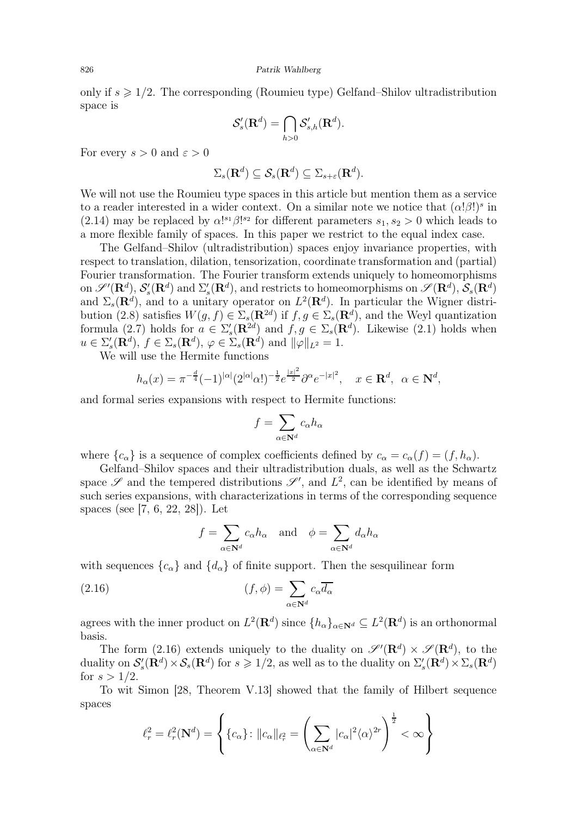only if  $s \geq 1/2$ . The corresponding (Roumieu type) Gelfand–Shilov ultradistribution space is

$$
\mathcal{S}'_s(\mathbf{R}^d) = \bigcap_{h>0} \mathcal{S}'_{s,h}(\mathbf{R}^d).
$$

For every  $s > 0$  and  $\varepsilon > 0$ 

$$
\Sigma_s(\mathbf{R}^d) \subseteq \mathcal{S}_s(\mathbf{R}^d) \subseteq \Sigma_{s+\varepsilon}(\mathbf{R}^d).
$$

We will not use the Roumieu type spaces in this article but mention them as a service to a reader interested in a wider context. On a similar note we notice that  $(\alpha! \beta!)^s$  in [\(2.14\)](#page-4-1) may be replaced by  $\alpha!^{s_1}\beta!^{s_2}$  for different parameters  $s_1, s_2 > 0$  which leads to a more flexible family of spaces. In this paper we restrict to the equal index case.

The Gelfand–Shilov (ultradistribution) spaces enjoy invariance properties, with respect to translation, dilation, tensorization, coordinate transformation and (partial) Fourier transformation. The Fourier transform extends uniquely to homeomorphisms on  $\mathscr{S}'(\mathbf{R}^d)$ ,  $\mathcal{S}'_s(\mathbf{R}^d)$  and  $\Sigma'_s(\mathbf{R}^d)$ , and restricts to homeomorphisms on  $\mathscr{S}(\mathbf{R}^d)$ ,  $\mathcal{S}_s(\mathbf{R}^d)$ and  $\Sigma_s(\mathbf{R}^d)$ , and to a unitary operator on  $L^2(\mathbf{R}^d)$ . In particular the Wigner distri-bution [\(2.8\)](#page-3-2) satisfies  $W(g, f) \in \Sigma_s(\mathbf{R}^{2d})$  if  $f, g \in \Sigma_s(\mathbf{R}^d)$ , and the Weyl quantization formula [\(2.7\)](#page-3-3) holds for  $a \in \Sigma_s'(\mathbf{R}^{2d})$  and  $f, g \in \Sigma_s(\mathbf{R}^d)$ . Likewise [\(2.1\)](#page-2-1) holds when  $u \in \Sigma_s'(\mathbf{R}^d), f \in \Sigma_s(\mathbf{R}^d), \varphi \in \Sigma_s(\mathbf{R}^d)$  and  $\|\varphi\|_{L^2} = 1$ .

We will use the Hermite functions

$$
h_{\alpha}(x) = \pi^{-\frac{d}{4}} (-1)^{|\alpha|} (2^{|\alpha|} \alpha!)^{-\frac{1}{2}} e^{\frac{|x|^2}{2}} \partial^{\alpha} e^{-|x|^2}, \quad x \in \mathbf{R}^d, \ \alpha \in \mathbf{N}^d,
$$

and formal series expansions with respect to Hermite functions:

$$
f=\sum_{\alpha\in{\mathbf N}^d}c_\alpha h_\alpha
$$

where  ${c_{\alpha}}$  is a sequence of complex coefficients defined by  $c_{\alpha} = c_{\alpha}(f) = (f, h_{\alpha})$ .

Gelfand–Shilov spaces and their ultradistribution duals, as well as the Schwartz space  $\mathscr S$  and the tempered distributions  $\mathscr S'$ , and  $L^2$ , can be identified by means of such series expansions, with characterizations in terms of the corresponding sequence spaces (see [\[7,](#page-30-2) [6,](#page-30-3) [22,](#page-31-16) [28\]](#page-31-17)). Let

<span id="page-5-0"></span>
$$
f = \sum_{\alpha \in \mathbb{N}^d} c_{\alpha} h_{\alpha}
$$
 and  $\phi = \sum_{\alpha \in \mathbb{N}^d} d_{\alpha} h_{\alpha}$ 

with sequences  ${c_{\alpha}}$  and  ${d_{\alpha}}$  of finite support. Then the sesquilinear form

(2.16) 
$$
(f, \phi) = \sum_{\alpha \in \mathbb{N}^d} c_{\alpha} \overline{d_{\alpha}}
$$

agrees with the inner product on  $L^2(\mathbf{R}^d)$  since  $\{h_\alpha\}_{\alpha \in \mathbf{N}^d} \subseteq L^2(\mathbf{R}^d)$  is an orthonormal basis.

The form [\(2.16\)](#page-5-0) extends uniquely to the duality on  $\mathscr{S}'(\mathbf{R}^d) \times \mathscr{S}(\mathbf{R}^d)$ , to the duality on  $\mathcal{S}'_s(\mathbf{R}^d) \times \mathcal{S}_s(\mathbf{R}^d)$  for  $s \geqslant 1/2$ , as well as to the duality on  $\Sigma'_s(\mathbf{R}^d) \times \Sigma_s(\mathbf{R}^d)$ for  $s > 1/2$ .

To wit Simon [\[28,](#page-31-17) Theorem V.13] showed that the family of Hilbert sequence spaces

$$
\ell_r^2 = \ell_r^2(\mathbf{N}^d) = \left\{ \{c_\alpha\} \colon \|c_\alpha\|_{\ell_r^2} = \left(\sum_{\alpha \in \mathbf{N}^d} |c_\alpha|^2 \langle \alpha \rangle^{2r}\right)^{\frac{1}{2}} < \infty \right\}
$$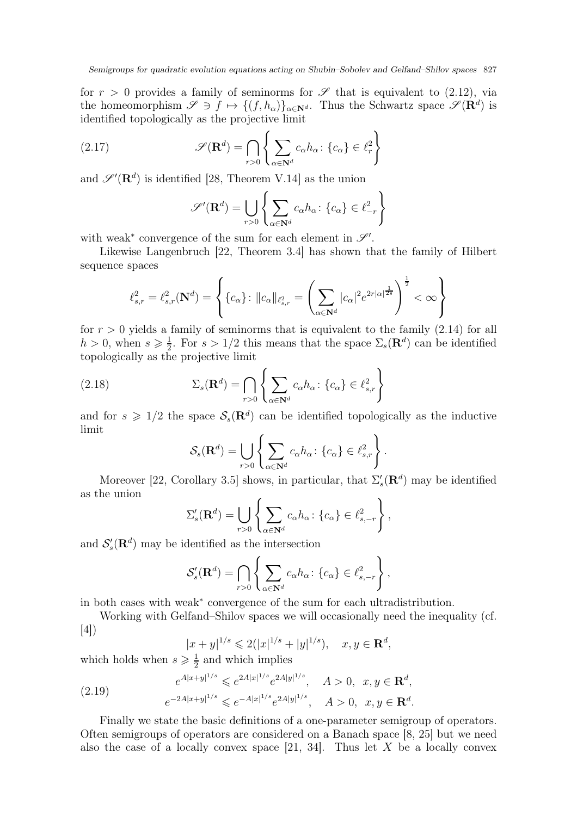for  $r > 0$  provides a family of seminorms for  $\mathscr S$  that is equivalent to [\(2.12\)](#page-3-1), via the homeomorphism  $\mathscr{S} \ni f \mapsto \{(f, h_{\alpha})\}_{\alpha \in \mathbb{N}^d}$ . Thus the Schwartz space  $\mathscr{S}(\mathbf{R}^d)$  is identified topologically as the projective limit

(2.17) 
$$
\mathscr{S}(\mathbf{R}^d) = \bigcap_{r>0} \left\{ \sum_{\alpha \in \mathbf{N}^d} c_{\alpha} h_{\alpha} \colon \{c_{\alpha}\} \in \ell_r^2 \right\}
$$

and  $\mathscr{S}'(\mathbf{R}^d)$  is identified [\[28,](#page-31-17) Theorem V.14] as the union

<span id="page-6-0"></span>
$$
\mathscr{S}'(\mathbf{R}^d) = \bigcup_{r>0} \left\{ \sum_{\alpha \in \mathbf{N}^d} c_{\alpha} h_{\alpha} \colon \{c_{\alpha}\} \in \ell_{-r}^2 \right\}
$$

with weak<sup>\*</sup> convergence of the sum for each element in  $\mathscr{S}'$ .

Likewise Langenbruch [\[22,](#page-31-16) Theorem 3.4] has shown that the family of Hilbert sequence spaces

$$
\ell_{s,r}^2 = \ell_{s,r}^2(\mathbf{N}^d) = \left\{ \{c_\alpha\} \colon \|c_\alpha\|_{\ell_{s,r}^2} = \left(\sum_{\alpha \in \mathbf{N}^d} |c_\alpha|^2 e^{2r|\alpha|^{\frac{1}{2s}}}\right)^{\frac{1}{2}} < \infty \right\}
$$

for  $r > 0$  yields a family of seminorms that is equivalent to the family  $(2.14)$  for all  $h > 0$ , when  $s \geqslant \frac{1}{2}$  $\frac{1}{2}$ . For  $s > 1/2$  this means that the space  $\Sigma_s(\mathbf{R}^d)$  can be identified topologically as the projective limit

(2.18) 
$$
\Sigma_s(\mathbf{R}^d) = \bigcap_{r>0} \left\{ \sum_{\alpha \in \mathbf{N}^d} c_{\alpha} h_{\alpha} \colon \{c_{\alpha}\} \in \ell^2_{s,r} \right\}
$$

and for  $s \geq 1/2$  the space  $\mathcal{S}_s(\mathbf{R}^d)$  can be identified topologically as the inductive limit

$$
\mathcal{S}_s(\mathbf{R}^d) = \bigcup_{r>0} \left\{ \sum_{\alpha \in \mathbf{N}^d} c_{\alpha} h_{\alpha} \colon \{c_{\alpha}\} \in \ell^2_{s,r} \right\}.
$$

Moreover [\[22,](#page-31-16) Corollary 3.5] shows, in particular, that  $\Sigma_s'(\mathbf{R}^d)$  may be identified as the union

$$
\Sigma_s'(\mathbf{R}^d) = \bigcup_{r>0} \left\{ \sum_{\alpha \in \mathbf{N}^d} c_{\alpha} h_{\alpha} \colon \{c_{\alpha}\} \in \ell^2_{s,-r} \right\},\,
$$

and  $\mathcal{S}'_s(\mathbf{R}^d)$  may be identified as the intersection

$$
\mathcal{S}'_s(\mathbf{R}^d) = \bigcap_{r>0} \left\{ \sum_{\alpha \in \mathbf{N}^d} c_{\alpha} h_{\alpha} \colon \{c_{\alpha}\} \in \ell^2_{s,-r} \right\},\,
$$

in both cases with weak<sup>∗</sup> convergence of the sum for each ultradistribution.

Working with Gelfand–Shilov spaces we will occasionally need the inequality (cf. [\[4\]](#page-30-0))

$$
|x+y|^{1/s} \leq 2(|x|^{1/s} + |y|^{1/s}), \quad x, y \in \mathbf{R}^d,
$$

which holds when  $s \geqslant \frac{1}{2}$  $\frac{1}{2}$  and which implies

<span id="page-6-1"></span>(2.19) 
$$
e^{A|x+y|^{1/s}} \leq e^{2A|x|^{1/s}} e^{2A|y|^{1/s}}, \quad A > 0, \ x, y \in \mathbf{R}^d,
$$

$$
e^{-2A|x+y|^{1/s}} \leq e^{-A|x|^{1/s}} e^{2A|y|^{1/s}}, \quad A > 0, \ x, y \in \mathbf{R}^d.
$$

Finally we state the basic definitions of a one-parameter semigroup of operators. Often semigroups of operators are considered on a Banach space [\[8,](#page-31-18) [25\]](#page-31-19) but we need also the case of a locally convex space [\[21,](#page-31-20) [34\]](#page-32-1). Thus let X be a locally convex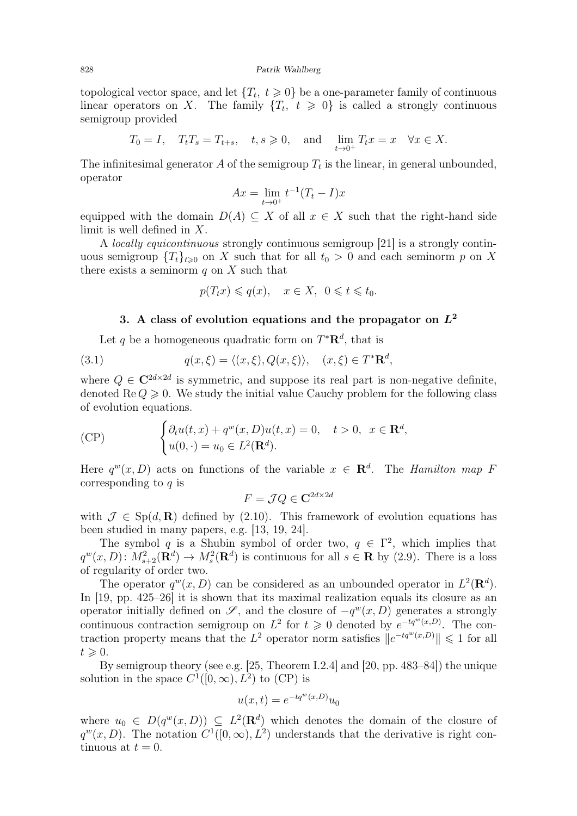topological vector space, and let  $\{T_t, t \geq 0\}$  be a one-parameter family of continuous linear operators on X. The family  $\{T_t, t \geq 0\}$  is called a strongly continuous semigroup provided

$$
T_0 = I
$$
,  $T_t T_s = T_{t+s}$ ,  $t, s \ge 0$ , and  $\lim_{t \to 0^+} T_t x = x \quad \forall x \in X$ .

The infinitesimal generator A of the semigroup  $T_t$  is the linear, in general unbounded, operator

$$
Ax = \lim_{t \to 0^+} t^{-1} (T_t - I)x
$$

equipped with the domain  $D(A) \subseteq X$  of all  $x \in X$  such that the right-hand side limit is well defined in X.

A locally equicontinuous strongly continuous semigroup [\[21\]](#page-31-20) is a strongly continuous semigroup  $\{T_t\}_{t>0}$  on X such that for all  $t_0 > 0$  and each seminorm p on X there exists a seminorm  $q$  on  $X$  such that

<span id="page-7-2"></span>
$$
p(T_t x) \leqslant q(x), \quad x \in X, \ \ 0 \leqslant t \leqslant t_0.
$$

# 3. A class of evolution equations and the propagator on  $L^2$

<span id="page-7-0"></span>Let q be a homogeneous quadratic form on  $T^* \mathbf{R}^d$ , that is

(3.1) 
$$
q(x,\xi) = \langle (x,\xi), Q(x,\xi) \rangle, \quad (x,\xi) \in T^* \mathbf{R}^d,
$$

where  $Q \in \mathbb{C}^{2d \times 2d}$  is symmetric, and suppose its real part is non-negative definite, denoted  $\text{Re } Q \geq 0$ . We study the initial value Cauchy problem for the following class of evolution equations.

<span id="page-7-1"></span>(CP) 
$$
\begin{cases} \partial_t u(t,x) + q^w(x,D)u(t,x) = 0, & t > 0, \ x \in \mathbb{R}^d, \\ u(0, \cdot) = u_0 \in L^2(\mathbb{R}^d). \end{cases}
$$

Here  $q^w(x, D)$  acts on functions of the variable  $x \in \mathbb{R}^d$ . The *Hamilton map* F corresponding to  $q$  is

$$
F = \mathcal{J} Q \in \mathbf{C}^{2d \times 2d}
$$

with  $\mathcal{J} \in Sp(d, \mathbf{R})$  defined by [\(2.10\)](#page-3-4). This framework of evolution equations has been studied in many papers, e.g. [\[13,](#page-31-2) [19,](#page-31-0) [24\]](#page-31-3).

The symbol q is a Shubin symbol of order two,  $q \in \Gamma^2$ , which implies that  $q^w(x,D)$ :  $M_{s+2}^2(\mathbf{R}^d) \to M_s^2(\mathbf{R}^d)$  is continuous for all  $s \in \mathbf{R}$  by [\(2.9\)](#page-3-5). There is a loss of regularity of order two.

The operator  $q^w(x, D)$  can be considered as an unbounded operator in  $L^2(\mathbf{R}^d)$ . In [\[19,](#page-31-0) pp. 425–26] it is shown that its maximal realization equals its closure as an operator initially defined on  $\mathscr{S}$ , and the closure of  $-q^w(x,D)$  generates a strongly continuous contraction semigroup on  $L^2$  for  $t \geq 0$  denoted by  $e^{-tq^w(x,D)}$ . The contraction property means that the  $L^2$  operator norm satisfies  $||e^{-tq^w(x,D)}|| \leq 1$  for all  $t \geqslant 0.$ 

By semigroup theory (see e.g. [\[25,](#page-31-19) Theorem I.2.4] and [\[20,](#page-31-21) pp. 483–84]) the unique solution in the space  $C^1([0,\infty), L^2)$  to [\(CP\)](#page-7-1) is

$$
u(x,t) = e^{-tq^w(x,D)}u_0
$$

where  $u_0 \in D(q^w(x,D)) \subseteq L^2(\mathbf{R}^d)$  which denotes the domain of the closure of  $q^w(x,D)$ . The notation  $C^1([0,\infty), L^2)$  understands that the derivative is right continuous at  $t = 0$ .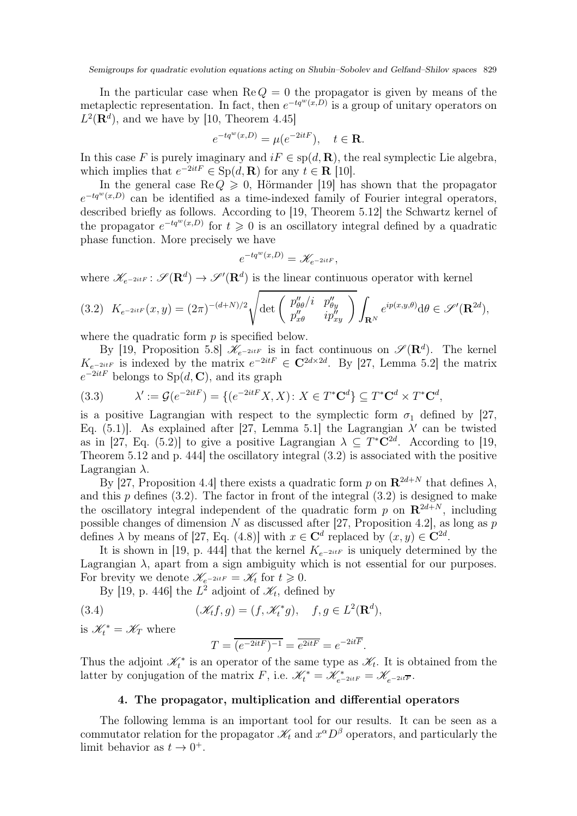In the particular case when  $\text{Re} Q = 0$  the propagator is given by means of the metaplectic representation. In fact, then  $e^{-tq^w(x,D)}$  is a group of unitary operators on  $L^2(\mathbf{R}^d)$ , and we have by [\[10,](#page-31-10) Theorem 4.45]

$$
e^{-tq^w(x,D)} = \mu(e^{-2itF}), \quad t \in \mathbf{R}.
$$

In this case F is purely imaginary and  $iF \in sp(d, \mathbf{R})$ , the real symplectic Lie algebra, which implies that  $e^{-2itF} \in Sp(d, \mathbf{R})$  for any  $t \in \mathbf{R}$  [\[10\]](#page-31-10).

In the general case  $\text{Re } Q \geq 0$ , Hörmander [\[19\]](#page-31-0) has shown that the propagator  $e^{-tq^w(x,D)}$  can be identified as a time-indexed family of Fourier integral operators, described briefly as follows. According to [\[19,](#page-31-0) Theorem 5.12] the Schwartz kernel of the propagator  $e^{-tq^w(x,D)}$  for  $t \geq 0$  is an oscillatory integral defined by a quadratic phase function. More precisely we have

$$
e^{-tq^w(x,D)} = \mathcal{K}_{e^{-2itF}},
$$

where  $\mathscr{K}_{e^{-2itF}}: \mathscr{S}(\mathbf{R}^d) \to \mathscr{S}'(\mathbf{R}^d)$  is the linear continuous operator with kernel

<span id="page-8-1"></span>
$$
(3.2) \quad K_{e^{-2itF}}(x,y) = (2\pi)^{-(d+N)/2} \sqrt{\det \begin{pmatrix} p''_{\theta\theta}/i & p''_{\theta y} \\ p''_{x\theta} & ip''_{xy} \end{pmatrix}} \int_{\mathbf{R}^N} e^{ip(x,y,\theta)} d\theta \in \mathscr{S}'(\mathbf{R}^{2d}),
$$

where the quadratic form  $p$  is specified below.

By [\[19,](#page-31-0) Proposition 5.8]  $\mathscr{K}_{e^{-2itF}}$  is in fact continuous on  $\mathscr{S}(\mathbf{R}^d)$ . The kernel  $K_{e^{-2itF}}$  is indexed by the matrix  $e^{-2itF} \in \mathbb{C}^{2d \times 2d}$ . By [\[27,](#page-31-1) Lemma 5.2] the matrix  $e^{-2itF}$  belongs to Sp $(d, C)$ , and its graph

(3.3) 
$$
\lambda' := \mathcal{G}(e^{-2itF}) = \{ (e^{-2itF}X, X) \colon X \in T^* \mathbf{C}^d \} \subseteq T^* \mathbf{C}^d \times T^* \mathbf{C}^d,
$$

is a positive Lagrangian with respect to the symplectic form  $\sigma_1$  defined by [\[27,](#page-31-1) Eq.  $(5.1)$ ]. As explained after [\[27,](#page-31-1) Lemma 5.1] the Lagrangian  $\lambda'$  can be twisted as in [\[27,](#page-31-1) Eq. (5.2)] to give a positive Lagrangian  $\lambda \subseteq T^*\tilde{\mathbf{C}}^{2d}$ . According to [\[19,](#page-31-0) Theorem 5.12 and p. 444] the oscillatory integral [\(3.2\)](#page-8-1) is associated with the positive Lagrangian  $\lambda$ .

By [\[27,](#page-31-1) Proposition 4.4] there exists a quadratic form p on  $\mathbb{R}^{2d+N}$  that defines  $\lambda$ . and this  $p$  defines [\(3.2\)](#page-8-1). The factor in front of the integral (3.2) is designed to make the oscillatory integral independent of the quadratic form p on  $\mathbb{R}^{2d+N}$ , including possible changes of dimension N as discussed after [\[27,](#page-31-1) Proposition 4.2], as long as  $p$ defines  $\lambda$  by means of [\[27,](#page-31-1) Eq. (4.8)] with  $x \in \mathbb{C}^d$  replaced by  $(x, y) \in \mathbb{C}^{2d}$ .

It is shown in [\[19,](#page-31-0) p. 444] that the kernel  $K_{e^{-2itF}}$  is uniquely determined by the Lagrangian  $\lambda$ , apart from a sign ambiguity which is not essential for our purposes. For brevity we denote  $\mathscr{K}_{e^{-2itF}} = \mathscr{K}_t$  for  $t \geq 0$ .

By [\[19,](#page-31-0) p. 446] the  $L^2$  adjoint of  $\mathscr{K}_t$ , defined by

(3.4) 
$$
(\mathcal{K}_t f, g) = (f, \mathcal{K}_t^* g), \quad f, g \in L^2(\mathbf{R}^d),
$$

is  $\mathscr{K}_t^* = \mathscr{K}_T$  where

<span id="page-8-2"></span>
$$
T = \overline{(e^{-2itF})^{-1}} = \overline{e^{2itF}} = e^{-2itF}.
$$

<span id="page-8-0"></span>Thus the adjoint  $\mathscr{K}_t^*$  is an operator of the same type as  $\mathscr{K}_t$ . It is obtained from the latter by conjugation of the matrix F, i.e.  $\mathscr{K}_t^* = \mathscr{K}_{e^{-2itF}}^* = \mathscr{K}_{e^{-2itF}}$ .

### 4. The propagator, multiplication and differential operators

The following lemma is an important tool for our results. It can be seen as a commutator relation for the propagator  $\mathscr{K}_t$  and  $x^{\alpha}D^{\beta}$  operators, and particularly the limit behavior as  $t \to 0^+$ .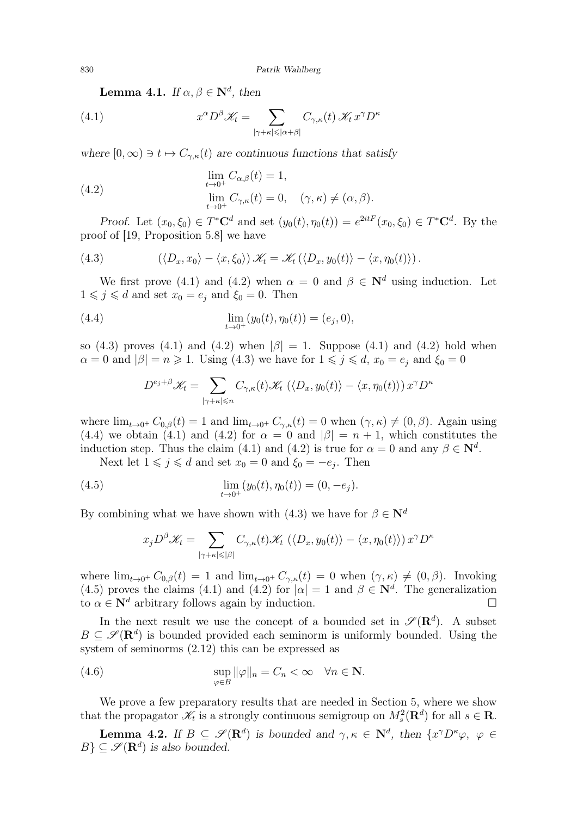<span id="page-9-6"></span><span id="page-9-0"></span>Lemma 4.1. *If*  $\alpha, \beta \in \mathbb{N}^d$ , then

(4.1) 
$$
x^{\alpha}D^{\beta}\mathscr{K}_t = \sum_{|\gamma+\kappa|\leqslant|\alpha+\beta|} C_{\gamma,\kappa}(t) \mathscr{K}_t x^{\gamma} D^{\kappa}
$$

*where*  $[0, \infty) \ni t \mapsto C_{\gamma,\kappa}(t)$  *are continuous functions that satisfy* 

<span id="page-9-1"></span>(4.2) 
$$
\lim_{t \to 0^+} C_{\alpha,\beta}(t) = 1,
$$

$$
\lim_{t \to 0^+} C_{\gamma,\kappa}(t) = 0, \quad (\gamma,\kappa) \neq (\alpha,\beta).
$$

*Proof.* Let  $(x_0, \xi_0) \in T^*{\bf C}^d$  and set  $(y_0(t), \eta_0(t)) = e^{2itF}(x_0, \xi_0) \in T^*{\bf C}^d$ . By the proof of [\[19,](#page-31-0) Proposition 5.8] we have

<span id="page-9-2"></span>(4.3) 
$$
(\langle D_x, x_0 \rangle - \langle x, \xi_0 \rangle) \mathscr{K}_t = \mathscr{K}_t (\langle D_x, y_0(t) \rangle - \langle x, \eta_0(t) \rangle).
$$

We first prove [\(4.1\)](#page-9-0) and [\(4.2\)](#page-9-1) when  $\alpha = 0$  and  $\beta \in \mathbb{N}^d$  using induction. Let  $1 \leq j \leq d$  and set  $x_0 = e_j$  and  $\xi_0 = 0$ . Then

(4.4) 
$$
\lim_{t \to 0^+} (y_0(t), \eta_0(t)) = (e_j, 0),
$$

so [\(4.3\)](#page-9-2) proves [\(4.1\)](#page-9-0) and [\(4.2\)](#page-9-1) when  $|\beta|=1$ . Suppose (4.1) and (4.2) hold when  $\alpha = 0$  and  $|\beta| = n \ge 1$ . Using [\(4.3\)](#page-9-2) we have for  $1 \le j \le d$ ,  $x_0 = e_j$  and  $\xi_0 = 0$ 

<span id="page-9-3"></span>
$$
D^{e_j+\beta}\mathscr{K}_t = \sum_{|\gamma+\kappa|\leqslant n} C_{\gamma,\kappa}(t)\mathscr{K}_t(\langle D_x,y_0(t)\rangle - \langle x,\eta_0(t)\rangle) x^{\gamma} D^{\kappa}
$$

where  $\lim_{t\to 0^+} C_{0,\beta}(t) = 1$  and  $\lim_{t\to 0^+} C_{\gamma,\kappa}(t) = 0$  when  $(\gamma,\kappa) \neq (0,\beta)$ . Again using [\(4.4\)](#page-9-3) we obtain [\(4.1\)](#page-9-0) and [\(4.2\)](#page-9-1) for  $\alpha = 0$  and  $|\beta| = n + 1$ , which constitutes the induction step. Thus the claim [\(4.1\)](#page-9-0) and [\(4.2\)](#page-9-1) is true for  $\alpha = 0$  and any  $\beta \in \mathbb{N}^d$ .

Next let  $1 \leqslant j \leqslant d$  and set  $x_0 = 0$  and  $\xi_0 = -e_j$ . Then

(4.5) 
$$
\lim_{t \to 0^+} (y_0(t), \eta_0(t)) = (0, -e_j).
$$

By combining what we have shown with [\(4.3\)](#page-9-2) we have for  $\beta \in \mathbb{N}^d$ 

<span id="page-9-4"></span>
$$
x_j D^{\beta} \mathscr{K}_t = \sum_{|\gamma + \kappa| \leq |\beta|} C_{\gamma,\kappa}(t) \mathscr{K}_t \left( \langle D_x, y_0(t) \rangle - \langle x, \eta_0(t) \rangle \right) x^{\gamma} D^{\kappa}
$$

where  $\lim_{t\to 0^+} C_{0,\beta}(t) = 1$  and  $\lim_{t\to 0^+} C_{\gamma,\kappa}(t) = 0$  when  $(\gamma,\kappa) \neq (0,\beta)$ . Invoking [\(4.5\)](#page-9-4) proves the claims [\(4.1\)](#page-9-0) and [\(4.2\)](#page-9-1) for  $|\alpha|=1$  and  $\beta \in \mathbb{N}^d$ . The generalization to  $\alpha \in \mathbb{N}^d$  arbitrary follows again by induction.

In the next result we use the concept of a bounded set in  $\mathscr{S}(\mathbf{R}^d)$ . A subset  $B \subseteq \mathscr{S}(\mathbf{R}^d)$  is bounded provided each seminorm is uniformly bounded. Using the system of seminorms [\(2.12\)](#page-3-1) this can be expressed as

<span id="page-9-5"></span>(4.6) 
$$
\sup_{\varphi \in B} \|\varphi\|_{n} = C_{n} < \infty \quad \forall n \in \mathbb{N}.
$$

We prove a few preparatory results that are needed in Section [5,](#page-12-0) where we show that the propagator  $\mathscr{K}_t$  is a strongly continuous semigroup on  $M_s^2(\mathbf{R}^d)$  for all  $s \in \mathbf{R}$ .

<span id="page-9-7"></span>**Lemma 4.2.** If  $B \subseteq \mathscr{S}(\mathbb{R}^d)$  is bounded and  $\gamma, \kappa \in \mathbb{N}^d$ , then  $\{x^{\gamma}D^{\kappa}\varphi, \varphi \in \mathbb{R}^d\}$  $B$ }  $\subseteq \mathscr{S}(\mathbf{R}^d)$  is also bounded.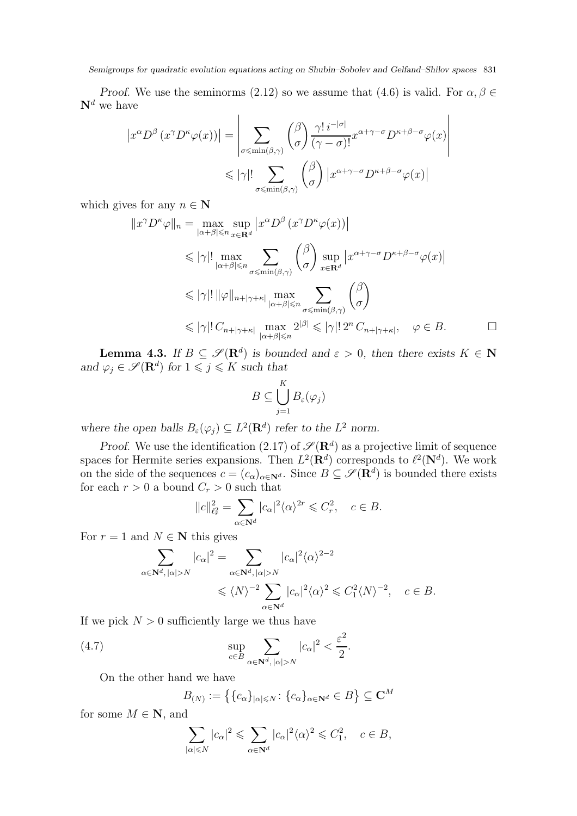*Proof.* We use the seminorms [\(2.12\)](#page-3-1) so we assume that [\(4.6\)](#page-9-5) is valid. For  $\alpha, \beta \in$  $\mathbf{N}^d$  we have

l,

$$
\left| x^{\alpha} D^{\beta} \left( x^{\gamma} D^{\kappa} \varphi(x) \right) \right| = \left| \sum_{\sigma \leqslant \min(\beta,\gamma)} \binom{\beta}{\sigma} \frac{\gamma! \, i^{-|\sigma|}}{(\gamma - \sigma)!} x^{\alpha + \gamma - \sigma} D^{\kappa + \beta - \sigma} \varphi(x) \right|
$$
  

$$
\leqslant |\gamma|! \sum_{\sigma \leqslant \min(\beta,\gamma)} \binom{\beta}{\sigma} \left| x^{\alpha + \gamma - \sigma} D^{\kappa + \beta - \sigma} \varphi(x) \right|
$$

which gives for any  $n \in \mathbb{N}$ 

$$
||x^{\gamma}D^{\kappa}\varphi||_{n} = \max_{|\alpha+\beta| \leqslant n} \sup_{x \in \mathbf{R}^{d}} |x^{\alpha}D^{\beta}(x^{\gamma}D^{\kappa}\varphi(x))|
$$
  
\n
$$
\leq |\gamma|! \max_{|\alpha+\beta| \leqslant n} \sum_{\sigma \leqslant \min(\beta,\gamma)} {\beta \choose \sigma} \sup_{x \in \mathbf{R}^{d}} |x^{\alpha+\gamma-\sigma}D^{\kappa+\beta-\sigma}\varphi(x)|
$$
  
\n
$$
\leq |\gamma|! \|\varphi\|_{n+|\gamma+\kappa|} \max_{|\alpha+\beta| \leqslant n} \sum_{\sigma \leqslant \min(\beta,\gamma)} {\beta \choose \sigma}
$$
  
\n
$$
\leq |\gamma|! C_{n+|\gamma+\kappa|} \max_{|\alpha+\beta| \leqslant n} 2^{|\beta|} \leqslant |\gamma|! 2^{n} C_{n+|\gamma+\kappa|}, \quad \varphi \in B.
$$

<span id="page-10-1"></span>**Lemma 4.3.** If  $B \subseteq \mathscr{S}(\mathbb{R}^d)$  is bounded and  $\varepsilon > 0$ , then there exists  $K \in \mathbb{N}$ *and*  $\varphi_j \in \mathscr{S}(\mathbf{R}^d)$  *for*  $1 \leqslant j \leqslant K$  *such that* 

$$
B \subseteq \bigcup_{j=1}^K B_{\varepsilon}(\varphi_j)
$$

where the open balls  $B_{\varepsilon}(\varphi_j) \subseteq L^2(\mathbf{R}^d)$  *refer to the*  $L^2$  *norm.* 

*Proof.* We use the identification [\(2.17\)](#page-6-0) of  $\mathscr{S}(\mathbf{R}^d)$  as a projective limit of sequence spaces for Hermite series expansions. Then  $L^2(\mathbf{R}^d)$  corresponds to  $\ell^2(\mathbf{N}^d)$ . We work on the side of the sequences  $c = (c_{\alpha})_{\alpha \in \mathbf{N}^d}$ . Since  $B \subseteq \mathscr{S}(\mathbf{R}^d)$  is bounded there exists for each  $r > 0$  a bound  $C_r > 0$  such that

$$
||c||_{\ell_r^2}^2 = \sum_{\alpha \in \mathbf{N}^d} |c_{\alpha}|^2 \langle \alpha \rangle^{2r} \leqslant C_r^2, \quad c \in B.
$$

For  $r = 1$  and  $N \in \mathbb{N}$  this gives

$$
\sum_{\alpha \in \mathbf{N}^d, |\alpha| > N} |c_{\alpha}|^2 = \sum_{\alpha \in \mathbf{N}^d, |\alpha| > N} |c_{\alpha}|^2 \langle \alpha \rangle^{2-2}
$$
  

$$
\leq \langle N \rangle^{-2} \sum_{\alpha \in \mathbf{N}^d} |c_{\alpha}|^2 \langle \alpha \rangle^2 \leq C_1^2 \langle N \rangle^{-2}, \quad c \in B.
$$

If we pick  $N > 0$  sufficiently large we thus have

(4.7) 
$$
\sup_{c \in B} \sum_{\alpha \in \mathbf{N}^d, |\alpha| > N} |c_{\alpha}|^2 < \frac{\varepsilon^2}{2}.
$$

On the other hand we have

<span id="page-10-0"></span>
$$
B_{(N)} := \left\{ \{c_{\alpha}\}_{|\alpha| \le N} \colon \{c_{\alpha}\}_{\alpha \in \mathbf{N}^d} \in B \right\} \subseteq \mathbf{C}^M
$$

for some  $M \in \mathbb{N}$ , and

$$
\sum_{|\alpha| \le N} |c_{\alpha}|^2 \le \sum_{\alpha \in \mathbf{N}^d} |c_{\alpha}|^2 \langle \alpha \rangle^2 \le C_1^2, \quad c \in B,
$$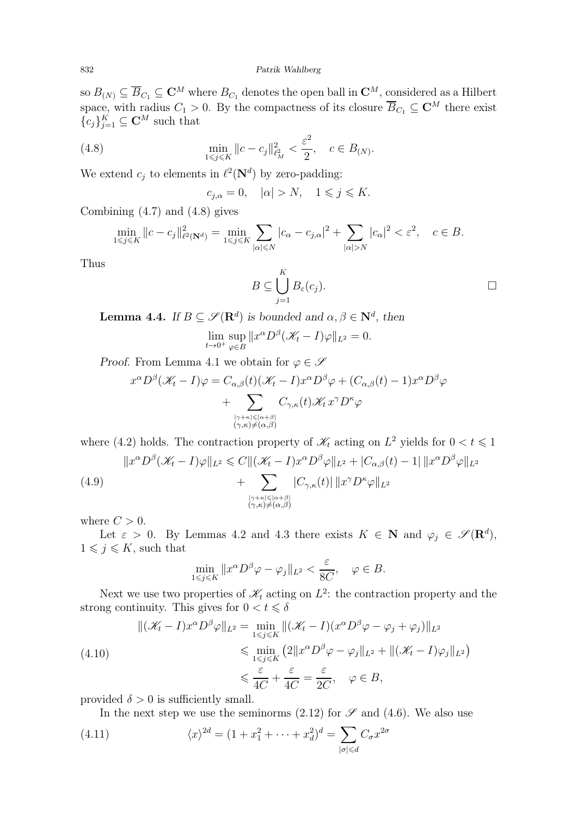so  $B_{(N)} \subseteq \overline{B}_{C_1} \subseteq \mathbb{C}^M$  where  $B_{C_1}$  denotes the open ball in  $\mathbb{C}^M$ , considered as a Hilbert space, with radius  $C_1 > 0$ . By the compactness of its closure  $\overline{B}_{C_1} \subseteq \mathbb{C}^M$  there exist  ${c_j}_{j=1}^K \subseteq \mathbf{C}^M$  such that

(4.8) 
$$
\min_{1 \le j \le K} ||c - c_j||_{\ell^2_M}^2 < \frac{\varepsilon^2}{2}, \quad c \in B_N.
$$

We extend  $c_j$  to elements in  $\ell^2(\mathbf{N}^d)$  by zero-padding:

<span id="page-11-0"></span>
$$
c_{j,\alpha} = 0, \quad |\alpha| > N, \quad 1 \leqslant j \leqslant K.
$$

Combining [\(4.7\)](#page-10-0) and [\(4.8\)](#page-11-0) gives

$$
\min_{1 \leq j \leq K} ||c - c_j||_{\ell^2(\mathbf{N}^d)}^2 = \min_{1 \leq j \leq K} \sum_{|\alpha| \leq N} |c_{\alpha} - c_{j,\alpha}|^2 + \sum_{|\alpha| > N} |c_{\alpha}|^2 < \varepsilon^2, \quad c \in B.
$$

Thus

$$
B \subseteq \bigcup_{j=1}^{K} B_{\varepsilon}(c_j).
$$

 ${}^{\alpha}D^{\beta}\varphi\Vert_{L^{2}}$ 

<span id="page-11-3"></span>**Lemma 4.4.** *If*  $B \subseteq \mathscr{S}(\mathbb{R}^d)$  *is bounded and*  $\alpha, \beta \in \mathbb{N}^d$ , *then* 

$$
\lim_{t \to 0^+} \sup_{\varphi \in B} \|x^{\alpha} D^{\beta} (\mathcal{K}_t - I) \varphi\|_{L^2} = 0.
$$

*Proof.* From Lemma [4.1](#page-9-6) we obtain for  $\varphi \in \mathscr{S}$ 

$$
x^{\alpha}D^{\beta}(\mathcal{K}_t - I)\varphi = C_{\alpha,\beta}(t)(\mathcal{K}_t - I)x^{\alpha}D^{\beta}\varphi + (C_{\alpha,\beta}(t) - 1)x^{\alpha}D^{\beta}\varphi
$$
  
+ 
$$
\sum_{\substack{|\gamma + \kappa| \leq |\alpha + \beta| \\ (\gamma,\kappa) \neq (\alpha,\beta)}} C_{\gamma,\kappa}(t)\mathcal{K}_t x^{\gamma}D^{\kappa}\varphi
$$

where [\(4.2\)](#page-9-1) holds. The contraction property of  $\mathcal{K}_t$  acting on  $L^2$  yields for  $0 < t \leq 1$ 

<span id="page-11-2"></span>(4.9)  
\n
$$
||x^{\alpha}D^{\beta}(\mathcal{K}_t - I)\varphi||_{L^2} \leq C||(\mathcal{K}_t - I)x^{\alpha}D^{\beta}\varphi||_{L^2} + |C_{\alpha,\beta}(t) - 1| ||x| + \sum_{\substack{|\gamma + \kappa| \leq |\alpha + \beta| \\ (\gamma,\kappa) \neq (\alpha,\beta)}} |C_{\gamma,\kappa}(t)| ||x^{\gamma}D^{\kappa}\varphi||_{L^2}
$$

where  $C > 0$ .

Let  $\varepsilon > 0$ . By Lemmas [4.2](#page-9-7) and [4.3](#page-10-1) there exists  $K \in \mathbb{N}$  and  $\varphi_j \in \mathscr{S}(\mathbb{R}^d)$ ,  $1 \leqslant j \leqslant K$ , such that

$$
\min_{1 \le j \le K} \|x^{\alpha} D^{\beta} \varphi - \varphi_j\|_{L^2} < \frac{\varepsilon}{8C}, \quad \varphi \in B.
$$

Next we use two properties of  $\mathcal{K}_t$  acting on  $L^2$ : the contraction property and the strong continuity. This gives for  $0 < t \leq \delta$ 

<span id="page-11-1"></span>
$$
\|(\mathcal{K}_t - I)x^{\alpha}D^{\beta}\varphi\|_{L^2} = \min_{1 \le j \le K} \|(\mathcal{K}_t - I)(x^{\alpha}D^{\beta}\varphi - \varphi_j + \varphi_j)\|_{L^2}
$$
  
\n
$$
\le \min_{1 \le j \le K} (2\|x^{\alpha}D^{\beta}\varphi - \varphi_j\|_{L^2} + \|(\mathcal{K}_t - I)\varphi_j\|_{L^2})
$$
  
\n
$$
\le \frac{\varepsilon}{4C} + \frac{\varepsilon}{4C} = \frac{\varepsilon}{2C}, \quad \varphi \in B,
$$

provided  $\delta > 0$  is sufficiently small.

<span id="page-11-4"></span>In the next step we use the seminorms [\(2.12\)](#page-3-1) for  $\mathscr S$  and [\(4.6\)](#page-9-5). We also use

(4.11) 
$$
\langle x \rangle^{2d} = (1 + x_1^2 + \dots + x_d^2)^d = \sum_{|\sigma| \le d} C_{\sigma} x^{2\sigma}
$$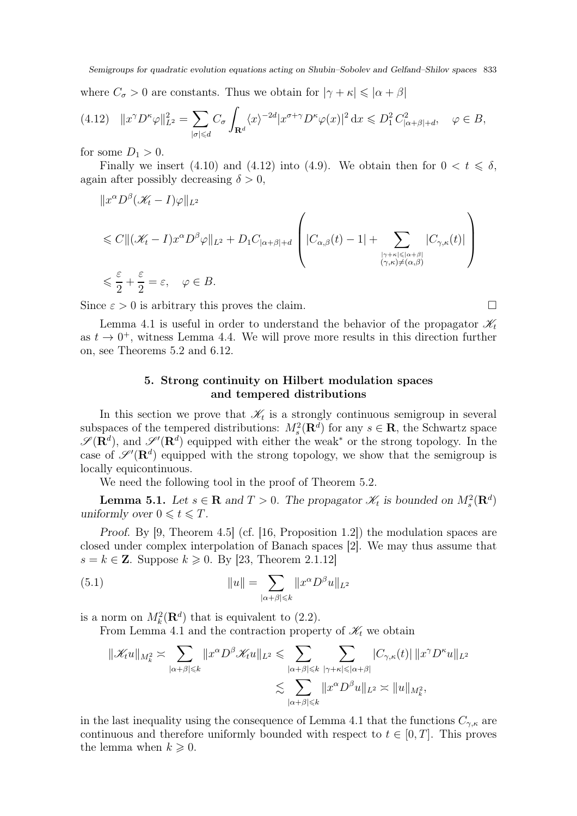where  $C_{\sigma} > 0$  are constants. Thus we obtain for  $|\gamma + \kappa| \leq |\alpha + \beta|$ 

<span id="page-12-1"></span>
$$
(4.12)\quad \|x^{\gamma}D^{\kappa}\varphi\|_{L^{2}}^{2} = \sum_{|\sigma| \leq d} C_{\sigma} \int_{\mathbf{R}^{d}} \langle x \rangle^{-2d} |x^{\sigma+\gamma}D^{\kappa}\varphi(x)|^{2} dx \leq D_{1}^{2} C_{|\alpha+\beta|+d}^{2}, \quad \varphi \in B,
$$

for some  $D_1 > 0$ .

Finally we insert [\(4.10\)](#page-11-1) and [\(4.12\)](#page-12-1) into [\(4.9\)](#page-11-2). We obtain then for  $0 < t \le \delta$ , again after possibly decreasing  $\delta > 0$ ,

$$
\|x^{\alpha}D^{\beta}(\mathcal{K}_t - I)\varphi\|_{L^2}
$$
  
\$\leq C \|\left(\mathcal{K}\_t - I\right)x^{\alpha}D^{\beta}\varphi\|\_{L^2} + D\_1C\_{|\alpha+\beta|+d} \left( |C\_{\alpha,\beta}(t) - 1| + \sum\_{\substack{|\gamma + \kappa| \leq |\alpha+\beta| \\ (\gamma,\kappa) \neq (\alpha,\beta)}} |C\_{\gamma,\kappa}(t)| \right) \$< \frac{\varepsilon}{2} + \frac{\varepsilon}{2} = \varepsilon, \quad \varphi \in B\$.

Since  $\varepsilon > 0$  is arbitrary this proves the claim.

<span id="page-12-0"></span>Lemma [4.1](#page-9-6) is useful in order to understand the behavior of the propagator  $\mathscr{K}_t$ as  $t \to 0^+$ , witness Lemma [4.4.](#page-11-3) We will prove more results in this direction further on, see Theorems [5.2](#page-13-0) and [6.12.](#page-25-0)

# 5. Strong continuity on Hilbert modulation spaces and tempered distributions

In this section we prove that  $\mathcal{K}_t$  is a strongly continuous semigroup in several subspaces of the tempered distributions:  $M_s^2(\mathbf{R}^d)$  for any  $s \in \mathbf{R}$ , the Schwartz space  $\mathscr{S}(\mathbf{R}^d)$ , and  $\mathscr{S}'(\mathbf{R}^d)$  equipped with either the weak<sup>\*</sup> or the strong topology. In the case of  $\mathscr{S}'(\mathbf{R}^d)$  equipped with the strong topology, we show that the semigroup is locally equicontinuous.

We need the following tool in the proof of Theorem [5.2.](#page-13-0)

<span id="page-12-2"></span>**Lemma 5.1.** Let  $s \in \mathbb{R}$  and  $T > 0$ . The propagator  $\mathcal{K}_t$  is bounded on  $M_s^2(\mathbb{R}^d)$ *uniformly over*  $0 \leq t \leq T$ .

*Proof.* By [\[9,](#page-31-7) Theorem 4.5] (cf. [\[16,](#page-31-22) Proposition 1.2]) the modulation spaces are closed under complex interpolation of Banach spaces [\[2\]](#page-30-4). We may thus assume that  $s = k \in \mathbb{Z}$ . Suppose  $k \geqslant 0$ . By [\[23,](#page-31-8) Theorem 2.1.12]

(5.1) 
$$
||u|| = \sum_{|\alpha + \beta| \leq k} ||x^{\alpha} D^{\beta} u||_{L^2}
$$

is a norm on  $M_k^2(\mathbf{R}^d)$  that is equivalent to [\(2.2\)](#page-2-2).

From Lemma [4.1](#page-9-6) and the contraction property of  $\mathcal{K}_t$  we obtain

<span id="page-12-3"></span>
$$
\|\mathcal{K}_{t}u\|_{M_{k}^{2}} \asymp \sum_{|\alpha+\beta| \leqslant k} \|x^{\alpha}D^{\beta}\mathcal{K}_{t}u\|_{L^{2}} \leqslant \sum_{|\alpha+\beta| \leqslant k} \sum_{|\gamma+\kappa| \leqslant |\alpha+\beta|} |C_{\gamma,\kappa}(t)| \|x^{\gamma}D^{\kappa}u\|_{L^{2}} \lesssim \sum_{|\alpha+\beta| \leqslant k} \|x^{\alpha}D^{\beta}u\|_{L^{2}} \asymp \|u\|_{M_{k}^{2}},
$$

in the last inequality using the consequence of Lemma [4.1](#page-9-6) that the functions  $C_{\gamma,\kappa}$  are continuous and therefore uniformly bounded with respect to  $t \in [0, T]$ . This proves the lemma when  $k \geqslant 0$ .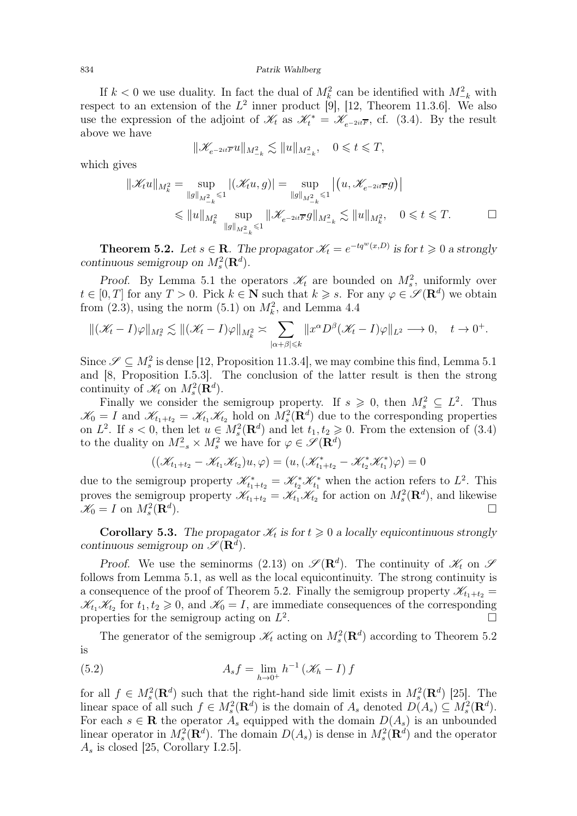#### 834 Patrik Wahlberg

If  $k < 0$  we use duality. In fact the dual of  $M_k^2$  can be identified with  $M_{-k}^2$  with respect to an extension of the  $L^2$  inner product [\[9\]](#page-31-7), [\[12,](#page-31-6) Theorem 11.3.6]. We also use the expression of the adjoint of  $\mathscr{K}_t$  as  $\mathscr{K}_t^* = \mathscr{K}_{e^{-2it\overline{F}}},$  cf. [\(3.4\)](#page-8-2). By the result above we have

$$
\|\mathscr{K}_{e^{-2it\overline{F}}}u\|_{M^2_{-k}}\lesssim \|u\|_{M^2_{-k}},\quad 0\leqslant t\leqslant T,
$$

which gives

$$
\|\mathcal{K}_{t}u\|_{M_{k}^{2}} = \sup_{\|g\|_{M_{-k}^{2}} \leq 1} |(\mathcal{K}_{t}u, g)| = \sup_{\|g\|_{M_{-k}^{2}} \leq 1} |(u, \mathcal{K}_{e^{-2it\overline{F}}}g)|
$$
  

$$
\leq \|u\|_{M_{k}^{2}} \sup_{\|g\|_{M_{-k}^{2}} \leq 1} \|\mathcal{K}_{e^{-2it\overline{F}}}g\|_{M_{-k}^{2}} \lesssim \|u\|_{M_{k}^{2}}, \quad 0 \leq t \leq T.
$$

<span id="page-13-0"></span>**Theorem 5.2.** *Let*  $s \in \mathbb{R}$ *. The propagator*  $\mathcal{K}_t = e^{-tq^w(x,D)}$  *is for*  $t \geq 0$  *a strongly continuous semigroup on*  $M_s^2(\mathbf{R}^d)$ .

*Proof.* By Lemma [5.1](#page-12-2) the operators  $\mathcal{K}_t$  are bounded on  $M_s^2$ , uniformly over  $t \in [0, T]$  for any  $T > 0$ . Pick  $k \in \mathbb{N}$  such that  $k \geq s$ . For any  $\varphi \in \mathscr{S}(\mathbf{R}^d)$  we obtain from  $(2.3)$ , using the norm  $(5.1)$  on  $M_k^2$ , and Lemma [4.4](#page-11-3)

$$
\|(\mathcal{K}_t-I)\varphi\|_{M_s^2}\lesssim \|(\mathcal{K}_t-I)\varphi\|_{M_k^2}\asymp \sum_{|\alpha+\beta|\leqslant k} \|x^{\alpha}D^{\beta}(\mathcal{K}_t-I)\varphi\|_{L^2}\longrightarrow 0,\quad t\to 0^+.
$$

Since  $\mathscr{S} \subseteq M_s^2$  is dense [\[12,](#page-31-6) Proposition 11.3.4], we may combine this find, Lemma [5.1](#page-12-2) and [\[8,](#page-31-18) Proposition I.5.3]. The conclusion of the latter result is then the strong continuity of  $\mathscr{K}_t$  on  $M_s^2(\mathbf{R}^d)$ .

Finally we consider the semigroup property. If  $s \geq 0$ , then  $M_s^2 \subseteq L^2$ . Thus  $\mathscr{K}_0 = I$  and  $\mathscr{K}_{t_1+t_2} = \mathscr{K}_{t_1}\mathscr{K}_{t_2}$  hold on  $M_s^2(\mathbf{R}^d)$  due to the corresponding properties on  $L^2$ . If  $s < 0$ , then let  $u \in M_s^2(\mathbf{R}^d)$  and let  $t_1, t_2 \geq 0$ . From the extension of [\(3.4\)](#page-8-2) to the duality on  $M_{-s}^2 \times M_s^2$  we have for  $\varphi \in \mathscr{S}(\mathbf{R}^d)$ 

$$
((\mathscr{K}_{t_1+t_2}-\mathscr{K}_{t_1}\mathscr{K}_{t_2})u,\varphi)=(u,(\mathscr{K}_{t_1+t_2}-\mathscr{K}_{t_2}^*\mathscr{K}_{t_1}^*)\varphi)=0
$$

due to the semigroup property  $\mathscr{K}_{t_1+t_2}^* = \mathscr{K}_{t_2}^* \mathscr{K}_{t_1}^*$  when the action refers to  $L^2$ . This proves the semigroup property  $\mathscr{K}_{t_1+t_2} = \mathscr{K}_{t_1}\mathscr{K}_{t_2}$  for action on  $M_s^2(\mathbf{R}^d)$ , and likewise  $\mathscr{K}_0 = I$  on  $M_s^2(\mathbf{R}^d)$ ).  $\Box$ 

<span id="page-13-1"></span>**Corollary 5.3.** The propagator  $\mathcal{K}_t$  is for  $t \geq 0$  a locally equicontinuous strongly *continuous semigroup on*  $\mathscr{S}(\mathbf{R}^d)$ .

*Proof.* We use the seminorms [\(2.13\)](#page-3-0) on  $\mathscr{S}(\mathbb{R}^d)$ . The continuity of  $\mathscr{K}_t$  on  $\mathscr{S}$ follows from Lemma [5.1,](#page-12-2) as well as the local equicontinuity. The strong continuity is a consequence of the proof of Theorem [5.2.](#page-13-0) Finally the semigroup property  $\mathscr{K}_{t_1+t_2}$  =  $\mathscr{K}_{t_1}\mathscr{K}_{t_2}$  for  $t_1, t_2 \geq 0$ , and  $\mathscr{K}_0 = I$ , are immediate consequences of the corresponding properties for the semigroup acting on  $L^2$ . <u>Подата на стана на стана на стана на ст</u>

The generator of the semigroup  $\mathcal{K}_t$  acting on  $M_s^2(\mathbf{R}^d)$  according to Theorem [5.2](#page-13-0) is

<span id="page-13-2"></span>(5.2) 
$$
A_s f = \lim_{h \to 0^+} h^{-1} \left( \mathcal{K}_h - I \right) f
$$

for all  $f \in M_s^2(\mathbf{R}^d)$  such that the right-hand side limit exists in  $M_s^2(\mathbf{R}^d)$  [\[25\]](#page-31-19). The linear space of all such  $f \in M_s^2(\mathbf{R}^d)$  is the domain of  $A_s$  denoted  $D(A_s) \subseteq M_s^2(\mathbf{R}^d)$ . For each  $s \in \mathbf{R}$  the operator  $A_s$  equipped with the domain  $D(A_s)$  is an unbounded linear operator in  $M_s^2(\mathbf{R}^d)$ . The domain  $D(A_s)$  is dense in  $M_s^2(\mathbf{R}^d)$  and the operator  $A_s$  is closed [\[25,](#page-31-19) Corollary I.2.5].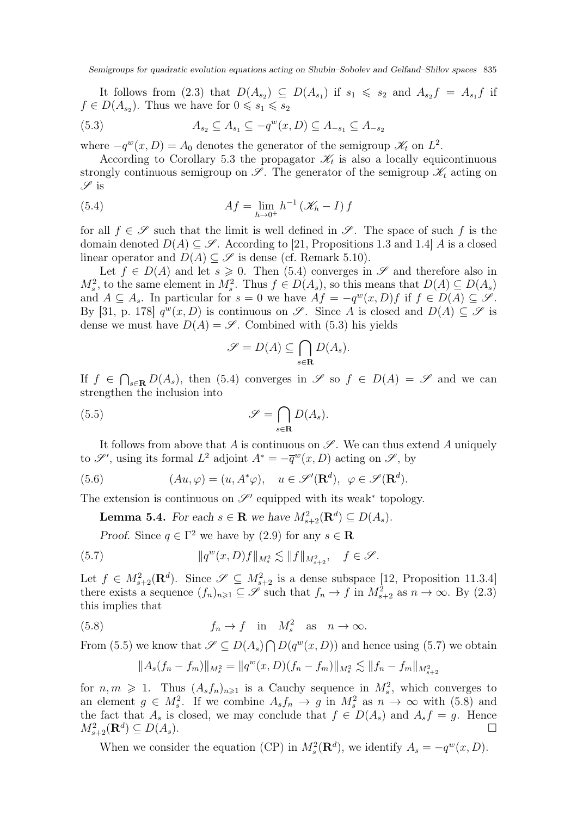It follows from [\(2.3\)](#page-2-3) that  $D(A_{s_2}) \subseteq D(A_{s_1})$  if  $s_1 \leqslant s_2$  and  $A_{s_2}f = A_{s_1}f$  if  $f \in D(A_{s_2})$ . Thus we have for  $0 \le s_1 \le s_2$ 

<span id="page-14-1"></span>(5.3) 
$$
A_{s_2} \subseteq A_{s_1} \subseteq -q^w(x, D) \subseteq A_{-s_1} \subseteq A_{-s_2}
$$

where  $-q^w(x,D) = A_0$  denotes the generator of the semigroup  $\mathscr{K}_t$  on  $L^2$ .

According to Corollary [5.3](#page-13-1) the propagator  $\mathcal{K}_t$  is also a locally equicontinuous strongly continuous semigroup on  $\mathscr{S}$ . The generator of the semigroup  $\mathscr{K}_t$  acting on  $\mathscr{S}$  is

(5.4) 
$$
Af = \lim_{h \to 0^+} h^{-1} \left( \mathcal{K}_h - I \right) f
$$

for all  $f \in \mathscr{S}$  such that the limit is well defined in  $\mathscr{S}$ . The space of such f is the domain denoted  $D(A) \subseteq \mathscr{S}$ . According to [\[21,](#page-31-20) Propositions 1.3 and 1.4] A is a closed linear operator and  $D(A) \subseteq \mathscr{S}$  is dense (cf. Remark [5.10\)](#page-16-1).

Let  $f \in D(A)$  and let  $s \geq 0$ . Then [\(5.4\)](#page-14-0) converges in  $\mathscr S$  and therefore also in  $M_s^2$ , to the same element in  $M_s^2$ . Thus  $f \in D(A_s)$ , so this means that  $D(A) \subseteq D(A_s)$ and  $A \subseteq A_s$ . In particular for  $s = 0$  we have  $\overline{A}f = -q^w(x, D)f$  if  $f \in D(A) \subseteq \mathscr{S}$ . By [\[31,](#page-31-9) p. 178]  $q^w(x,D)$  is continuous on  $\mathscr{S}$ . Since A is closed and  $D(A) \subseteq \mathscr{S}$  is dense we must have  $D(A) = \mathscr{S}$ . Combined with [\(5.3\)](#page-14-1) his yields

<span id="page-14-2"></span><span id="page-14-0"></span>
$$
\mathscr{S} = D(A) \subseteq \bigcap_{s \in \mathbf{R}} D(A_s).
$$

If  $f \in \bigcap_{s\in\mathbf{R}} D(A_s)$ , then [\(5.4\)](#page-14-0) converges in  $\mathscr S$  so  $f \in D(A) = \mathscr S$  and we can strengthen the inclusion into

(5.5) 
$$
\mathscr{S} = \bigcap_{s \in \mathbf{R}} D(A_s).
$$

It follows from above that A is continuous on  $\mathscr{S}$ . We can thus extend A uniquely to  $\mathscr{S}'$ , using its formal  $L^2$  adjoint  $A^* = -\overline{q}^w(x, D)$  acting on  $\mathscr{S}$ , by

(5.6) 
$$
(Au, \varphi) = (u, A^*\varphi), \quad u \in \mathscr{S}'(\mathbf{R}^d), \quad \varphi \in \mathscr{S}(\mathbf{R}^d).
$$

The extension is continuous on  $\mathscr{S}'$  equipped with its weak<sup>\*</sup> topology.

<span id="page-14-6"></span><span id="page-14-5"></span>**Lemma 5.4.** *For each*  $s \in \mathbb{R}$  *we have*  $M_{s+2}^2(\mathbb{R}^d) \subseteq D(A_s)$ *.* 

<span id="page-14-3"></span>*Proof.* Since  $q \in \Gamma^2$  we have by [\(2.9\)](#page-3-5) for any  $s \in \mathbb{R}$ 

(5.7) 
$$
||q^w(x,D)f||_{M_s^2} \lesssim ||f||_{M_{s+2}^2}, \quad f \in \mathcal{S}.
$$

Let  $f \in M_{s+2}^2(\mathbf{R}^d)$ . Since  $\mathscr{S} \subseteq M_{s+2}^2$  is a dense subspace [\[12,](#page-31-6) Proposition 11.3.4] there exists a sequence  $(f_n)_{n\geq 1} \subseteq \mathscr{S}$  such that  $f_n \to f$  in  $M_{s+2}^2$  as  $n \to \infty$ . By  $(2.3)$ this implies that

(5.8) 
$$
f_n \to f
$$
 in  $M_s^2$  as  $n \to \infty$ .

From [\(5.5\)](#page-14-2) we know that  $\mathscr{S} \subseteq D(A_s) \cap D(q^w(x,D))$  and hence using [\(5.7\)](#page-14-3) we obtain

<span id="page-14-4"></span>
$$
||A_s(f_n - f_m)||_{M_s^2} = ||q^w(x, D)(f_n - f_m)||_{M_s^2} \lesssim ||f_n - f_m||_{M_{s+2}^2}
$$

for  $n, m \geq 1$ . Thus  $(A_s f_n)_{n \geq 1}$  is a Cauchy sequence in  $M_s^2$ , which converges to an element  $g \in M_s^2$ . If we combine  $A_s f_n \to g$  in  $M_s^2$  as  $n \to \infty$  with [\(5.8\)](#page-14-4) and the fact that  $A_s$  is closed, we may conclude that  $f \in D(A_s)$  and  $A_s f = g$ . Hence  $M_{s+2}^2(\mathbf{R}^d) \subseteq D(A_s).$ 

When we consider the equation [\(CP\)](#page-7-1) in  $M_s^2(\mathbf{R}^d)$ , we identify  $A_s = -q^w(x, D)$ .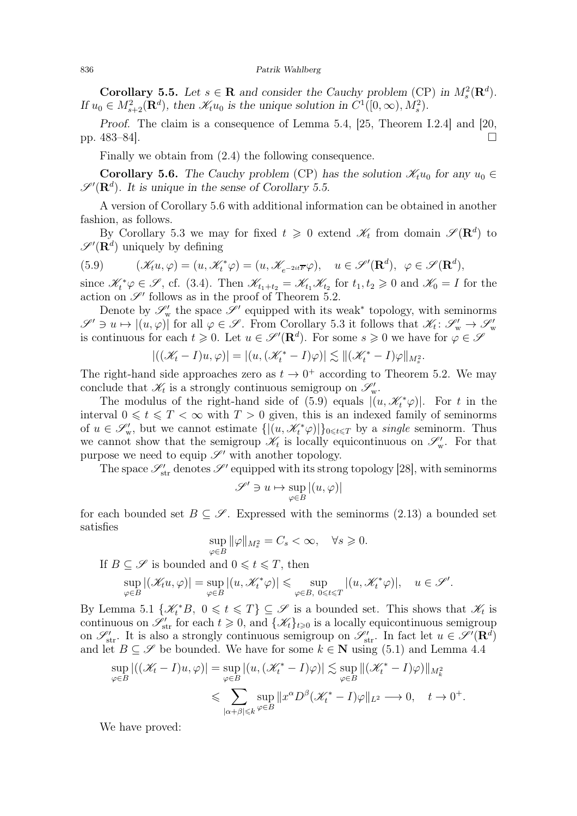<span id="page-15-0"></span>Corollary 5.5. Let  $s \in \mathbb{R}$  and consider the Cauchy problem [\(CP\)](#page-7-1) in  $M_s^2(\mathbb{R}^d)$ . *If*  $u_0 \in M_{s+2}^2(\mathbf{R}^d)$ , then  $\mathcal{K}_t u_0$  *is the unique solution in*  $C^1([0,\infty), M_s^2)$ *.* 

*Proof.* The claim is a consequence of Lemma [5.4,](#page-14-5) [\[25,](#page-31-19) Theorem I.2.4] and [\[20,](#page-31-21) pp. 483–84].

Finally we obtain from [\(2.4\)](#page-2-4) the following consequence.

<span id="page-15-1"></span>**Corollary 5.6.** *The Cauchy problem* [\(CP\)](#page-7-1) *has the solution*  $\mathcal{K}_t u_0$  *for any*  $u_0 \in$  $\mathscr{S}'(\mathbf{R}^d)$ . It is unique in the sense of Corollary [5.5.](#page-15-0)

A version of Corollary [5.6](#page-15-1) with additional information can be obtained in another fashion, as follows.

By Corollary [5.3](#page-13-1) we may for fixed  $t \geq 0$  extend  $\mathscr{K}_t$  from domain  $\mathscr{S}(\mathbf{R}^d)$  to  $\mathscr{S}'(\mathbf{R}^d)$  uniquely by defining

<span id="page-15-2"></span>(5.9) 
$$
(\mathcal{K}_t u, \varphi) = (u, \mathcal{K}_t^* \varphi) = (u, \mathcal{K}_{e^{-2it\overline{F}}}\varphi), \quad u \in \mathcal{S}'(\mathbf{R}^d), \varphi \in \mathcal{S}(\mathbf{R}^d),
$$

since  $\mathscr{K}_t^* \varphi \in \mathscr{S}$ , cf. [\(3.4\)](#page-8-2). Then  $\mathscr{K}_{t_1+t_2} = \mathscr{K}_{t_1} \mathscr{K}_{t_2}$  for  $t_1, t_2 \geq 0$  and  $\mathscr{K}_0 = I$  for the action on  $\mathscr{S}'$  follows as in the proof of Theorem [5.2.](#page-13-0)

Denote by  $\mathscr{S}'_{w}$  the space  $\mathscr{I}'$  equipped with its weak<sup>\*</sup> topology, with seminorms  $\mathscr{S}' \ni u \mapsto |(u, \varphi)|$  for all  $\varphi \in \mathscr{S}$ . From Corollary [5.3](#page-13-1) it follows that  $\mathscr{K}_t \colon \mathscr{S}'_w \to \mathscr{S}'_w$ is continuous for each  $t \geq 0$ . Let  $u \in \mathscr{S}'(\mathbf{R}^d)$ . For some  $s \geq 0$  we have for  $\varphi \in \mathscr{S}$ 

$$
|((\mathscr{K}_t-I)u,\varphi)|=|(u,(\mathscr{K}_t^*-I)\varphi)|\lesssim \|(\mathscr{K}_t^*-I)\varphi\|_{M_s^2}.
$$

The right-hand side approaches zero as  $t \to 0^+$  according to Theorem [5.2.](#page-13-0) We may conclude that  $\mathcal{K}_t$  is a strongly continuous semigroup on  $\mathcal{S}'_{w}$ .

The modulus of the right-hand side of [\(5.9\)](#page-15-2) equals  $|(u, \mathscr{K}_t^*\varphi)|$ . For t in the interval  $0 \leq t \leq T < \infty$  with  $T > 0$  given, this is an indexed family of seminorms of  $u \in \mathscr{S}'_{w}$ , but we cannot estimate  $\{[(u, \mathscr{K}_t^*\varphi)]\}_{0 \leq t \leq T}$  by a *single* seminorm. Thus we cannot show that the semigroup  $\mathscr{K}_t$  is locally equicontinuous on  $\mathscr{S}'_{w}$ . For that purpose we need to equip  $\mathscr{S}'$  with another topology.

The space  $\mathscr{S}'_{str}$  denotes  $\mathscr{S}'$  equipped with its strong topology [\[28\]](#page-31-17), with seminorms

$$
\mathscr{S}' \ni u \mapsto \sup_{\varphi \in B} |(u, \varphi)|
$$

for each bounded set  $B \subseteq \mathscr{S}$ . Expressed with the seminorms [\(2.13\)](#page-3-0) a bounded set satisfies

$$
\sup_{\varphi \in B} \|\varphi\|_{M_s^2} = C_s < \infty, \quad \forall s \geqslant 0.
$$

If  $B \subseteq \mathscr{S}$  is bounded and  $0 \leq t \leq T$ , then

$$
\sup_{\varphi\in B}|(\mathscr{K}_tu,\varphi)|=\sup_{\varphi\in B}|(u,\mathscr{K}_t^*\varphi)|\leqslant \sup_{\varphi\in B,\ 0\leqslant t\leqslant T}|(u,\mathscr{K}_t^*\varphi)|,\quad u\in\mathscr{S}'.
$$

By Lemma [5.1](#page-12-2)  $\{\mathscr{K}_t^*B, 0 \leq t \leq T\} \subseteq \mathscr{S}$  is a bounded set. This shows that  $\mathscr{K}_t$  is continuous on  $\mathscr{S}'_{\text{str}}$  for each  $t \geq 0$ , and  $\{\mathscr{K}_t\}_{t\geq 0}$  is a locally equicontinuous semigroup on  $\mathscr{S}'_{\text{str}}$ . It is also a strongly continuous semigroup on  $\mathscr{S}'_{\text{str}}$ . In fact let  $u \in \mathscr{I}'(\mathbf{R}^d)$ and let  $B \subseteq \mathscr{S}$  be bounded. We have for some  $k \in \mathbb{N}$  using [\(5.1\)](#page-12-3) and Lemma [4.4](#page-11-3)

$$
\sup_{\varphi \in B} |((\mathcal{K}_t - I)u, \varphi)| = \sup_{\varphi \in B} |(u, (\mathcal{K}_t^* - I)\varphi)| \lesssim \sup_{\varphi \in B} \|(\mathcal{K}_t^* - I)\varphi)\|_{M_k^2}
$$
  

$$
\leq \sum_{|\alpha + \beta| \leq k} \sup_{\varphi \in B} \|x^{\alpha} D^{\beta} (\mathcal{K}_t^* - I)\varphi\|_{L^2} \longrightarrow 0, \quad t \to 0^+.
$$

We have proved: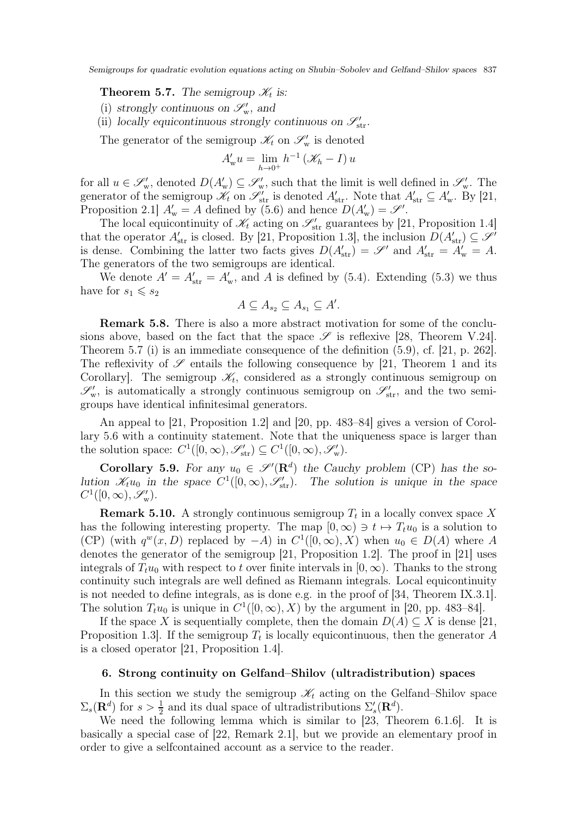<span id="page-16-2"></span>**Theorem 5.7.** The semigroup  $\mathcal{K}_t$  is:

- (i) *strongly continuous on*  $\mathscr{S}'_{w}$ *, and*
- (ii) *locally equicontinuous strongly continuous on*  $\mathscr{S}_{str}^{\prime}$ .

The generator of the semigroup  $\mathcal{K}_t$  on  $\mathcal{S}_{w}^{\prime}$  is denoted

$$
A'_{w}u = \lim_{h \to 0^{+}} h^{-1} (\mathscr{K}_{h} - I) u
$$

for all  $u \in \mathscr{S}'_{w}$ , denoted  $D(A'_{w}) \subseteq \mathscr{S}'_{w}$ , such that the limit is well defined in  $\mathscr{S}'_{w}$ . The generator of the semigroup  $\mathscr{K}_t$  on  $\mathscr{S}'_{\text{str}}$  is denoted  $A'_{\text{str}}$ . Note that  $A'_{\text{str}} \subseteq A'_{\text{w}}$ . By [\[21,](#page-31-20) Proposition 2.1]  $A'_w = A$  defined by [\(5.6\)](#page-14-6) and hence  $D(A'_w) = \mathscr{S}'$ .

The local equicontinuity of  $\mathcal{K}_t$  acting on  $\mathcal{S}'_{\text{str}}$  guarantees by [\[21,](#page-31-20) Proposition 1.4] that the operator  $A'_{\rm str}$  is closed. By [\[21,](#page-31-20) Proposition 1.3], the inclusion  $D(A'_{\rm str}) \subseteq \mathscr{S}'$ is dense. Combining the latter two facts gives  $D(A'_{str}) = \mathscr{S}'$  and  $A'_{str} = A'_{w} = A$ . The generators of the two semigroups are identical.

We denote  $A' = A'_{str} = A'_{w}$ , and A is defined by [\(5.4\)](#page-14-0). Extending [\(5.3\)](#page-14-1) we thus have for  $s_1 \leqslant s_2$ 

$$
A \subseteq A_{s_2} \subseteq A_{s_1} \subseteq A'.
$$

<span id="page-16-4"></span>Remark 5.8. There is also a more abstract motivation for some of the conclusions above, based on the fact that the space  $\mathscr S$  is reflexive [\[28,](#page-31-17) Theorem V.24]. Theorem [5.7](#page-16-2) (i) is an immediate consequence of the definition [\(5.9\)](#page-15-2), cf. [\[21,](#page-31-20) p. 262]. The reflexivity of  $\mathscr S$  entails the following consequence by [\[21,](#page-31-20) Theorem 1 and its Corollary]. The semigroup  $\mathscr{K}_t$ , considered as a strongly continuous semigroup on  $\mathscr{S}'_{w}$ , is automatically a strongly continuous semigroup on  $\mathscr{S}'_{str}$ , and the two semigroups have identical infinitesimal generators.

An appeal to [\[21,](#page-31-20) Proposition 1.2] and [\[20,](#page-31-21) pp. 483–84] gives a version of Corollary [5.6](#page-15-1) with a continuity statement. Note that the uniqueness space is larger than the solution space:  $C^1([0,\infty), \mathscr{S}'_{\text{str}}) \subseteq C^1([0,\infty), \mathscr{S}'_{\text{w}})$ .

<span id="page-16-3"></span>**Corollary 5.9.** For any  $u_0 \in \mathcal{S}'(\mathbf{R}^d)$  the Cauchy problem [\(CP\)](#page-7-1) has the solution  $\mathscr{K}_t u_0$  in the space  $C^1([0,\infty), \mathscr{S}_{\text{str}}')$ . The solution is unique in the space  $C^1([0,\infty), \mathscr{S}'_{w}).$ 

<span id="page-16-1"></span>**Remark 5.10.** A strongly continuous semigroup  $T_t$  in a locally convex space X has the following interesting property. The map  $[0, \infty) \ni t \mapsto T_t u_0$  is a solution to [\(CP\)](#page-7-1) (with  $q^w(x, D)$  replaced by  $-A$ ) in  $C^1([0, \infty), X)$  when  $u_0 \in D(A)$  where A denotes the generator of the semigroup [\[21,](#page-31-20) Proposition 1.2]. The proof in [\[21\]](#page-31-20) uses integrals of  $T_t u_0$  with respect to t over finite intervals in  $[0, \infty)$ . Thanks to the strong continuity such integrals are well defined as Riemann integrals. Local equicontinuity is not needed to define integrals, as is done e.g. in the proof of [\[34,](#page-32-1) Theorem IX.3.1]. The solution  $T_t u_0$  is unique in  $C^1([0,\infty), X)$  by the argument in [\[20,](#page-31-21) pp. 483–84].

If the space X is sequentially complete, then the domain  $D(A) \subset X$  is dense [\[21,](#page-31-20) Proposition 1.3. If the semigroup  $T_t$  is locally equicontinuous, then the generator A is a closed operator [\[21,](#page-31-20) Proposition 1.4].

### <span id="page-16-0"></span>6. Strong continuity on Gelfand–Shilov (ultradistribution) spaces

In this section we study the semigroup  $\mathcal{K}_t$  acting on the Gelfand–Shilov space  $\Sigma_s(\mathbf{R}^d)$  for  $s > \frac{1}{2}$  and its dual space of ultradistributions  $\Sigma'_s(\mathbf{R}^d)$ .

We need the following lemma which is similar to [\[23,](#page-31-8) Theorem 6.1.6]. It is basically a special case of [\[22,](#page-31-16) Remark 2.1], but we provide an elementary proof in order to give a selfcontained account as a service to the reader.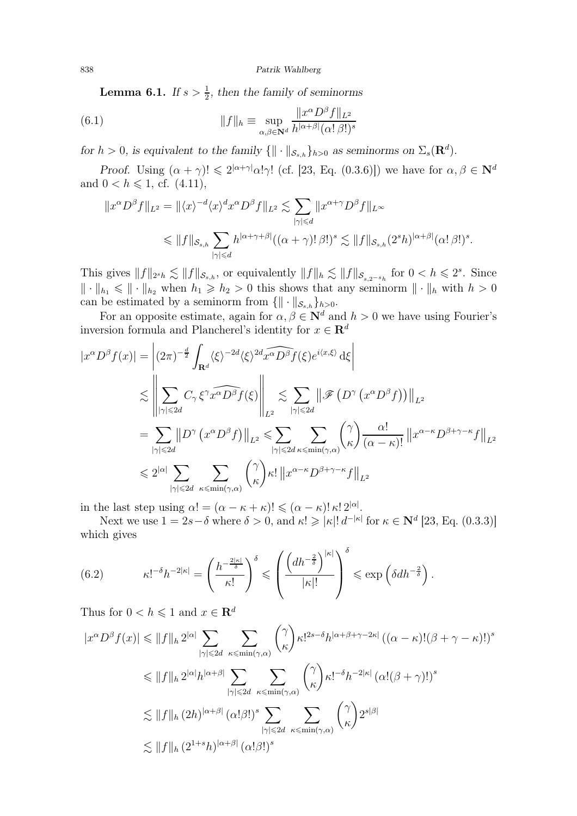<span id="page-17-1"></span><span id="page-17-0"></span>**Lemma 6.1.** If  $s > \frac{1}{2}$ , then the family of seminorms

(6.1) 
$$
||f||_h \equiv \sup_{\alpha,\beta \in \mathbf{N}^d} \frac{||x^{\alpha}D^{\beta}f||_{L^2}}{h^{|\alpha+\beta|}(\alpha! \beta!)^s}
$$

*for*  $h > 0$ *, is equivalent to the family*  $\{ \| \cdot \|_{\mathcal{S}_{s,h}} \}_{h>0}$  *as seminorms on*  $\Sigma_s(\mathbf{R}^d)$ *.* 

*Proof.* Using  $(\alpha + \gamma)! \leq 2^{|\alpha + \gamma|} \alpha! \gamma!$  (cf. [\[23,](#page-31-8) Eq. (0.3.6)]) we have for  $\alpha, \beta \in \mathbb{N}^d$ and  $0 < h \leq 1$ , cf. [\(4.11\)](#page-11-4),

$$
||x^{\alpha}D^{\beta}f||_{L^{2}} = ||\langle x \rangle^{-d} \langle x \rangle^{d} x^{\alpha} D^{\beta}f||_{L^{2}} \lesssim \sum_{|\gamma| \leq d} ||x^{\alpha+\gamma}D^{\beta}f||_{L^{\infty}}
$$
  

$$
\leq ||f||_{\mathcal{S}_{s,h}} \sum_{|\gamma| \leq d} h^{|\alpha+\gamma+\beta|} ((\alpha+\gamma)!\beta!)^{s} \lesssim ||f||_{\mathcal{S}_{s,h}} (2^{s}h)^{|\alpha+\beta|} (\alpha!\beta!)^{s}.
$$

This gives  $||f||_{2^{s}h} \lesssim ||f||_{\mathcal{S}_{s,h}}$ , or equivalently  $||f||_h \lesssim ||f||_{\mathcal{S}_{s,2-s_h}}$  for  $0 < h \leqslant 2^s$ . Since  $\|\cdot\|_{h_1} \leqslant \|\cdot\|_{h_2}$  when  $h_1 \geqslant h_2 > 0$  this shows that any seminorm  $\|\cdot\|_{h}$  with  $h > 0$ can be estimated by a seminorm from  $\{\|\cdot\|_{\mathcal{S}_{s,h}}\}_{h>0}$ .

For an opposite estimate, again for  $\alpha, \beta \in \mathbb{N}^d$  and  $h > 0$  we have using Fourier's inversion formula and Plancherel's identity for  $x \in \mathbb{R}^d$ 

$$
|x^{\alpha}D^{\beta}f(x)| = |(2\pi)^{-\frac{d}{2}} \int_{\mathbf{R}^{d}} \langle \xi \rangle^{-2d} \langle \xi \rangle^{2d} \widehat{x^{\alpha}D^{\beta}f}(\xi) e^{i\langle x,\xi \rangle} d\xi
$$
  

$$
\lesssim \left\| \sum_{|\gamma| \leq 2d} C_{\gamma} \xi^{\gamma} \widehat{x^{\alpha}D^{\beta}f}(\xi) \right\|_{L^{2}} \lesssim \sum_{|\gamma| \leq 2d} \left\| \mathcal{F} \left( D^{\gamma} \left( x^{\alpha} D^{\beta}f \right) \right) \right\|_{L^{2}}
$$
  

$$
= \sum_{|\gamma| \leq 2d} \left\| D^{\gamma} \left( x^{\alpha} D^{\beta}f \right) \right\|_{L^{2}} \leq \sum_{|\gamma| \leq 2d} \sum_{\kappa \leq \min(\gamma,\alpha)} \binom{\gamma}{\kappa} \frac{\alpha!}{(\alpha - \kappa)!} \left\| x^{\alpha - \kappa} D^{\beta + \gamma - \kappa}f \right\|_{L^{2}}
$$
  

$$
\leq 2^{|\alpha|} \sum_{|\gamma| \leq 2d} \sum_{\kappa \leq \min(\gamma,\alpha)} \binom{\gamma}{\kappa} \kappa! \left\| x^{\alpha - \kappa} D^{\beta + \gamma - \kappa}f \right\|_{L^{2}}
$$

in the last step using  $\alpha! = (\alpha - \kappa + \kappa)! \leqslant (\alpha - \kappa)! \kappa! 2^{|\alpha|}$ .

Next we use  $1 = 2s - \delta$  where  $\delta > 0$ , and  $\kappa! \geqslant |\kappa|! d^{-|\kappa|}$  for  $\kappa \in \mathbb{N}^d$  [\[23,](#page-31-8) Eq. (0.3.3)] which gives

<span id="page-17-2"></span>(6.2) 
$$
\kappa!^{-\delta}h^{-2|\kappa|} = \left(\frac{h^{-\frac{2|\kappa|}{\delta}}}{\kappa!}\right)^{\delta} \leqslant \left(\frac{\left(dh^{-\frac{2}{\delta}}\right)^{|\kappa|}}{|\kappa|!}\right)^{\delta} \leqslant \exp\left(\delta dh^{-\frac{2}{\delta}}\right).
$$

Thus for  $0 < h \leqslant 1$  and  $x \in \mathbb{R}^d$ 

$$
|x^{\alpha}D^{\beta}f(x)| \leq ||f||_{h} 2^{|\alpha|} \sum_{|\gamma| \leq 2d} \sum_{\kappa \leq \min(\gamma,\alpha)} {\gamma \choose \kappa} \kappa!^{2s-\delta} h^{|\alpha+\beta+\gamma-2\kappa|} ((\alpha-\kappa)!(\beta+\gamma-\kappa)!)^{s}
$$
  

$$
\leq ||f||_{h} 2^{|\alpha|} h^{|\alpha+\beta|} \sum_{|\gamma| \leq 2d} \sum_{\kappa \leq \min(\gamma,\alpha)} {\gamma \choose \kappa} \kappa!^{-\delta} h^{-2|\kappa|} (\alpha!(\beta+\gamma)!)^{s}
$$
  

$$
\lesssim ||f||_{h} (2h)^{|\alpha+\beta|} (\alpha!\beta!)^{s} \sum_{|\gamma| \leq 2d} \sum_{\kappa \leq \min(\gamma,\alpha)} {\gamma \choose \kappa} 2^{s|\beta|}
$$
  

$$
\lesssim ||f||_{h} (2^{1+s}h)^{|\alpha+\beta|} (\alpha!\beta!)^{s}
$$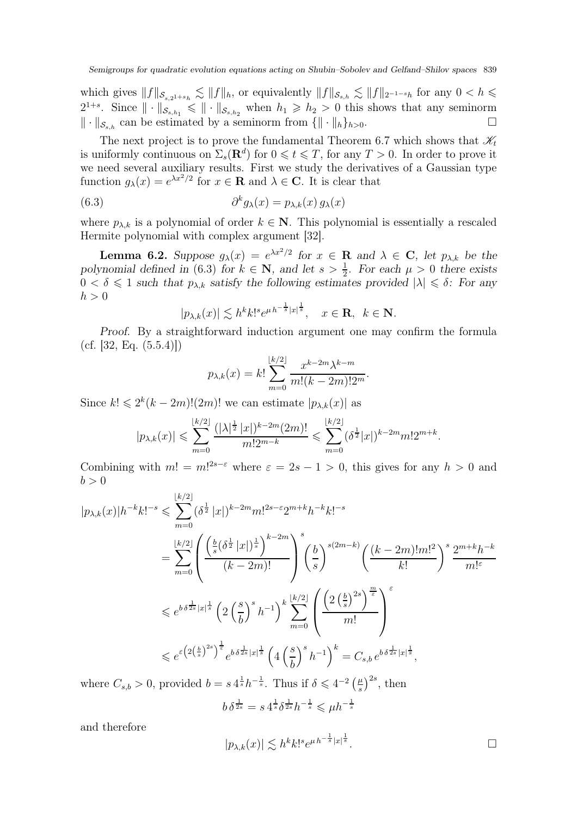which gives  $||f||_{\mathcal{S}_{s,2^{1+s}h}} \lesssim ||f||_h$ , or equivalently  $||f||_{\mathcal{S}_{s,h}} \lesssim ||f||_{2^{-1-s}h}$  for any  $0 < h \leq$  $2^{1+s}$ . Since  $\|\cdot\|_{\mathcal{S}_{s,h_1}} \leqslant \|\cdot\|_{\mathcal{S}_{s,h_2}}$  when  $h_1 \geqslant h_2 > 0$  this shows that any seminorm  $\|\cdot\|_{\mathcal{S}_{s,h}}$  can be estimated by a seminorm from  $\{\|\cdot\|_h\}_{h>0}$ .

The next project is to prove the fundamental Theorem [6.7](#page-22-0) which shows that  $\mathscr{K}_t$ is uniformly continuous on  $\Sigma_s(\mathbf{R}^d)$  for  $0 \leqslant t \leqslant T$ , for any  $T > 0$ . In order to prove it we need several auxiliary results. First we study the derivatives of a Gaussian type function  $g_{\lambda}(x) = e^{\lambda x^2/2}$  for  $x \in \mathbf{R}$  and  $\lambda \in \mathbf{C}$ . It is clear that

(6.3) 
$$
\partial^k g_\lambda(x) = p_{\lambda,k}(x) g_\lambda(x)
$$

where  $p_{\lambda,k}$  is a polynomial of order  $k \in \mathbb{N}$ . This polynomial is essentially a rescaled Hermite polynomial with complex argument [\[32\]](#page-31-23).

<span id="page-18-1"></span>**Lemma 6.2.** Suppose  $g_{\lambda}(x) = e^{\lambda x^2/2}$  for  $x \in \mathbf{R}$  and  $\lambda \in \mathbf{C}$ , let  $p_{\lambda,k}$  be the *polynomial defined in* [\(6.3\)](#page-18-0) *for*  $k \in \mathbb{N}$ *, and let*  $s > \frac{1}{2}$ *. For each*  $\mu > 0$  *there exists*  $0 < \delta \leq 1$  *such that*  $p_{\lambda,k}$  *satisfy the following estimates provided*  $|\lambda| \leq \delta$ *: For any*  $h > 0$ 

<span id="page-18-0"></span>
$$
|p_{\lambda,k}(x)| \lesssim h^k k!^s e^{\mu h^{-\frac{1}{s}}|x|^{\frac{1}{s}}}, \quad x \in \mathbf{R}, \ \ k \in \mathbf{N}.
$$

*Proof.* By a straightforward induction argument one may confirm the formula  $(cf. [32, Eq. (5.5.4)]$  $(cf. [32, Eq. (5.5.4)]$  $(cf. [32, Eq. (5.5.4)]$ 

$$
p_{\lambda,k}(x) = k! \sum_{m=0}^{\lfloor k/2 \rfloor} \frac{x^{k-2m} \lambda^{k-m}}{m!(k-2m)! 2^m}.
$$

Since  $k! \leq 2^k(k-2m)!(2m)!$  we can estimate  $|p_{\lambda,k}(x)|$  as

$$
|p_{\lambda,k}(x)| \leqslant \sum_{m=0}^{\lfloor k/2 \rfloor} \frac{(|\lambda|^{\frac{1}{2}} |x|)^{k-2m} (2m)!}{m! 2^{m-k}} \leqslant \sum_{m=0}^{\lfloor k/2 \rfloor} (\delta^{\frac{1}{2}} |x|)^{k-2m} m! 2^{m+k}.
$$

Combining with  $m! = m!^{2s-\epsilon}$  where  $\varepsilon = 2s - 1 > 0$ , this gives for any  $h > 0$  and  $b > 0$ 

$$
|p_{\lambda,k}(x)|h^{-k}k!^{-s} \leq \sum_{m=0}^{\lfloor k/2 \rfloor} (\delta^{\frac{1}{2}}|x|)^{k-2m} m!^{2s-\varepsilon} 2^{m+k} h^{-k} k!^{-s}
$$
  

$$
= \sum_{m=0}^{\lfloor k/2 \rfloor} \left( \frac{\left(\frac{b}{s} (\delta^{\frac{1}{2}}|x|)^{\frac{1}{s}}\right)^{k-2m}}{(k-2m)!} \right)^s \left(\frac{b}{s}\right)^{s(2m-k)} \left( \frac{(k-2m)!m!^2}{k!} \right)^s \frac{2^{m+k}h^{-k}}{m!^{\varepsilon}}
$$
  

$$
\leq e^{b \delta^{\frac{1}{2s}} |x|^{\frac{1}{s}}} \left( 2 \left( \frac{s}{b} \right)^s h^{-1} \right)^k \sum_{m=0}^{\lfloor k/2 \rfloor} \left( \frac{\left( 2 \left( \frac{b}{s} \right)^{2s} \right)^{\frac{m}{\varepsilon}}}{m!} \right)^{\varepsilon}
$$
  

$$
\leq e^{\varepsilon \left( 2 \left( \frac{b}{s} \right)^{2s} \right)^{\frac{1}{\varepsilon}}} e^{b \delta^{\frac{1}{2s}} |x|^{\frac{1}{s}}} \left( 4 \left( \frac{s}{b} \right)^s h^{-1} \right)^k = C_{s,b} e^{b \delta^{\frac{1}{2s}} |x|^{\frac{1}{s}}},
$$

where  $C_{s,b} > 0$ , provided  $b = s \frac{4}{s} h^{-\frac{1}{s}}$ . Thus if  $\delta \leq 4^{-2} \left(\frac{\mu}{s}\right)$  $\left(\frac{\mu}{s}\right)^{2s}$ , then

$$
b\,\delta^{\frac{1}{2s}} = s\,4^{\frac{1}{s}}\delta^{\frac{1}{2s}}h^{-\frac{1}{s}} \leqslant \mu h^{-\frac{1}{s}}
$$

and therefore

$$
|p_{\lambda,k}(x)| \lesssim h^k k!^s e^{\mu h^{-\frac{1}{s}}|x|^{\frac{1}{s}}}.
$$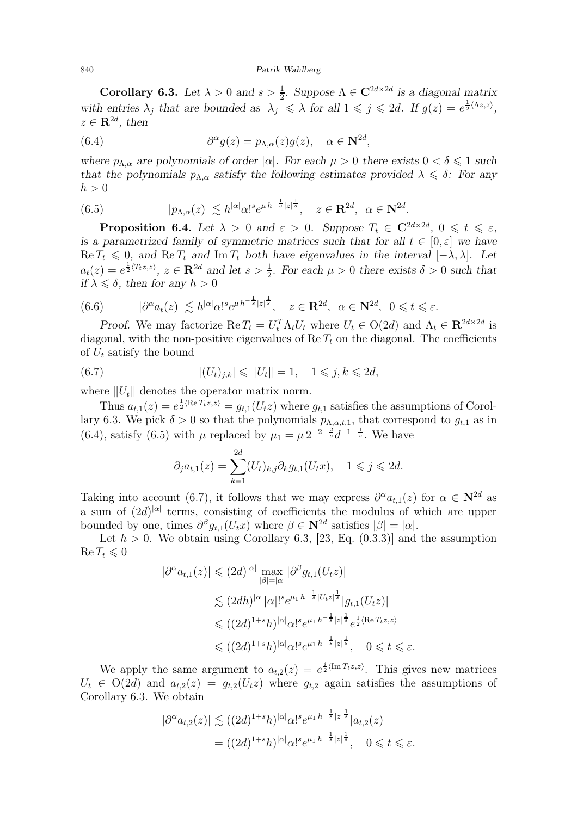#### 840 Patrik Wahlberg

<span id="page-19-0"></span>Corollary 6.3. Let  $\lambda > 0$  and  $s > \frac{1}{2}$ . Suppose  $\Lambda \in \mathbb{C}^{2d \times 2d}$  is a diagonal matrix with entries  $\lambda_j$  that are bounded as  $|\lambda_j| \leq \lambda$  for all  $1 \leq j \leq 2d$ . If  $g(z) = e^{\frac{1}{2}(\Lambda z, z)}$ ,  $z \in \mathbf{R}^{2d}$ , then

<span id="page-19-1"></span>(6.4) 
$$
\partial^{\alpha}g(z) = p_{\Lambda,\alpha}(z)g(z), \quad \alpha \in \mathbb{N}^{2d},
$$

*where*  $p_{\Lambda,\alpha}$  *are polynomials of order*  $|\alpha|$ *. For each*  $\mu > 0$  *there exists*  $0 < \delta \leq 1$  *such that the polynomials*  $p_{\Lambda,\alpha}$  *satisfy the following estimates provided*  $\lambda \leq \delta$ *: For any*  $h > 0$ 

<span id="page-19-2"></span>(6.5) 
$$
|p_{\Lambda,\alpha}(z)| \lesssim h^{|\alpha|} \alpha!^s e^{\mu h^{-\frac{1}{s}}|z|^{\frac{1}{s}}}, \quad z \in \mathbf{R}^{2d}, \ \alpha \in \mathbf{N}^{2d}.
$$

<span id="page-19-4"></span>**Proposition 6.4.** Let  $\lambda > 0$  and  $\varepsilon > 0$ . Suppose  $T_t \in \mathbb{C}^{2d \times 2d}$ ,  $0 \leq t \leq \varepsilon$ , *is a parametrized family of symmetric matrices such that for all*  $t \in [0, \varepsilon]$  *we have*  $\text{Re } T_t \leq 0$ , and  $\text{Re } T_t$  and  $\text{Im } T_t$  both have eigenvalues in the interval  $[-\lambda, \lambda]$ . Let  $a_t(z) = e^{\frac{1}{2}(T_t z, z)}$ ,  $z \in \mathbb{R}^{2d}$  and let  $s > \frac{1}{2}$ . For each  $\mu > 0$  there exists  $\delta > 0$  such that *if*  $\lambda \leq \delta$ *, then for any*  $h > 0$ 

<span id="page-19-5"></span>(6.6) 
$$
|\partial^{\alpha} a_t(z)| \lesssim h^{|\alpha|} \alpha!^{s} e^{\mu h^{-\frac{1}{s}} |z|^{\frac{1}{s}}}, \quad z \in \mathbf{R}^{2d}, \ \alpha \in \mathbf{N}^{2d}, \ 0 \leq t \leq \varepsilon.
$$

*Proof.* We may factorize  $\text{Re } T_t = U_t^T \Lambda_t U_t$  where  $U_t \in O(2d)$  and  $\Lambda_t \in \mathbb{R}^{2d \times 2d}$  is diagonal, with the non-positive eigenvalues of  $\text{Re } T_t$  on the diagonal. The coefficients of  $U_t$  satisfy the bound

(6.7) 
$$
|(U_t)_{j,k}| \leq ||U_t|| = 1, \quad 1 \leq j, k \leq 2d,
$$

where  $||U_t||$  denotes the operator matrix norm.

Thus  $a_{t,1}(z) = e^{\frac{1}{2} \langle \text{Re } T_t z, z \rangle} = g_{t,1}(U_t z)$  where  $g_{t,1}$  satisfies the assumptions of Corol-lary [6.3.](#page-19-0) We pick  $\delta > 0$  so that the polynomials  $p_{\Lambda,\alpha,t,1}$ , that correspond to  $g_{t,1}$  as in [\(6.4\)](#page-19-1), satisfy [\(6.5\)](#page-19-2) with  $\mu$  replaced by  $\mu_1 = \mu 2^{-2-\frac{2}{s}} d^{-1-\frac{1}{s}}$ . We have

<span id="page-19-3"></span>
$$
\partial_j a_{t,1}(z) = \sum_{k=1}^{2d} (U_t)_{k,j} \partial_k g_{t,1}(U_t x), \quad 1 \leqslant j \leqslant 2d.
$$

Taking into account [\(6.7\)](#page-19-3), it follows that we may express  $\partial^{\alpha} a_{t,1}(z)$  for  $\alpha \in \mathbb{N}^{2d}$  as a sum of  $(2d)^{|\alpha|}$  terms, consisting of coefficients the modulus of which are upper bounded by one, times  $\partial^{\beta} g_{t,1}(U_t x)$  where  $\beta \in \mathbb{N}^{2d}$  satisfies  $|\beta| = |\alpha|$ .

Let  $h > 0$ . We obtain using Corollary [6.3,](#page-19-0) [\[23,](#page-31-8) Eq. (0.3.3)] and the assumption  $\text{Re } T_t \leqslant 0$ 

$$
|\partial^{\alpha} a_{t,1}(z)| \leq (2d)^{|\alpha|} \max_{|\beta|=|\alpha|} |\partial^{\beta} g_{t,1}(U_t z)|
$$
  

$$
\lesssim (2dh)^{|\alpha|} |\alpha|!^{s} e^{\mu_1 h^{-\frac{1}{s}} |U_t z|^{\frac{1}{s}}} |g_{t,1}(U_t z)|
$$
  

$$
\leq (2d)^{1+s} h)^{|\alpha|} \alpha!^{s} e^{\mu_1 h^{-\frac{1}{s}} |z|^{\frac{1}{s}}} e^{\frac{1}{2} \langle \text{Re } T_t z, z \rangle}
$$
  

$$
\leq (2d)^{1+s} h)^{|\alpha|} \alpha!^{s} e^{\mu_1 h^{-\frac{1}{s}} |z|^{\frac{1}{s}}}, \quad 0 \leq t \leq \varepsilon.
$$

We apply the same argument to  $a_{t,2}(z) = e^{\frac{i}{2}(\operatorname{Im} T_t z, z)}$ . This gives new matrices  $U_t \in O(2d)$  and  $a_{t,2}(z) = g_{t,2}(U_t z)$  where  $g_{t,2}$  again satisfies the assumptions of Corollary [6.3.](#page-19-0) We obtain

$$
|\partial^{\alpha} a_{t,2}(z)| \lesssim ((2d)^{1+s}h)^{|\alpha|} \alpha!^{s} e^{\mu_1 h^{-\frac{1}{s}}|z|^{\frac{1}{s}}}|a_{t,2}(z)|
$$
  
= 
$$
((2d)^{1+s}h)^{|\alpha|} \alpha!^{s} e^{\mu_1 h^{-\frac{1}{s}}|z|^{\frac{1}{s}}}, \quad 0 \leq t \leq \varepsilon.
$$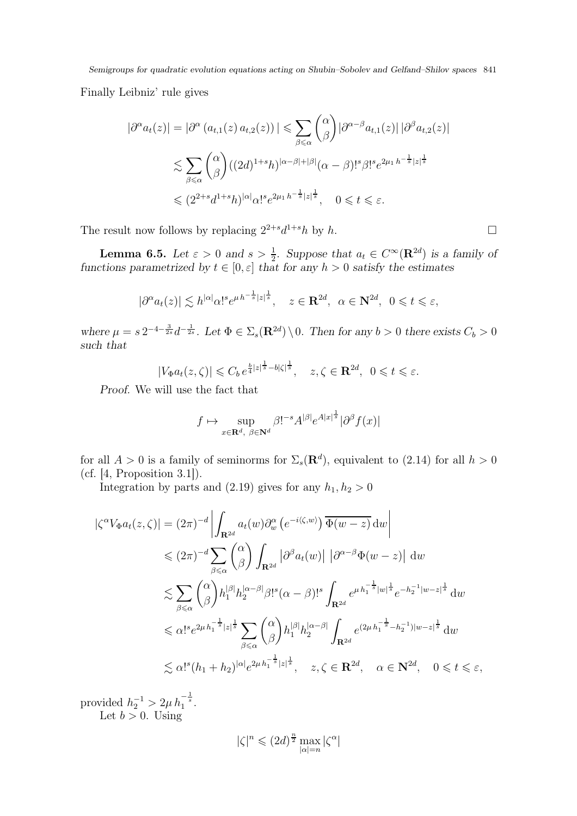Finally Leibniz' rule gives

$$
\begin{split} |\partial^{\alpha}a_{t}(z)| &= |\partial^{\alpha}\left(a_{t,1}(z)\,a_{t,2}(z)\right)| \leqslant \sum_{\beta\leqslant\alpha} \binom{\alpha}{\beta} |\partial^{\alpha-\beta}a_{t,1}(z)| \, |\partial^{\beta}a_{t,2}(z)| \\ &\lesssim \sum_{\beta\leqslant\alpha} \binom{\alpha}{\beta} ((2d)^{1+s}h)^{|\alpha-\beta|+|\beta|} (\alpha-\beta)!^{s} \beta!^{s} e^{2\mu_{1} \, h^{-\frac{1}{s}} |z|^{\frac{1}{s}}} \\ &\leqslant (2^{2+s}d^{1+s}h)^{|\alpha|} \alpha!^{s} e^{2\mu_{1} \, h^{-\frac{1}{s}} |z|^{\frac{1}{s}}}, \quad 0 \leqslant t \leqslant \varepsilon. \end{split}
$$

The result now follows by replacing  $2^{2+s}d^{1+s}h$  by h.  $\square$ 

<span id="page-20-0"></span>**Lemma 6.5.** *Let*  $\varepsilon > 0$  and  $s > \frac{1}{2}$ *. Suppose that*  $a_t \in C^\infty(\mathbb{R}^{2d})$  *is a family of functions parametrized by*  $t \in [0, \varepsilon]$  *that for any*  $h > 0$  *satisfy the estimates* 

$$
|\partial^{\alpha} a_t(z)| \lesssim h^{|\alpha|} \alpha!^{s} e^{\mu h^{-\frac{1}{s}} |z|^{\frac{1}{s}}}, \quad z \in \mathbf{R}^{2d}, \ \alpha \in \mathbf{N}^{2d}, \ 0 \leq t \leq \varepsilon,
$$

where  $\mu = s 2^{-4-\frac{3}{2s}} d^{-\frac{1}{2s}}$ . Let  $\Phi \in \Sigma_s(\mathbf{R}^{2d}) \setminus 0$ . Then for any  $b > 0$  there exists  $C_b > 0$ *such that*

$$
|V_{\Phi}a_t(z,\zeta)| \leqslant C_b e^{\frac{b}{4}|z|^{\frac{1}{s}}-b|\zeta|^{\frac{1}{s}}}, \quad z,\zeta \in \mathbf{R}^{2d}, \ \ 0 \leqslant t \leqslant \varepsilon.
$$

*Proof.* We will use the fact that

$$
f \mapsto \sup_{x \in \mathbf{R}^d, \ \beta \in \mathbf{N}^d} \beta!^{-s} A^{|\beta|} e^{A|x|^{\frac{1}{s}}}| \partial^\beta f(x)|
$$

for all  $A > 0$  is a family of seminorms for  $\Sigma_s(\mathbf{R}^d)$ , equivalent to [\(2.14\)](#page-4-1) for all  $h > 0$  $(cf. [4, Proposition 3.1]).$  $(cf. [4, Proposition 3.1]).$  $(cf. [4, Proposition 3.1]).$ 

Integration by parts and [\(2.19\)](#page-6-1) gives for any  $h_1, h_2 > 0$ 

$$
\begin{split}\n|\zeta^{\alpha}V_{\Phi}a_{t}(z,\zeta)| &= (2\pi)^{-d} \left| \int_{\mathbf{R}^{2d}} a_{t}(w) \partial_{w}^{\alpha} \left( e^{-i\langle \zeta, w \rangle} \right) \overline{\Phi(w-z)} \, \mathrm{d}w \right| \\
&\leqslant (2\pi)^{-d} \sum_{\beta \leqslant \alpha} \binom{\alpha}{\beta} \int_{\mathbf{R}^{2d}} \left| \partial^{\beta} a_{t}(w) \right| \left| \partial^{\alpha-\beta} \Phi(w-z) \right| \, \mathrm{d}w \\
&\lesssim \sum_{\beta \leqslant \alpha} \binom{\alpha}{\beta} h_{1}^{|\beta|} h_{2}^{|\alpha-\beta|} \beta!^{s} (\alpha-\beta)!^{s} \int_{\mathbf{R}^{2d}} e^{\mu h_{1}^{-\frac{1}{s}} |w|^{\frac{1}{s}}} e^{-h_{2}^{-1} |w-z|^{\frac{1}{s}}} \, \mathrm{d}w \\
&\leqslant \alpha!^{s} e^{2\mu h_{1}^{-\frac{1}{s}} |z|^{\frac{1}{s}}} \sum_{\beta \leqslant \alpha} \binom{\alpha}{\beta} h_{1}^{|\beta|} h_{2}^{|\alpha-\beta|} \int_{\mathbf{R}^{2d}} e^{(2\mu h_{1}^{-\frac{1}{s}} - h_{2}^{-1}) |w-z|^{\frac{1}{s}}} \, \mathrm{d}w \\
&\lesssim \alpha!^{s} (h_{1} + h_{2})^{|\alpha|} e^{2\mu h_{1}^{-\frac{1}{s}} |z|^{\frac{1}{s}}}, \quad z, \zeta \in \mathbf{R}^{2d}, \quad \alpha \in \mathbf{N}^{2d}, \quad 0 \leqslant t \leqslant \varepsilon,\n\end{split}
$$

provided  $h_2^{-1} > 2\mu h_1^{-\frac{1}{s}}$ . Let  $b > 0$ . Using

$$
|\zeta|^n\leqslant (2d)^{\frac{n}{2}}\max_{|\alpha|=n}|\zeta^\alpha|
$$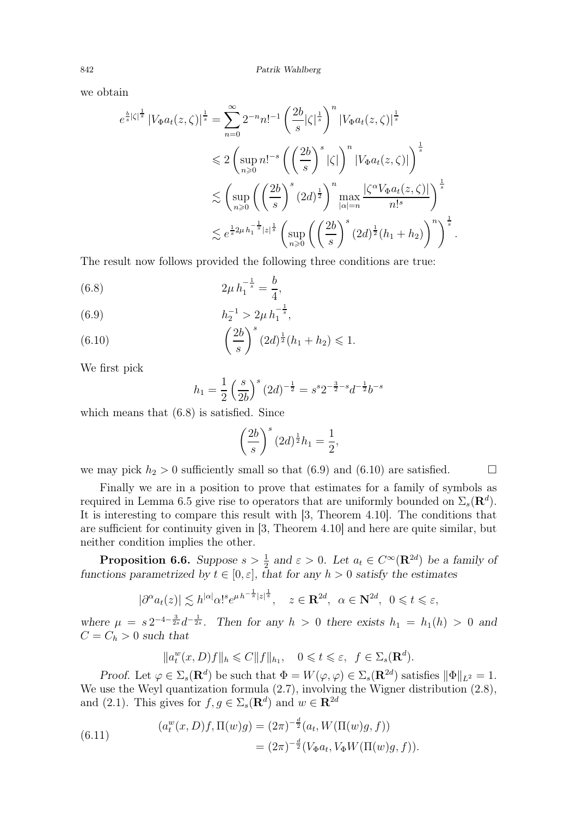we obtain

$$
e^{\frac{b}{s}|\zeta|^{\frac{1}{s}}}|V_{\Phi}a_{t}(z,\zeta)|^{\frac{1}{s}} = \sum_{n=0}^{\infty} 2^{-n} n!^{-1} \left(\frac{2b}{s}|\zeta|^{\frac{1}{s}}\right)^{n} |V_{\Phi}a_{t}(z,\zeta)|^{\frac{1}{s}}
$$
  

$$
\leq 2 \left(\sup_{n\geq 0} n!^{-s} \left(\left(\frac{2b}{s}\right)^{s}|\zeta|\right)^{n} |V_{\Phi}a_{t}(z,\zeta)|\right)^{\frac{1}{s}}
$$
  

$$
\lesssim \left(\sup_{n\geq 0} \left(\left(\frac{2b}{s}\right)^{s} (2d)^{\frac{1}{2}}\right)^{n} \max_{|\alpha|=n} \frac{|\zeta^{\alpha}V_{\Phi}a_{t}(z,\zeta)|}{n!^{s}}\right)^{\frac{1}{s}}
$$
  

$$
\lesssim e^{\frac{1}{s}2\mu h_{1}^{-\frac{1}{s}}|z|^{\frac{1}{s}}}\left(\sup_{n\geq 0} \left(\left(\frac{2b}{s}\right)^{s} (2d)^{\frac{1}{2}}(h_{1}+h_{2})\right)^{n}\right)^{\frac{1}{s}}.
$$

The result now follows provided the following three conditions are true:

<span id="page-21-0"></span>(6.8) 
$$
2\mu h_1^{-\frac{1}{s}} = \frac{b}{4},
$$

<span id="page-21-1"></span>(6.9) 
$$
h_2^{-1} > 2\mu h_1^{-\frac{1}{s}},
$$

<span id="page-21-2"></span>(6.10) 
$$
\left(\frac{2b}{s}\right)^s (2d)^{\frac{1}{2}}(h_1 + h_2) \leq 1.
$$

We first pick

$$
h_1 = \frac{1}{2} \left(\frac{s}{2b}\right)^s (2d)^{-\frac{1}{2}} = s^s 2^{-\frac{3}{2} - s} d^{-\frac{1}{2}} b^{-s}
$$

which means that  $(6.8)$  is satisfied. Since

$$
\left(\frac{2b}{s}\right)^s (2d)^{\frac{1}{2}}h_1 = \frac{1}{2},
$$

we may pick  $h_2 > 0$  sufficiently small so that [\(6.9\)](#page-21-1) and [\(6.10\)](#page-21-2) are satisfied.

Finally we are in a position to prove that estimates for a family of symbols as required in Lemma [6.5](#page-20-0) give rise to operators that are uniformly bounded on  $\Sigma_s(\mathbf{R}^d)$ . It is interesting to compare this result with [\[3,](#page-30-5) Theorem 4.10]. The conditions that are sufficient for continuity given in [\[3,](#page-30-5) Theorem 4.10] and here are quite similar, but neither condition implies the other.

<span id="page-21-4"></span>**Proposition 6.6.** Suppose  $s > \frac{1}{2}$  and  $\varepsilon > 0$ . Let  $a_t \in C^\infty(\mathbb{R}^{2d})$  be a family of *functions parametrized by*  $t \in [0, \varepsilon]$ *, that for any*  $h > 0$  *satisfy the estimates* 

$$
|\partial^{\alpha} a_t(z)| \lesssim h^{|\alpha|} \alpha!^{s} e^{\mu h^{-\frac{1}{s}} |z|^{\frac{1}{s}}}, \quad z \in \mathbf{R}^{2d}, \ \alpha \in \mathbf{N}^{2d}, \ 0 \leq t \leq \varepsilon,
$$

where  $\mu = s 2^{-4-\frac{3}{2s}} d^{-\frac{1}{2s}}$ . Then for any  $h > 0$  there exists  $h_1 = h_1(h) > 0$  and  $C = C_h > 0$  *such that* 

$$
||a_t^w(x,D)f||_h \leqslant C||f||_{h_1}, \quad 0 \leqslant t \leqslant \varepsilon, \ f \in \Sigma_s(\mathbf{R}^d).
$$

*Proof.* Let  $\varphi \in \Sigma_s(\mathbf{R}^d)$  be such that  $\Phi = W(\varphi, \varphi) \in \Sigma_s(\mathbf{R}^{2d})$  satisfies  $\|\Phi\|_{L^2} = 1$ . We use the Weyl quantization formula [\(2.7\)](#page-3-3), involving the Wigner distribution [\(2.8\)](#page-3-2), and [\(2.1\)](#page-2-1). This gives for  $f, g \in \Sigma_s(\mathbf{R}^d)$  and  $w \in \mathbf{R}^{2d}$ 

<span id="page-21-3"></span>(6.11) 
$$
(a_t^w(x, D)f, \Pi(w)g) = (2\pi)^{-\frac{d}{2}}(a_t, W(\Pi(w)g, f))
$$

$$
= (2\pi)^{-\frac{d}{2}}(V_{\Phi}a_t, V_{\Phi}W(\Pi(w)g, f)).
$$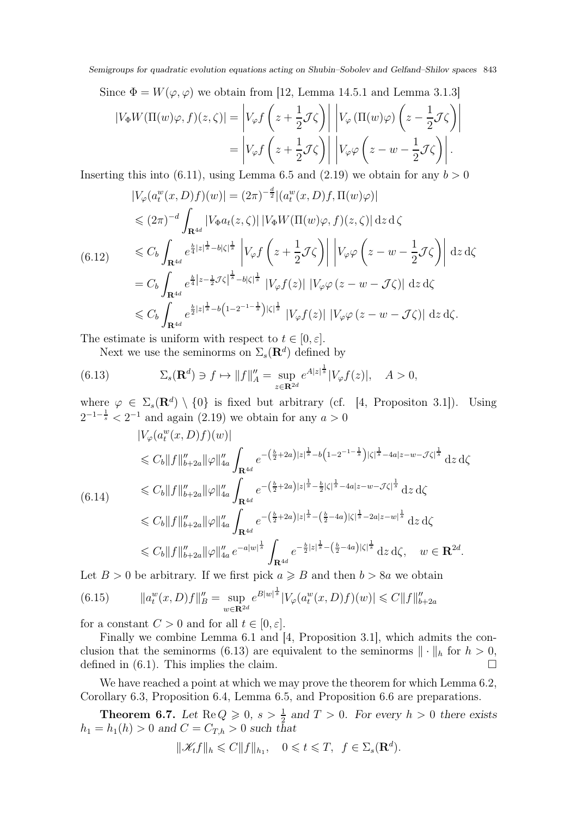Since  $\Phi = W(\varphi, \varphi)$  we obtain from [\[12,](#page-31-6) Lemma 14.5.1 and Lemma 3.1.3]

$$
|V_{\Phi}W(\Pi(w)\varphi, f)(z, \zeta)| = \left| V_{\varphi}f\left(z + \frac{1}{2}\mathcal{J}\zeta\right) \right| \left| V_{\varphi}(\Pi(w)\varphi)\left(z - \frac{1}{2}\mathcal{J}\zeta\right) \right|
$$
  
= 
$$
\left| V_{\varphi}f\left(z + \frac{1}{2}\mathcal{J}\zeta\right) \right| \left| V_{\varphi}\varphi\left(z - w - \frac{1}{2}\mathcal{J}\zeta\right) \right|.
$$

Inserting this into [\(6.11\)](#page-21-3), using Lemma [6.5](#page-20-0) and [\(2.19\)](#page-6-1) we obtain for any  $b > 0$ 

$$
|V_{\varphi}(a_{t}^{w}(x,D)f)(w)| = (2\pi)^{-\frac{d}{2}}|(a_{t}^{w}(x,D)f,\Pi(w)\varphi)|
$$
  
\n
$$
\leq (2\pi)^{-d} \int_{\mathbf{R}^{4d}} |V_{\Phi}a_{t}(z,\zeta)| |V_{\Phi}W(\Pi(w)\varphi,f)(z,\zeta)| dz d\zeta
$$
  
\n(6.12) 
$$
\leq C_{b} \int_{\mathbf{R}^{4d}} e^{\frac{b}{4}|z|^{\frac{1}{3}}-b|\zeta|^{\frac{1}{3}}} |V_{\varphi}f(z+\frac{1}{2}\mathcal{J}\zeta)| |V_{\varphi}\varphi(z-w-\frac{1}{2}\mathcal{J}\zeta)| dz d\zeta
$$
  
\n
$$
= C_{b} \int_{\mathbf{R}^{4d}} e^{\frac{b}{4}|z-\frac{1}{2}\mathcal{J}\zeta|^{\frac{1}{3}}-b|\zeta|^{\frac{1}{3}}}|V_{\varphi}f(z)| |V_{\varphi}\varphi(z-w-\mathcal{J}\zeta)| dz d\zeta
$$
  
\n
$$
\leq C_{b} \int_{\mathbf{R}^{4d}} e^{\frac{b}{2}|z|^{\frac{1}{3}}-b(1-2^{-1-\frac{1}{3}})|\zeta|^{\frac{1}{3}}}|V_{\varphi}f(z)| |V_{\varphi}\varphi(z-w-\mathcal{J}\zeta)| dz d\zeta.
$$

The estimate is uniform with respect to  $t \in [0, \varepsilon]$ .

<span id="page-22-1"></span>Next we use the seminorms on  $\Sigma_s(\mathbf{R}^d)$  defined by

(6.13) 
$$
\Sigma_s(\mathbf{R}^d) \ni f \mapsto ||f||_A'' = \sup_{z \in \mathbf{R}^{2d}} e^{A|z|^{\frac{1}{s}}}|V_{\varphi}f(z)|, \quad A > 0,
$$

where  $\varphi \in \Sigma_s(\mathbf{R}^d) \setminus \{0\}$  is fixed but arbitrary (cf. [\[4,](#page-30-0) Propositon 3.1]). Using  $2^{-1-\frac{1}{s}} < 2^{-1}$  and again [\(2.19\)](#page-6-1) we obtain for any  $a > 0$ 

$$
|V_{\varphi}(a_{t}^{w}(x,D)f)(w)|
$$
  
\n
$$
\leq C_{b}||f||_{b+2a}^{\prime\prime}||\varphi||_{4a}^{\prime\prime}\int_{\mathbf{R}^{4d}}e^{-\left(\frac{b}{2}+2a\right)|z|^{\frac{1}{8}}-b\left(1-2^{-1-\frac{1}{8}}\right)|\zeta|^{\frac{1}{8}}-4a|z-w-\mathcal{J}\zeta|^{\frac{1}{8}}}\,dz\,d\zeta
$$
  
\n(6.14)  
\n
$$
\leq C_{b}||f||_{b+2a}^{\prime\prime}||\varphi||_{4a}^{\prime\prime}\int_{\mathbf{R}^{4d}}e^{-\left(\frac{b}{2}+2a\right)|z|^{\frac{1}{8}}-\frac{b}{2}|\zeta|^{\frac{1}{8}}-4a|z-w-\mathcal{J}\zeta|^{\frac{1}{8}}}\,dz\,d\zeta
$$
  
\n
$$
\leq C_{b}||f||_{b+2a}^{\prime\prime}||\varphi||_{4a}^{\prime\prime}\int_{\mathbf{R}^{4d}}e^{-\left(\frac{b}{2}+2a\right)|z|^{\frac{1}{8}}-\left(\frac{b}{2}-4a\right)|\zeta|^{\frac{1}{8}}-2a|z-w|^{\frac{1}{8}}}\,dz\,d\zeta
$$
  
\n
$$
\leq C_{b}||f||_{b+2a}^{\prime\prime}||\varphi||_{4a}^{\prime}e^{-a|w|^{\frac{1}{8}}}\int_{\mathbf{R}^{4d}}e^{-\frac{b}{2}|z|^{\frac{1}{8}}-\left(\frac{b}{2}-4a\right)|\zeta|^{\frac{1}{8}}}\,dz\,d\zeta, \quad w \in \mathbf{R}^{2d}.
$$

Let  $B > 0$  be arbitrary. If we first pick  $a \ge B$  and then  $b > 8a$  we obtain

(6.15) 
$$
\|a_t^w(x,D)f\|_B'' = \sup_{w \in \mathbf{R}^{2d}} e^{B|w|^{\frac{1}{s}}}|V_\varphi(a_t^w(x,D)f)(w)| \leq C \|f\|_{b+2a}''
$$

for a constant  $C > 0$  and for all  $t \in [0, \varepsilon]$ .

Finally we combine Lemma [6.1](#page-17-0) and [\[4,](#page-30-0) Proposition 3.1], which admits the con-clusion that the seminorms [\(6.13\)](#page-22-1) are equivalent to the seminorms  $\|\cdot\|_h$  for  $h > 0$ , defined in [\(6.1\)](#page-17-1). This implies the claim.

We have reached a point at which we may prove the theorem for which Lemma [6.2,](#page-18-1) Corollary [6.3,](#page-19-0) Proposition [6.4,](#page-19-4) Lemma [6.5,](#page-20-0) and Proposition [6.6](#page-21-4) are preparations.

<span id="page-22-0"></span>**Theorem 6.7.** Let  $\text{Re } Q \geq 0$ ,  $s > \frac{1}{2}$  and  $T > 0$ . For every  $h > 0$  there exists  $h_1 = h_1(h) > 0$  and  $C = C_{T,h} > 0$  such that

$$
\|\mathscr{K}_t f\|_h \leqslant C \|f\|_{h_1}, \quad 0 \leqslant t \leqslant T, \ \ f \in \Sigma_s(\mathbf{R}^d).
$$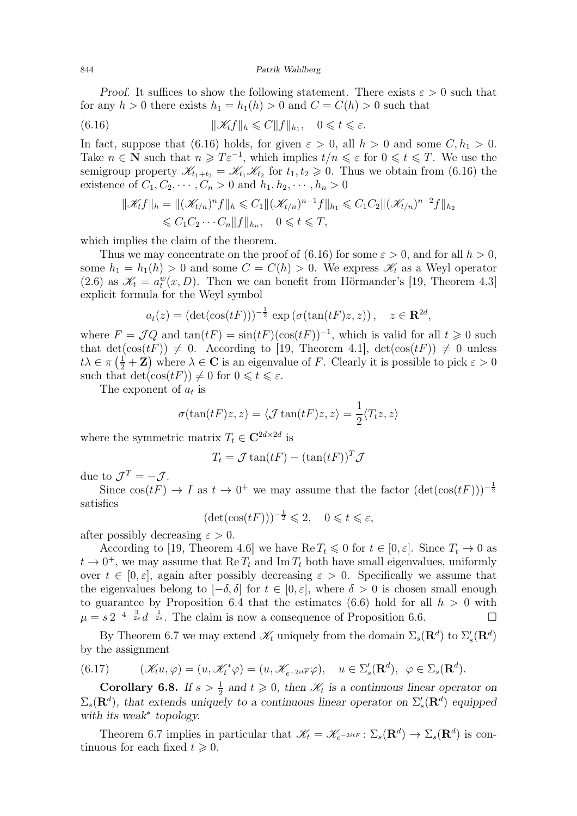*Proof.* It suffices to show the following statement. There exists  $\varepsilon > 0$  such that for any  $h > 0$  there exists  $h_1 = h_1(h) > 0$  and  $C = C(h) > 0$  such that

(6.16) 
$$
\|\mathscr{K}_t f\|_h \leqslant C \|f\|_{h_1}, \quad 0 \leqslant t \leqslant \varepsilon.
$$

In fact, suppose that [\(6.16\)](#page-23-0) holds, for given  $\varepsilon > 0$ , all  $h > 0$  and some  $C, h_1 > 0$ . Take  $n \in \mathbb{N}$  such that  $n \geq T \varepsilon^{-1}$ , which implies  $t/n \leq \varepsilon$  for  $0 \leq t \leq T$ . We use the semigroup property  $\mathscr{K}_{t_1+t_2} = \mathscr{K}_{t_1}\mathscr{K}_{t_2}$  for  $t_1, t_2 \geq 0$ . Thus we obtain from [\(6.16\)](#page-23-0) the existence of  $C_1, C_2, \cdots, C_n > 0$  and  $h_1, h_2, \cdots, h_n > 0$ 

<span id="page-23-0"></span>
$$
\|\mathcal{K}_t f\|_h = \|(\mathcal{K}_{t/n})^n f\|_h \leq C_1 \|(\mathcal{K}_{t/n})^{n-1} f\|_{h_1} \leq C_1 C_2 \|(\mathcal{K}_{t/n})^{n-2} f\|_{h_2} \leq C_1 C_2 \cdots C_n \|f\|_{h_n}, \quad 0 \leq t \leq T,
$$

which implies the claim of the theorem.

Thus we may concentrate on the proof of [\(6.16\)](#page-23-0) for some  $\varepsilon > 0$ , and for all  $h > 0$ , some  $h_1 = h_1(h) > 0$  and some  $C = C(h) > 0$ . We express  $\mathcal{K}_t$  as a Weyl operator [\(2.6\)](#page-2-5) as  $\mathcal{K}_t = a_t^w(x, D)$ . Then we can benefit from Hörmander's [\[19,](#page-31-0) Theorem 4.3] explicit formula for the Weyl symbol

$$
a_t(z) = (\det(\cos(tF)))^{-\frac{1}{2}} \exp(\sigma(\tan(tF)z, z)), \quad z \in \mathbf{R}^{2d},
$$

where  $F = \mathcal{J}Q$  and  $\tan(tF) = \sin(tF)(\cos(tF))^{-1}$ , which is valid for all  $t \geq 0$  such that  $\det(\cos(tF)) \neq 0$ . According to [\[19,](#page-31-0) Theorem 4.1],  $\det(\cos(tF)) \neq 0$  unless  $t\lambda \in \pi\left(\frac{1}{2} + \mathbf{Z}\right)$  where  $\lambda \in \mathbf{C}$  is an eigenvalue of F. Clearly it is possible to pick  $\varepsilon > 0$ such that  $\det(\cos(tF)) \neq 0$  for  $0 \leq t \leq \varepsilon$ .

The exponent of  $a_t$  is

$$
\sigma(\tan(tF)z, z) = \langle \mathcal{J} \tan(tF)z, z \rangle = \frac{1}{2} \langle T_t z, z \rangle
$$

where the symmetric matrix  $T_t \in \mathbb{C}^{2d \times 2d}$  is

$$
T_t = \mathcal{J} \tan(tF) - (\tan(tF))^T \mathcal{J}
$$

due to  $\mathcal{J}^T = -\mathcal{J}$ .

Since  $\cos(tF) \to I$  as  $t \to 0^+$  we may assume that the factor  $(\det(\cos(tF)))^{-\frac{1}{2}}$ satisfies

$$
(\det(\cos(tF)))^{-\frac{1}{2}} \leq 2, \quad 0 \leq t \leq \varepsilon,
$$

after possibly decreasing  $\varepsilon > 0$ .

According to [\[19,](#page-31-0) Theorem 4.6] we have  $\text{Re } T_t \leq 0$  for  $t \in [0, \varepsilon]$ . Since  $T_t \to 0$  as  $t \to 0^+$ , we may assume that  $\text{Re } T_t$  and  $\text{Im } T_t$  both have small eigenvalues, uniformly over  $t \in [0, \varepsilon]$ , again after possibly decreasing  $\varepsilon > 0$ . Specifically we assume that the eigenvalues belong to  $[-\delta, \delta]$  for  $t \in [0, \varepsilon]$ , where  $\delta > 0$  is chosen small enough to guarantee by Proposition [6.4](#page-19-4) that the estimates [\(6.6\)](#page-19-5) hold for all  $h > 0$  with  $\mu = s 2^{-4-\frac{3}{2s}} d^{-\frac{1}{2s}}$ . The claim is now a consequence of Proposition [6.6.](#page-21-4)

By Theorem [6.7](#page-22-0) we may extend  $\mathscr{K}_t$  uniquely from the domain  $\Sigma_s(\mathbf{R}^d)$  to  $\Sigma'_s(\mathbf{R}^d)$ by the assignment

<span id="page-23-2"></span>(6.17) 
$$
(\mathscr{K}_t u, \varphi) = (u, \mathscr{K}_t^* \varphi) = (u, \mathscr{K}_{e^{-2it\overline{F}}}\varphi), \quad u \in \Sigma_s'(\mathbf{R}^d), \quad \varphi \in \Sigma_s(\mathbf{R}^d).
$$

<span id="page-23-1"></span>**Corollary 6.8.** If  $s > \frac{1}{2}$  and  $t \geq 0$ , then  $\mathcal{K}_t$  is a continuous linear operator on  $\Sigma_s(\mathbf{R}^d)$ , that extends uniquely to a continuous linear operator on  $\Sigma'_s(\mathbf{R}^d)$  equipped *with its weak*<sup>∗</sup> *topology.*

Theorem [6.7](#page-22-0) implies in particular that  $\mathscr{K}_t = \mathscr{K}_{e^{-2itF}} \colon \Sigma_s(\mathbf{R}^d) \to \Sigma_s(\mathbf{R}^d)$  is continuous for each fixed  $t \geqslant 0$ .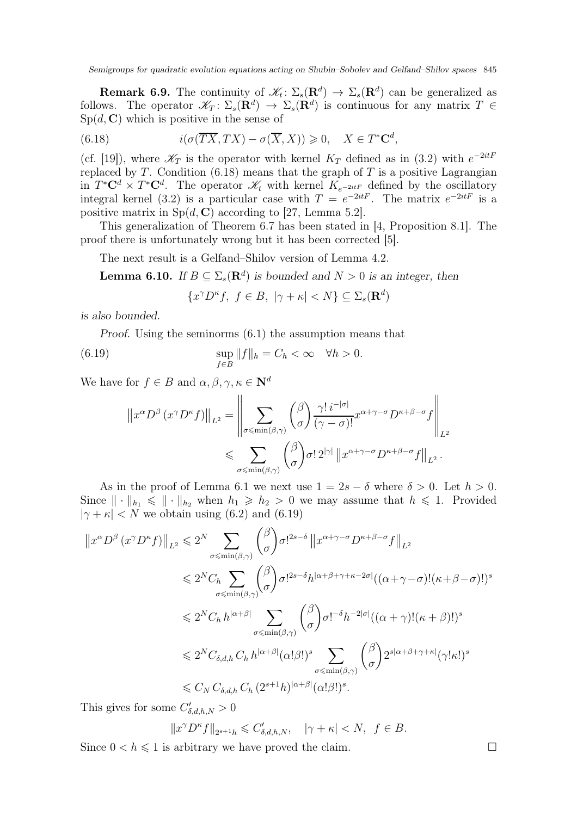**Remark 6.9.** The continuity of  $\mathscr{K}_t: \Sigma_s(\mathbf{R}^d) \to \Sigma_s(\mathbf{R}^d)$  can be generalized as follows. The operator  $\mathscr{K}_T\colon\Sigma_s(\mathbf{R}^d)\to\Sigma_s(\mathbf{R}^d)$  is continuous for any matrix  $T\in$  $\mathrm{Sp}(d,\mathbf{C})$  which is positive in the sense of

<span id="page-24-0"></span>(6.18) 
$$
i(\sigma(\overline{TX},TX) - \sigma(\overline{X},X)) \geq 0, \quad X \in T^*\mathbf{C}^d,
$$

(cf. [\[19\]](#page-31-0)), where  $\mathscr{K}_T$  is the operator with kernel  $K_T$  defined as in [\(3.2\)](#page-8-1) with  $e^{-2itF}$ replaced by  $T$ . Condition [\(6.18\)](#page-24-0) means that the graph of  $T$  is a positive Lagrangian in  $T^*{\bf C}^d \times T^*{\bf C}^d$ . The operator  $\mathscr{K}_t$  with kernel  $K_{e^{-2itF}}$  defined by the oscillatory integral kernel [\(3.2\)](#page-8-1) is a particular case with  $T = e^{-2itF}$ . The matrix  $e^{-2itF}$  is a positive matrix in  $Sp(d, \mathbb{C})$  according to [\[27,](#page-31-1) Lemma 5.2].

This generalization of Theorem [6.7](#page-22-0) has been stated in [\[4,](#page-30-0) Proposition 8.1]. The proof there is unfortunately wrong but it has been corrected [\[5\]](#page-30-6).

The next result is a Gelfand–Shilov version of Lemma [4.2.](#page-9-7)

<span id="page-24-2"></span>**Lemma 6.10.** *If*  $B \subseteq \Sigma_s(\mathbf{R}^d)$  *is bounded and*  $N > 0$  *is an integer, then* 

<span id="page-24-1"></span>
$$
\{x^{\gamma}D^{\kappa}f, f \in B, |\gamma + \kappa| < N\} \subseteq \Sigma_s(\mathbf{R}^d)
$$

*is also bounded.*

*Proof.* Using the seminorms [\(6.1\)](#page-17-1) the assumption means that

(6.19) 
$$
\sup_{f \in B} ||f||_h = C_h < \infty \quad \forall h > 0.
$$

We have for  $f \in B$  and  $\alpha, \beta, \gamma, \kappa \in \mathbb{N}^d$ 

$$
\|x^{\alpha}D^{\beta}(x^{\gamma}D^{\kappa}f)\|_{L^{2}} = \left\|\sum_{\sigma \leqslant \min(\beta,\gamma)} {\beta \choose \sigma} \frac{\gamma! \, i^{-|\sigma|}}{(\gamma - \sigma)!} x^{\alpha + \gamma - \sigma} D^{\kappa + \beta - \sigma}f\right\|_{L^{2}} \leq \sum_{\sigma \leqslant \min(\beta,\gamma)} {\beta \choose \sigma} \sigma! \, 2^{|\gamma|} \left\|x^{\alpha + \gamma - \sigma} D^{\kappa + \beta - \sigma}f\right\|_{L^{2}}.
$$

As in the proof of Lemma [6.1](#page-17-0) we next use  $1 = 2s - \delta$  where  $\delta > 0$ . Let  $h > 0$ . Since  $\|\cdot\|_{h_1} \leqslant \|\cdot\|_{h_2}$  when  $h_1 \geqslant h_2 > 0$  we may assume that  $h \leqslant 1$ . Provided  $|\gamma + \kappa| < N$  we obtain using [\(6.2\)](#page-17-2) and [\(6.19\)](#page-24-1)

$$
\|x^{\alpha}D^{\beta}(x^{\gamma}D^{\kappa}f)\|_{L^{2}} \leq 2^{N} \sum_{\sigma \leq \min(\beta,\gamma)} \binom{\beta}{\sigma} \sigma!^{2s-\delta} \|x^{\alpha+\gamma-\sigma}D^{\kappa+\beta-\sigma}f\|_{L^{2}}
$$
  

$$
\leq 2^{N}C_{h} \sum_{\sigma \leq \min(\beta,\gamma)} \binom{\beta}{\sigma} \sigma!^{2s-\delta}h^{|\alpha+\beta+\gamma+\kappa-2\sigma|}((\alpha+\gamma-\sigma)!(\kappa+\beta-\sigma)!)^{s}
$$
  

$$
\leq 2^{N}C_{h}h^{|\alpha+\beta|} \sum_{\sigma \leq \min(\beta,\gamma)} \binom{\beta}{\sigma} \sigma!^{-\delta}h^{-2|\sigma|}((\alpha+\gamma)!(\kappa+\beta)!)^{s}
$$
  

$$
\leq 2^{N}C_{\delta,d,h}C_{h}h^{|\alpha+\beta|}(\alpha!\beta!)^{s} \sum_{\sigma \leq \min(\beta,\gamma)} \binom{\beta}{\sigma} 2^{s|\alpha+\beta+\gamma+\kappa|}(\gamma!\kappa!)^{s}
$$
  

$$
\leq C_{N}C_{\delta,d,h}C_{h} (2^{s+1}h)^{|\alpha+\beta|}(\alpha!\beta!)^{s}.
$$

This gives for some  $C'_{\delta,d,h,N} > 0$ 

$$
||x^{\gamma}D^{\kappa}f||_{2^{s+1}h} \leq C'_{\delta,d,h,N}, \quad |\gamma + \kappa| < N, \ \ f \in B.
$$

Since  $0 < h \leq 1$  is arbitrary we have proved the claim.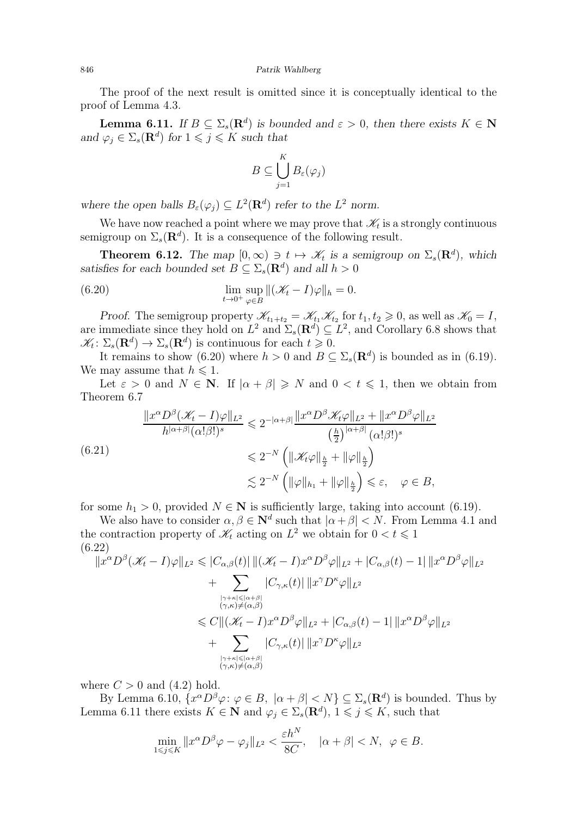The proof of the next result is omitted since it is conceptually identical to the proof of Lemma [4.3.](#page-10-1)

<span id="page-25-2"></span>**Lemma 6.11.** *If*  $B \subseteq \Sigma_s(\mathbf{R}^d)$  *is bounded and*  $\varepsilon > 0$ *, then there exists*  $K \in \mathbf{N}$ *and*  $\varphi_j \in \Sigma_s(\mathbf{R}^d)$  *for*  $1 \leqslant j \leqslant K$  *such that* 

<span id="page-25-1"></span>
$$
B \subseteq \bigcup_{j=1}^K B_{\varepsilon}(\varphi_j)
$$

where the open balls  $B_{\varepsilon}(\varphi_j) \subseteq L^2(\mathbf{R}^d)$  *refer to the*  $L^2$  *norm.* 

We have now reached a point where we may prove that  $\mathscr{K}_t$  is a strongly continuous semigroup on  $\Sigma_s(\mathbf{R}^d)$ . It is a consequence of the following result.

<span id="page-25-0"></span>**Theorem 6.12.** *The map*  $[0, \infty) \ni t \mapsto \mathcal{K}_t$  *is a semigroup on*  $\Sigma_s(\mathbf{R}^d)$ *, which satisfies for each bounded set*  $B \subseteq \Sigma_s(\mathbf{R}^d)$  *and all*  $h > 0$ 

(6.20) 
$$
\lim_{t \to 0^+} \sup_{\varphi \in B} ||(\mathcal{K}_t - I)\varphi||_h = 0.
$$

*Proof.* The semigroup property  $\mathscr{K}_{t_1+t_2} = \mathscr{K}_{t_1}\mathscr{K}_{t_2}$  for  $t_1, t_2 \geq 0$ , as well as  $\mathscr{K}_0 = I$ , are immediate since they hold on  $L^2$  and  $\Sigma_s(\mathbf{R}^d) \subseteq L^2$ , and Corollary [6.8](#page-23-1) shows that  $\mathscr{K}_t \colon \Sigma_s(\mathbf{R}^d) \to \Sigma_s(\mathbf{R}^d)$  is continuous for each  $t \geqslant 0$ .

It remains to show [\(6.20\)](#page-25-1) where  $h > 0$  and  $B \subseteq \Sigma_s(\mathbf{R}^d)$  is bounded as in [\(6.19\)](#page-24-1). We may assume that  $h \leq 1$ .

Let  $\varepsilon > 0$  and  $N \in \mathbb{N}$ . If  $|\alpha + \beta| \geq N$  and  $0 < t \leq 1$ , then we obtain from Theorem [6.7](#page-22-0)

<span id="page-25-4"></span>
$$
\frac{\|x^{\alpha}D^{\beta}(\mathcal{K}_t - I)\varphi\|_{L^2}}{h^{|\alpha+\beta|}(\alpha!\beta!)^s} \leq 2^{-|\alpha+\beta|} \frac{\|x^{\alpha}D^{\beta}\mathcal{K}_t\varphi\|_{L^2} + \|x^{\alpha}D^{\beta}\varphi\|_{L^2}}{\left(\frac{h}{2}\right)^{|\alpha+\beta|}(\alpha!\beta!)^s}
$$
\n(6.21)\n
$$
\leq 2^{-N} \left(\|\mathcal{K}_t\varphi\|_{\frac{h}{2}} + \|\varphi\|_{\frac{h}{2}}\right)
$$
\n
$$
\leq 2^{-N} \left(\|\varphi\|_{h_1} + \|\varphi\|_{\frac{h}{2}}\right) \leq \varepsilon, \quad \varphi \in B,
$$

for some  $h_1 > 0$ , provided  $N \in \mathbb{N}$  is sufficiently large, taking into account [\(6.19\)](#page-24-1).

We also have to consider  $\alpha, \beta \in \mathbb{N}^d$  such that  $|\alpha + \beta| < N$ . From Lemma [4.1](#page-9-6) and the contraction property of  $\mathcal{K}_t$  acting on  $L^2$  we obtain for  $0 < t \leq 1$ (6.22)

<span id="page-25-3"></span>
$$
\|x^{\alpha}D^{\beta}(\mathcal{K}_{t}-I)\varphi\|_{L^{2}} \leq |C_{\alpha,\beta}(t)| \, \|(\mathcal{K}_{t}-I)x^{\alpha}D^{\beta}\varphi\|_{L^{2}} + |C_{\alpha,\beta}(t)-1| \, \|x^{\alpha}D^{\beta}\varphi\|_{L^{2}} \n+ \sum_{\substack{|\gamma+\kappa|\leq |\alpha+\beta| \\ (\gamma,\kappa)\neq(\alpha,\beta) \\ +}} |C_{\gamma,\kappa}(t)| \, \|x^{\gamma}D^{\kappa}\varphi\|_{L^{2}} \n\leq C \, \|(\mathcal{K}_{t}-I)x^{\alpha}D^{\beta}\varphi\|_{L^{2}} + |C_{\alpha,\beta}(t)-1| \, \|x^{\alpha}D^{\beta}\varphi\|_{L^{2}} \n+ \sum_{\substack{|\gamma+\kappa|\leq |\alpha+\beta| \\ (\gamma,\kappa)\neq(\alpha,\beta) \\ \end{aligned}}
$$

where  $C > 0$  and  $(4.2)$  hold.

By Lemma [6.10,](#page-24-2)  $\{x^{\alpha}D^{\beta}\varphi\colon \varphi\in B, |\alpha+\beta| is bounded. Thus by$ Lemma [6.11](#page-25-2) there exists  $K \in \mathbb{N}$  and  $\varphi_j \in \Sigma_s(\mathbf{R}^d)$ ,  $1 \leqslant j \leqslant K$ , such that

$$
\min_{1 \le j \le K} \|x^{\alpha} D^{\beta} \varphi - \varphi_j\|_{L^2} < \frac{\varepsilon h^N}{8C}, \quad |\alpha + \beta| < N, \ \varphi \in B.
$$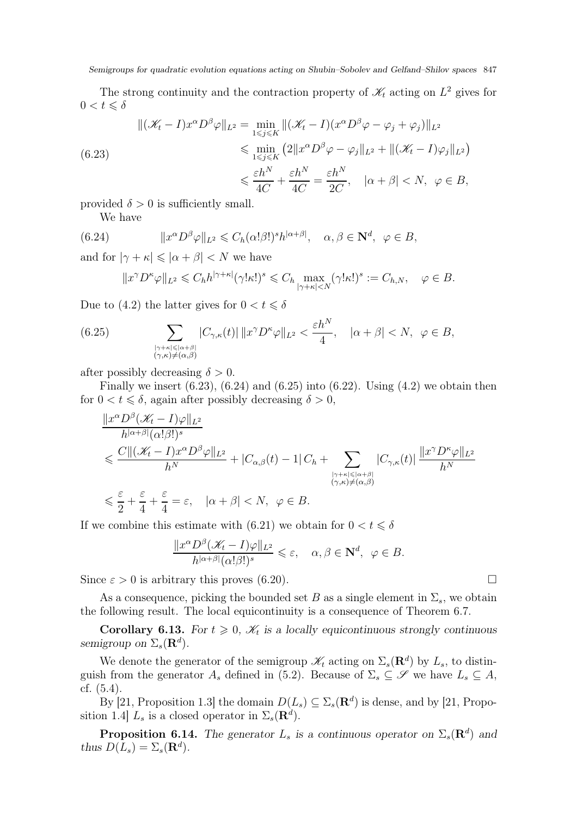The strong continuity and the contraction property of  $\mathcal{K}_t$  acting on  $L^2$  gives for  $0 < t \leq \delta$ 

<span id="page-26-0"></span>
$$
\|(\mathcal{K}_t - I)x^{\alpha}D^{\beta}\varphi\|_{L^2} = \min_{1 \le j \le K} \|(\mathcal{K}_t - I)(x^{\alpha}D^{\beta}\varphi - \varphi_j + \varphi_j)\|_{L^2}
$$
  
\n
$$
\le \min_{1 \le j \le K} (2\|x^{\alpha}D^{\beta}\varphi - \varphi_j\|_{L^2} + \|(\mathcal{K}_t - I)\varphi_j\|_{L^2})
$$
  
\n
$$
\le \frac{\varepsilon h^N}{4C} + \frac{\varepsilon h^N}{4C} = \frac{\varepsilon h^N}{2C}, \quad |\alpha + \beta| < N, \quad \varphi \in B,
$$

provided  $\delta > 0$  is sufficiently small.

We have

(6.24) 
$$
\|x^{\alpha}D^{\beta}\varphi\|_{L^{2}} \leq C_{h}(\alpha!\beta!)^{s}h^{|\alpha+\beta|}, \quad \alpha, \beta \in \mathbb{N}^{d}, \quad \varphi \in B,
$$

and for  $|\gamma + \kappa| \leq |\alpha + \beta| < N$  we have

<span id="page-26-2"></span><span id="page-26-1"></span>
$$
||x^{\gamma}D^{\kappa}\varphi||_{L^{2}} \leq C_{h}h^{|\gamma+\kappa|}(\gamma!\kappa!)^{s} \leq C_{h} \max_{|\gamma+\kappa|
$$

Due to [\(4.2\)](#page-9-1) the latter gives for  $0 < t \leq \delta$ 

(6.25) 
$$
\sum_{\substack{|\gamma+\kappa|\leqslant |\alpha+\beta|\\ (\gamma,\kappa)\neq(\alpha,\beta)}}|C_{\gamma,\kappa}(t)|\,||x^{\gamma}D^{\kappa}\varphi||_{L^{2}}<\frac{\varepsilon h^{N}}{4},\quad|\alpha+\beta|
$$

after possibly decreasing  $\delta > 0$ .

Finally we insert  $(6.23)$ ,  $(6.24)$  and  $(6.25)$  into  $(6.22)$ . Using  $(4.2)$  we obtain then for  $0 < t \leq \delta$ , again after possibly decreasing  $\delta > 0$ ,

$$
\frac{\|x^{\alpha}D^{\beta}(\mathcal{K}_t - I)\varphi\|_{L^2}}{h^{|\alpha+\beta|}(\alpha!\beta!)^s}
$$
\n
$$
\leq \frac{C\|(\mathcal{K}_t - I)x^{\alpha}D^{\beta}\varphi\|_{L^2}}{h^N} + |C_{\alpha,\beta}(t) - 1|C_h + \sum_{\substack{|\gamma+\kappa| \leq |\alpha+\beta| \\ (\gamma,\kappa)\neq(\alpha,\beta)}} |C_{\gamma,\kappa}(t)| \frac{\|x^{\gamma}D^{\kappa}\varphi\|_{L^2}}{h^N}
$$
\n
$$
\leq \frac{\varepsilon}{2} + \frac{\varepsilon}{4} + \frac{\varepsilon}{4} = \varepsilon, \quad |\alpha+\beta| < N, \quad \varphi \in B.
$$

If we combine this estimate with [\(6.21\)](#page-25-4) we obtain for  $0 < t \leq \delta$ 

$$
\frac{\|x^{\alpha}D^{\beta}(\mathcal{K}_t-I)\varphi\|_{L^2}}{h^{|\alpha+\beta|}(\alpha!\beta!)^s}\leqslant\varepsilon,\quad\alpha,\beta\in\mathbf{N}^d,\;\;\varphi\in B.
$$

Since  $\varepsilon > 0$  is arbitrary this proves [\(6.20\)](#page-25-1).

As a consequence, picking the bounded set B as a single element in  $\Sigma_s$ , we obtain the following result. The local equicontinuity is a consequence of Theorem [6.7.](#page-22-0)

**Corollary 6.13.** For  $t \geq 0$ ,  $\mathcal{K}_t$  is a locally equicontinuous strongly continuous *semigroup on*  $\Sigma_s(\mathbf{R}^d)$ .

We denote the generator of the semigroup  $\mathscr{K}_t$  acting on  $\Sigma_s(\mathbf{R}^d)$  by  $L_s$ , to distinguish from the generator  $A_s$  defined in [\(5.2\)](#page-13-2). Because of  $\Sigma_s \subseteq \mathscr{S}$  we have  $L_s \subseteq A$ , cf. [\(5.4\)](#page-14-0).

By [\[21,](#page-31-20) Proposition 1.3] the domain  $D(L_s) \subseteq \Sigma_s(\mathbf{R}^d)$  is dense, and by [21, Proposition 1.4]  $L_s$  is a closed operator in  $\Sigma_s(\mathbf{R}^d)$ .

**Proposition 6.14.** The generator  $L_s$  is a continuous operator on  $\Sigma_s(\mathbf{R}^d)$  and *thus*  $D(L_s) = \sum_s (\mathbf{R}^d)$ .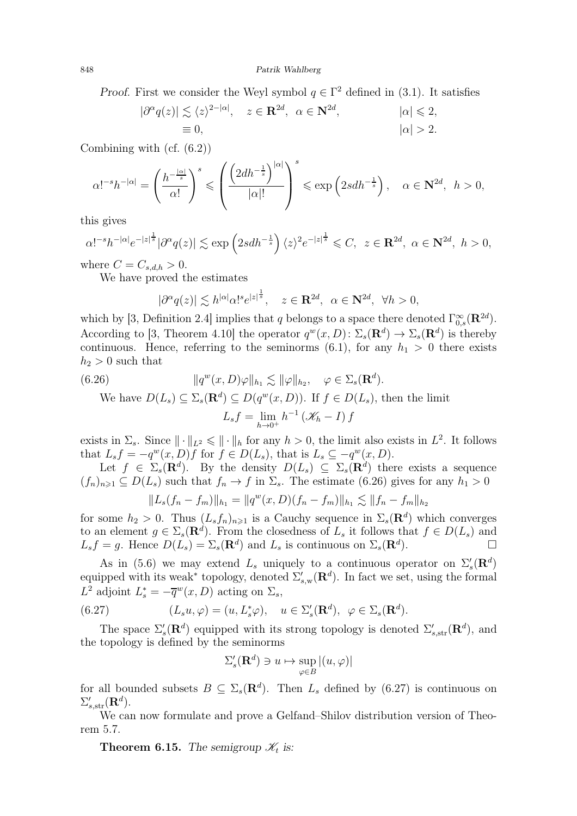*Proof.* First we consider the Weyl symbol  $q \in \Gamma^2$  defined in [\(3.1\)](#page-7-2). It satisfies

$$
|\partial^{\alpha}q(z)| \lesssim \langle z \rangle^{2-|\alpha|}, \quad z \in \mathbf{R}^{2d}, \quad \alpha \in \mathbf{N}^{2d}, \quad |\alpha| \leq 2,
$$
  
\n
$$
\equiv 0, \quad |\alpha| > 2.
$$

Combining with (cf. [\(6.2\)](#page-17-2))

$$
\alpha!^{-s}h^{-|\alpha|}=\left(\frac{h^{-\frac{|\alpha|}{s}}}{\alpha!}\right)^s\leqslant \left(\frac{\left(2dh^{-\frac{1}{s}}\right)^{|\alpha|}}{|\alpha|!}\right)^s\leqslant \exp\left(2sdh^{-\frac{1}{s}}\right), \quad \alpha\in{\bf N}^{2d}, \ \ h>0,
$$

this gives

$$
\alpha!^{-s}h^{-|\alpha|}e^{-|z|^{\frac{1}{s}}}| \partial^{\alpha}q(z)| \lesssim \exp\left(2sdh^{-\frac{1}{s}}\right)\langle z\rangle^2e^{-|z|^{\frac{1}{s}}}\leqslant C, \ z\in\mathbf{R}^{2d}, \ \alpha\in\mathbf{N}^{2d}, \ h>0,
$$

where  $C = C_{s,d,h} > 0$ .

We have proved the estimates

<span id="page-27-0"></span>
$$
|\partial^{\alpha}q(z)| \lesssim h^{|\alpha|}\alpha!^{s}e^{|z|^{\frac{1}{s}}}, \quad z \in \mathbf{R}^{2d}, \ \alpha \in \mathbf{N}^{2d}, \ \forall h > 0,
$$

which by [\[3,](#page-30-5) Definition 2.4] implies that q belongs to a space there denoted  $\Gamma_{0,s}^{\infty}(\mathbf{R}^{2d})$ . According to [\[3,](#page-30-5) Theorem 4.10] the operator  $q^w(x, D)$ :  $\Sigma_s(\mathbf{R}^d) \to \Sigma_s(\mathbf{R}^d)$  is thereby continuous. Hence, referring to the seminorms  $(6.1)$ , for any  $h_1 > 0$  there exists  $h_2 > 0$  such that

(6.26) 
$$
||q^{w}(x,D)\varphi||_{h_{1}} \lesssim ||\varphi||_{h_{2}}, \quad \varphi \in \Sigma_{s}(\mathbf{R}^{d}).
$$
  
We have  $D(L_{s}) \subseteq \Sigma_{s}(\mathbf{R}^{d}) \subseteq D(q^{w}(x,D)).$  If  $f \in D(L_{s})$ , then the limit 
$$
L_{s}f = \lim_{h \to 0^{+}} h^{-1} (\mathscr{K}_{h} - I) f
$$

exists in  $\Sigma_s$ . Since  $\|\cdot\|_{L^2} \leqslant \|\cdot\|_h$  for any  $h > 0$ , the limit also exists in  $L^2$ . It follows that  $L_s f = -q^w(x, D)f$  for  $f \in D(L_s)$ , that is  $L_s \subseteq -q^w(x, D)$ .

Let  $f \in \Sigma_s(\mathbf{R}^d)$ . By the density  $D(L_s) \subseteq \Sigma_s(\mathbf{R}^d)$  there exists a sequence  $(f_n)_{n\geq 1} \subseteq D(L_s)$  such that  $f_n \to f$  in  $\Sigma_s$ . The estimate [\(6.26\)](#page-27-0) gives for any  $h_1 > 0$ 

$$
||L_s(f_n - f_m)||_{h_1} = ||q^w(x, D)(f_n - f_m)||_{h_1} \lesssim ||f_n - f_m||_{h_2}
$$

for some  $h_2 > 0$ . Thus  $(L_s f_n)_{n \geq 1}$  is a Cauchy sequence in  $\Sigma_s(\mathbf{R}^d)$  which converges to an element  $g \in \Sigma_s(\mathbf{R}^d)$ . From the closedness of  $L_s$  it follows that  $f \in D(L_s)$  and  $L_s f = g$ . Hence  $D(L_s) = \Sigma_s(\mathbf{R}^d)$  and  $L_s$  is continuous on  $\Sigma_s(\mathbf{R}^d)$  $\Box$ 

As in [\(5.6\)](#page-14-6) we may extend  $L_s$  uniquely to a continuous operator on  $\Sigma_s'(\mathbf{R}^d)$ equipped with its weak<sup>∗</sup> topology, denoted  $\Sigma_{s,w}'(\mathbf{R}^d)$ . In fact we set, using the formal  $L^2$  adjoint  $L_s^* = -\overline{q}^w(x, D)$  acting on  $\Sigma_s$ ,

(6.27) 
$$
(L_s u, \varphi) = (u, L_s^* \varphi), \quad u \in \Sigma_s'(\mathbf{R}^d), \quad \varphi \in \Sigma_s(\mathbf{R}^d).
$$

The space  $\Sigma_s'(\mathbf{R}^d)$  equipped with its strong topology is denoted  $\Sigma_{s,\text{str}}'(\mathbf{R}^d)$ , and the topology is defined by the seminorms

<span id="page-27-1"></span>
$$
\Sigma_s'(\mathbf{R}^d) \ni u \mapsto \sup_{\varphi \in B} |(u, \varphi)|
$$

for all bounded subsets  $B \subseteq \Sigma_s(\mathbf{R}^d)$ . Then  $L_s$  defined by [\(6.27\)](#page-27-1) is continuous on  $\Sigma_{s,\rm str}'({\bf R}^d).$ 

We can now formulate and prove a Gelfand–Shilov distribution version of Theorem [5.7.](#page-16-2)

**Theorem 6.15.** The semigroup  $\mathcal{K}_t$  is: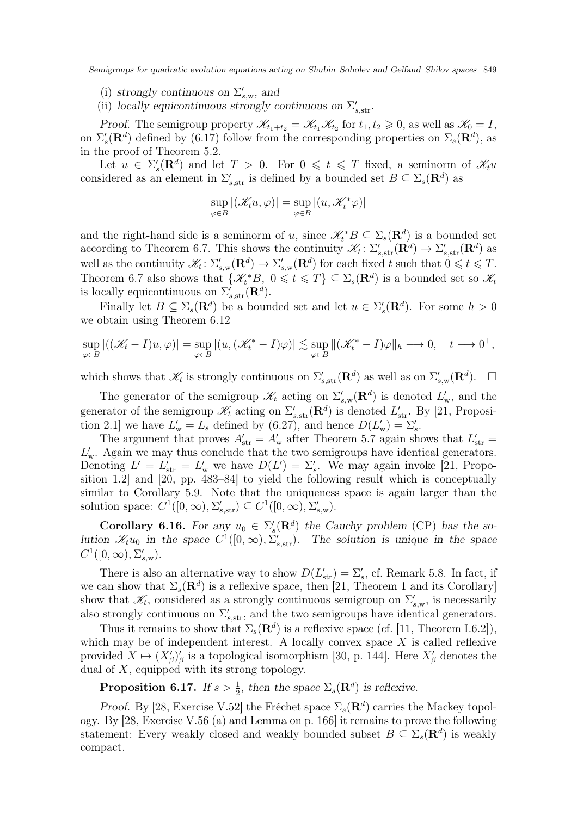- (i) *strongly continuous on*  $\Sigma'_{s,w}$ *, and*
- (ii) *locally equicontinuous strongly continuous on*  $\Sigma'_{s,\text{str}}$ *.*

*Proof.* The semigroup property  $\mathscr{K}_{t_1+t_2} = \mathscr{K}_{t_1}\mathscr{K}_{t_2}$  for  $t_1, t_2 \geq 0$ , as well as  $\mathscr{K}_0 = I$ , on  $\Sigma_s'(\mathbf{R}^d)$  defined by [\(6.17\)](#page-23-2) follow from the corresponding properties on  $\Sigma_s(\mathbf{R}^d)$ , as in the proof of Theorem [5.2.](#page-13-0)

Let  $u \in \Sigma_s'(\mathbf{R}^d)$  and let  $T > 0$ . For  $0 \leqslant t \leqslant T$  fixed, a seminorm of  $\mathscr{K}_t u$ considered as an element in  $\Sigma'_{s,str}$  is defined by a bounded set  $B \subseteq \Sigma_s(\mathbf{R}^d)$  as

$$
\sup_{\varphi \in B} |(\mathcal{K}_t u, \varphi)| = \sup_{\varphi \in B} |(u, \mathcal{K}_t^* \varphi)|
$$

and the right-hand side is a seminorm of u, since  $\mathscr{K}_t^*B \subseteq \Sigma_s(\mathbf{R}^d)$  is a bounded set according to Theorem [6.7.](#page-22-0) This shows the continuity  $\mathscr{K}_t \colon \Sigma'_{s,\text{str}}(\mathbf{R}^d) \to \Sigma'_{s,\text{str}}(\mathbf{R}^d)$  as well as the continuity  $\mathscr{K}_t \colon \Sigma'_{s,w}(\mathbf{R}^d) \to \Sigma'_{s,w}(\mathbf{R}^d)$  for each fixed t such that  $0 \leqslant t \leqslant T$ . Theorem [6.7](#page-22-0) also shows that  $\{\mathscr{K}_t^*B, 0 \leq t \leq T\} \subseteq \Sigma_s(\mathbf{R}^d)$  is a bounded set so  $\mathscr{K}_t$ is locally equicontinuous on  $\Sigma_{s,\text{str}}'(\mathbf{R}^d)$ .

Finally let  $B \subseteq \Sigma_s(\mathbf{R}^d)$  be a bounded set and let  $u \in \Sigma'_s(\mathbf{R}^d)$ . For some  $h > 0$ we obtain using Theorem [6.12](#page-25-0)

$$
\sup_{\varphi \in B} |((\mathscr{K}_t - I)u, \varphi)| = \sup_{\varphi \in B} |(u, (\mathscr{K}_t^* - I)\varphi)| \lesssim \sup_{\varphi \in B} \|(\mathscr{K}_t^* - I)\varphi\|_h \longrightarrow 0, \quad t \longrightarrow 0^+,
$$

which shows that  $\mathscr{K}_t$  is strongly continuous on  $\Sigma'_{s,\text{str}}(\mathbf{R}^d)$  as well as on  $\Sigma'_{s,\text{w}}(\mathbf{R}^d)$ .  $\Box$ 

The generator of the semigroup  $\mathscr{K}_t$  acting on  $\Sigma'_{s,w}(\mathbf{R}^d)$  is denoted  $L'_{w}$ , and the generator of the semigroup  $\mathscr{K}_t$  acting on  $\Sigma'_{s,\rm str}(\mathbf{R}^d)$  is denoted  $L'_{\rm str}$ . By [\[21,](#page-31-20) Proposition 2.1] we have  $L'_{w} = L_{s}$  defined by [\(6.27\)](#page-27-1), and hence  $D(L'_{w}) = \Sigma'_{s}$ .

The argument that proves  $A'_{\rm str} = A'_{\rm w}$  after Theorem [5.7](#page-16-2) again shows that  $L'_{\rm str} =$  $L'_{\rm w}$ . Again we may thus conclude that the two semigroups have identical generators. Denoting  $L' = L'_{str} = L'_{w}$  we have  $D(L') = \Sigma'_{s}$ . We may again invoke [\[21,](#page-31-20) Proposition 1.2] and [\[20,](#page-31-21) pp. 483–84] to yield the following result which is conceptually similar to Corollary [5.9.](#page-16-3) Note that the uniqueness space is again larger than the solution space:  $C^1([0,\infty), \Sigma'_{s,\text{str}}) \subseteq C^1([0,\infty), \Sigma'_{s,\text{w}})$ .

**Corollary 6.16.** For any  $u_0 \in \Sigma_s'(\mathbf{R}^d)$  the Cauchy problem [\(CP\)](#page-7-1) has the so*lution*  $\mathscr{K}_t u_0$  *in the space*  $C^1([0,\infty), \Sigma'_{s,\text{str}})$ *. The solution is unique in the space*  $C^{1}([0, \infty), \Sigma'_{s,w}).$ 

There is also an alternative way to show  $D(L'_{str}) = \sum'_{s}$ , cf. Remark [5.8.](#page-16-4) In fact, if we can show that  $\Sigma_s(\mathbf{R}^d)$  is a reflexive space, then [\[21,](#page-31-20) Theorem 1 and its Corollary] show that  $\mathscr{K}_t$ , considered as a strongly continuous semigroup on  $\Sigma'_{s,w}$ , is necessarily also strongly continuous on  $\Sigma'_{s,str}$ , and the two semigroups have identical generators.

Thus it remains to show that  $\Sigma_s(\mathbf{R}^d)$  is a reflexive space (cf. [\[11,](#page-31-13) Theorem I.6.2]), which may be of independent interest. A locally convex space  $X$  is called reflexive provided  $X \mapsto (X'_{\beta})'_{\beta}$  is a topological isomorphism [\[30,](#page-31-15) p. 144]. Here  $X'_{\beta}$  denotes the dual of X, equipped with its strong topology.

**Proposition 6.17.** *If*  $s > \frac{1}{2}$ , *then the space*  $\Sigma_s(\mathbf{R}^d)$  *is reflexive.* 

<span id="page-28-0"></span>*Proof.* By [\[28,](#page-31-17) Exercise V.52] the Fréchet space  $\Sigma_s(\mathbf{R}^d)$  carries the Mackey topology. By [\[28,](#page-31-17) Exercise V.56 (a) and Lemma on p. 166] it remains to prove the following statement: Every weakly closed and weakly bounded subset  $B \subseteq \Sigma_s(\mathbf{R}^d)$  is weakly compact.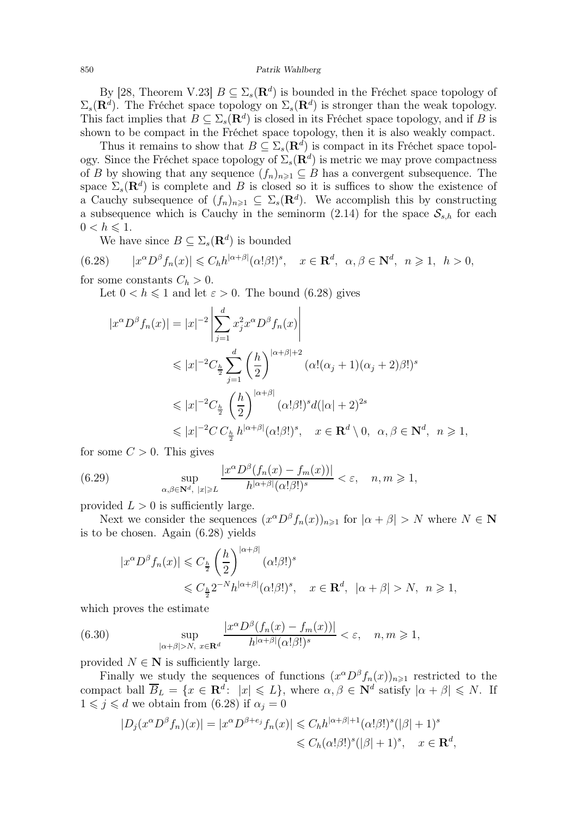By [\[28,](#page-31-17) Theorem V.23]  $B \subseteq \Sigma_s(\mathbf{R}^d)$  is bounded in the Fréchet space topology of  $\Sigma_s(\mathbf{R}^d)$ . The Fréchet space topology on  $\Sigma_s(\mathbf{R}^d)$  is stronger than the weak topology. This fact implies that  $B \subseteq \Sigma_s(\mathbf{R}^d)$  is closed in its Fréchet space topology, and if B is shown to be compact in the Fréchet space topology, then it is also weakly compact.

Thus it remains to show that  $B \subseteq \Sigma_s(\mathbf{R}^d)$  is compact in its Fréchet space topology. Since the Fréchet space topology of  $\Sigma_s(\mathbf{R}^d)$  is metric we may prove compactness of B by showing that any sequence  $(f_n)_{n\geq 1} \subseteq B$  has a convergent subsequence. The space  $\Sigma_s(\mathbf{R}^d)$  is complete and B is closed so it is suffices to show the existence of a Cauchy subsequence of  $(f_n)_{n\geq 1} \subseteq \Sigma_s(\mathbf{R}^d)$ . We accomplish this by constructing a subsequence which is Cauchy in the seminorm [\(2.14\)](#page-4-1) for the space  $S_{s,h}$  for each  $0 < h \leqslant 1$ .

<span id="page-29-0"></span>We have since  $B \subseteq \Sigma_s(\mathbf{R}^d)$  is bounded

(6.28) 
$$
|x^{\alpha}D^{\beta}f_n(x)| \leq C_h h^{|\alpha+\beta|}(\alpha!\beta!)^s
$$
,  $x \in \mathbb{R}^d$ ,  $\alpha, \beta \in \mathbb{N}^d$ ,  $n \geq 1$ ,  $h > 0$ ,

for some constants  $C_h > 0$ .

Let  $0 < h \leq 1$  and let  $\varepsilon > 0$ . The bound [\(6.28\)](#page-29-0) gives

$$
|x^{\alpha}D^{\beta}f_n(x)| = |x|^{-2} \left| \sum_{j=1}^d x_j^2 x^{\alpha} D^{\beta} f_n(x) \right|
$$
  

$$
\leq |x|^{-2} C_{\frac{h}{2}} \sum_{j=1}^d \left( \frac{h}{2} \right)^{|\alpha+\beta|+2} (\alpha! (\alpha_j+1) (\alpha_j+2)\beta!)^s
$$
  

$$
\leq |x|^{-2} C_{\frac{h}{2}} \left( \frac{h}{2} \right)^{|\alpha+\beta|} (\alpha! \beta!)^s d(|\alpha|+2)^{2s}
$$
  

$$
\leq |x|^{-2} C C_{\frac{h}{2}} h^{|\alpha+\beta|} (\alpha! \beta!)^s, \quad x \in \mathbf{R}^d \setminus 0, \ \alpha, \beta \in \mathbf{N}^d, \ n \geq 1,
$$

for some  $C > 0$ . This gives

<span id="page-29-1"></span>(6.29) 
$$
\sup_{\alpha,\beta\in\mathbf{N}^d,\ |x|\geqslant L} \frac{|x^{\alpha}D^{\beta}(f_n(x)-f_m(x))|}{h^{|\alpha+\beta|}(\alpha!\beta!)^s} < \varepsilon, \quad n,m\geqslant 1,
$$

provided  $L > 0$  is sufficiently large.

Next we consider the sequences  $(x^{\alpha}D^{\beta}f_n(x))_{n\geqslant 1}$  for  $|\alpha + \beta| > N$  where  $N \in \mathbb{N}$ is to be chosen. Again [\(6.28\)](#page-29-0) yields

$$
|x^{\alpha}D^{\beta}f_n(x)| \leq C_{\frac{h}{2}}\left(\frac{h}{2}\right)^{|\alpha+\beta|}(\alpha!\beta!)^s
$$
  

$$
\leq C_{\frac{h}{2}}2^{-N}h^{|\alpha+\beta|}(\alpha!\beta!)^s, \quad x \in \mathbf{R}^d, \ |\alpha+\beta| > N, \ n \geq 1,
$$

which proves the estimate

<span id="page-29-2"></span>(6.30) 
$$
\sup_{|\alpha+\beta|>N, x\in\mathbf{R}^d} \frac{|x^{\alpha}D^{\beta}(f_n(x)-f_m(x))|}{h^{|\alpha+\beta|}(\alpha!\beta!)^s} < \varepsilon, \quad n, m \geq 1,
$$

provided  $N \in \mathbb{N}$  is sufficiently large.

Finally we study the sequences of functions  $(x^{\alpha}D^{\beta}f_n(x))_{n\geqslant1}$  restricted to the compact ball  $\overline{B}_L = \{x \in \mathbf{R}^d : |x| \leq L\}$ , where  $\alpha, \beta \in \mathbf{N}^d$  satisfy  $|\alpha + \beta| \leq N$ . If  $1 \leq j \leq d$  we obtain from [\(6.28\)](#page-29-0) if  $\alpha_j = 0$ 

$$
|D_j(x^{\alpha}D^{\beta}f_n)(x)| = |x^{\alpha}D^{\beta+e_j}f_n(x)| \leq C_h h^{|\alpha+\beta|+1}(\alpha!\beta!)^s (|\beta|+1)^s
$$
  

$$
\leq C_h(\alpha!\beta!)^s (|\beta|+1)^s, \quad x \in \mathbf{R}^d,
$$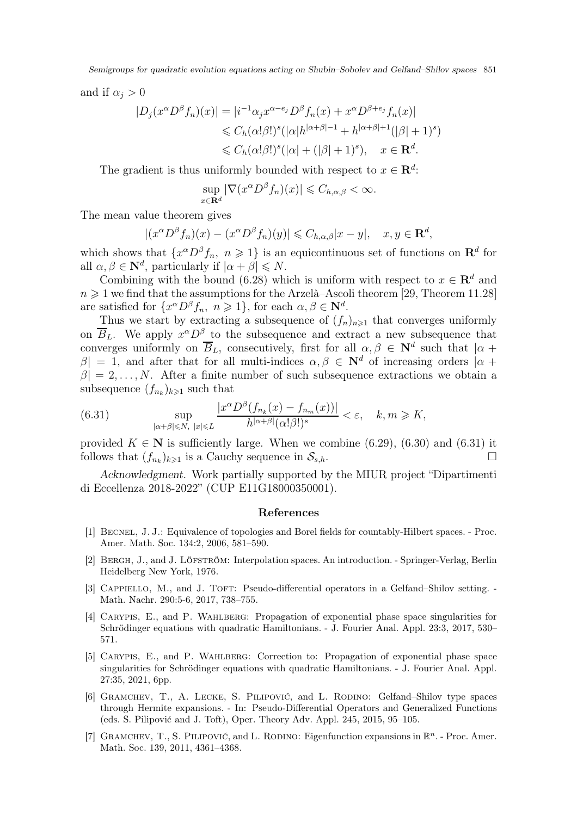and if  $\alpha_i > 0$ 

$$
|D_j(x^{\alpha}D^{\beta}f_n)(x)| = |i^{-1}\alpha_j x^{\alpha - e_j}D^{\beta}f_n(x) + x^{\alpha}D^{\beta + e_j}f_n(x)|
$$
  
\n
$$
\leq C_h(\alpha! \beta!)^s (|\alpha|h^{|\alpha + \beta|-1} + h^{|\alpha + \beta|+1}(|\beta| + 1)^s)
$$
  
\n
$$
\leq C_h(\alpha! \beta!)^s (|\alpha| + (|\beta| + 1)^s), \quad x \in \mathbf{R}^d.
$$

The gradient is thus uniformly bounded with respect to  $x \in \mathbb{R}^d$ :

$$
\sup_{x \in \mathbf{R}^d} |\nabla (x^{\alpha} D^{\beta} f_n)(x)| \leqslant C_{h,\alpha,\beta} < \infty.
$$

The mean value theorem gives

$$
|(x^{\alpha}D^{\beta}f_n)(x)-(x^{\alpha}D^{\beta}f_n)(y)|\leq C_{h,\alpha,\beta}|x-y|, \quad x,y\in\mathbf{R}^d,
$$

which shows that  $\{x^{\alpha}D^{\beta}f_n, n\geqslant 1\}$  is an equicontinuous set of functions on  $\mathbb{R}^d$  for all  $\alpha, \beta \in \mathbf{N}^d$ , particularly if  $|\alpha + \beta| \le N$ .

Combining with the bound [\(6.28\)](#page-29-0) which is uniform with respect to  $x \in \mathbb{R}^d$  and  $n \geq 1$  we find that the assumptions for the Arzelà–Ascoli theorem [\[29,](#page-31-24) Theorem 11.28] are satisfied for  $\{x^{\alpha}D^{\beta}f_n, n\geq 1\}$ , for each  $\alpha, \beta \in \mathbb{N}^d$ .

Thus we start by extracting a subsequence of  $(f_n)_{n\geq 1}$  that converges uniformly on  $\overline{B}_L$ . We apply  $x^{\alpha}D^{\beta}$  to the subsequence and extract a new subsequence that converges uniformly on  $\overline{B}_L$ , consecutively, first for all  $\alpha, \beta \in \mathbb{N}^d$  such that  $|\alpha +$  $\beta$ | = 1, and after that for all multi-indices  $\alpha, \beta \in \mathbb{N}^d$  of increasing orders  $\alpha + \beta$  $\beta$ | = 2, ..., N. After a finite number of such subsequence extractions we obtain a subsequence  $(f_{n_k})_{k\geqslant 1}$  such that

<span id="page-30-7"></span>(6.31) 
$$
\sup_{|\alpha+\beta| \leqslant N, \ |x| \leqslant L} \frac{|x^{\alpha}D^{\beta}(f_{n_k}(x) - f_{n_m}(x))|}{h^{|\alpha+\beta|}(\alpha! \beta!)^s} < \varepsilon, \quad k, m \geqslant K,
$$

provided  $K \in \mathbb{N}$  is sufficiently large. When we combine [\(6.29\)](#page-29-1), [\(6.30\)](#page-29-2) and [\(6.31\)](#page-30-7) it follows that  $(f_{n_k})_{k\geq 1}$  is a Cauchy sequence in  $\mathcal{S}_{s,h}$ .

*Acknowledgment.* Work partially supported by the MIUR project "Dipartimenti di Eccellenza 2018-2022" (CUP E11G18000350001).

#### References

- <span id="page-30-4"></span><span id="page-30-1"></span>[1] Becnel, J. J.: Equivalence of topologies and Borel fields for countably-Hilbert spaces. - Proc. Amer. Math. Soc. 134:2, 2006, 581–590.
- <span id="page-30-5"></span>[2] Bergh, J., and J. Löfström: Interpolation spaces. An introduction. - Springer-Verlag, Berlin Heidelberg New York, 1976.
- <span id="page-30-0"></span>[3] CAPPIELLO, M., and J. TOFT: Pseudo-differential operators in a Gelfand–Shilov setting. -Math. Nachr. 290:5-6, 2017, 738–755.
- [4] Carypis, E., and P. Wahlberg: Propagation of exponential phase space singularities for Schrödinger equations with quadratic Hamiltonians. - J. Fourier Anal. Appl. 23:3, 2017, 530– 571.
- <span id="page-30-6"></span>[5] Carypis, E., and P. Wahlberg: Correction to: Propagation of exponential phase space singularities for Schrödinger equations with quadratic Hamiltonians. - J. Fourier Anal. Appl. 27:35, 2021, 6pp.
- <span id="page-30-3"></span>[6] Gramchev, T., A. Lecke, S. Pilipović, and L. Rodino: Gelfand–Shilov type spaces through Hermite expansions. - In: Pseudo-Differential Operators and Generalized Functions (eds. S. Pilipović and J. Toft), Oper. Theory Adv. Appl. 245, 2015, 95–105.
- <span id="page-30-2"></span>[7] GRAMCHEV, T., S. PILIPOVIĆ, and L. RODINO: Eigenfunction expansions in  $\mathbb{R}^n$ . - Proc. Amer. Math. Soc. 139, 2011, 4361–4368.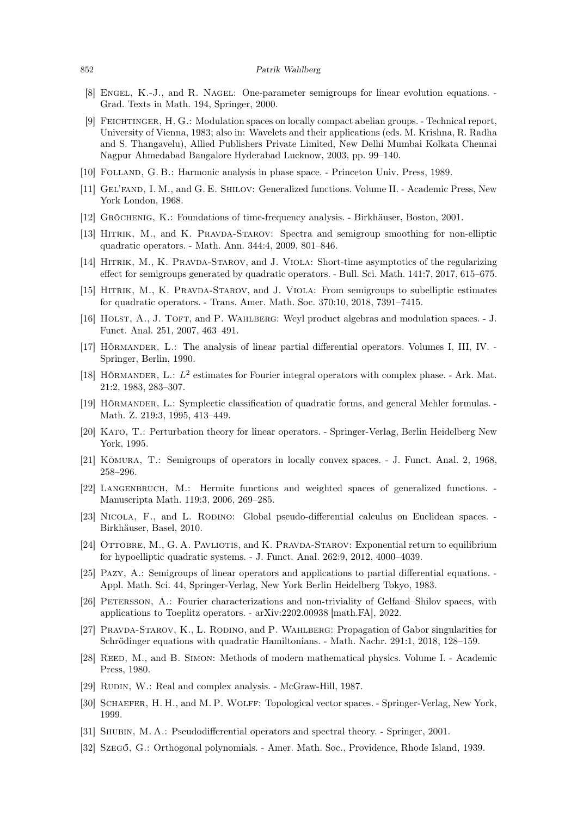- <span id="page-31-18"></span><span id="page-31-7"></span>[8] Engel, K.-J., and R. Nagel: One-parameter semigroups for linear evolution equations. - Grad. Texts in Math. 194, Springer, 2000.
- [9] Feichtinger, H. G.: Modulation spaces on locally compact abelian groups. Technical report, University of Vienna, 1983; also in: Wavelets and their applications (eds. M. Krishna, R. Radha and S. Thangavelu), Allied Publishers Private Limited, New Delhi Mumbai Kolkata Chennai Nagpur Ahmedabad Bangalore Hyderabad Lucknow, 2003, pp. 99–140.
- <span id="page-31-13"></span><span id="page-31-10"></span>[10] Folland, G. B.: Harmonic analysis in phase space. - Princeton Univ. Press, 1989.
- <span id="page-31-6"></span>[11] Gel'fand, I. M., and G. E. Shilov: Generalized functions. Volume II. - Academic Press, New York London, 1968.
- <span id="page-31-2"></span>[12] Gröchenig, K.: Foundations of time-frequency analysis. - Birkhäuser, Boston, 2001.
- <span id="page-31-4"></span>[13] Hitrik, M., and K. Pravda-Starov: Spectra and semigroup smoothing for non-elliptic quadratic operators. - Math. Ann. 344:4, 2009, 801–846.
- <span id="page-31-5"></span>[14] HITRIK, M., K. PRAVDA-STAROV, and J. VIOLA: Short-time asymptotics of the regularizing effect for semigroups generated by quadratic operators. - Bull. Sci. Math. 141:7, 2017, 615–675.
- <span id="page-31-22"></span>[15] Hitrik, M., K. Pravda-Starov, and J. Viola: From semigroups to subelliptic estimates for quadratic operators. - Trans. Amer. Math. Soc. 370:10, 2018, 7391–7415.
- <span id="page-31-11"></span>[16] HOLST, A., J. TOFT, and P. WAHLBERG: Weyl product algebras and modulation spaces. - J. Funct. Anal. 251, 2007, 463–491.
- <span id="page-31-12"></span>[17] Hörmander, L.: The analysis of linear partial differential operators. Volumes I, III, IV. - Springer, Berlin, 1990.
- <span id="page-31-0"></span>[18] HÖRMANDER, L.:  $L^2$  estimates for Fourier integral operators with complex phase. - Ark. Mat. 21:2, 1983, 283–307.
- <span id="page-31-21"></span>[19] Hörmander, L.: Symplectic classification of quadratic forms, and general Mehler formulas. - Math. Z. 219:3, 1995, 413–449.
- <span id="page-31-20"></span>[20] Kato, T.: Perturbation theory for linear operators. - Springer-Verlag, Berlin Heidelberg New York, 1995.
- <span id="page-31-16"></span>[21] KOMURA, T.: Semigroups of operators in locally convex spaces. - J. Funct. Anal. 2, 1968, 258–296.
- <span id="page-31-8"></span>[22] LANGENBRUCH, M.: Hermite functions and weighted spaces of generalized functions. Manuscripta Math. 119:3, 2006, 269–285.
- <span id="page-31-3"></span>[23] Nicola, F., and L. Rodino: Global pseudo-differential calculus on Euclidean spaces. - Birkhäuser, Basel, 2010.
- <span id="page-31-19"></span>[24] OTTOBRE, M., G. A. PAVLIOTIS, and K. PRAVDA-STAROV: Exponential return to equilibrium for hypoelliptic quadratic systems. - J. Funct. Anal. 262:9, 2012, 4000–4039.
- <span id="page-31-14"></span>[25] Pazy, A.: Semigroups of linear operators and applications to partial differential equations. - Appl. Math. Sci. 44, Springer-Verlag, New York Berlin Heidelberg Tokyo, 1983.
- [26] Petersson, A.: Fourier characterizations and non-triviality of Gelfand–Shilov spaces, with applications to Toeplitz operators. - arXiv:2202.00938 [math.FA], 2022.
- <span id="page-31-17"></span><span id="page-31-1"></span>[27] PRAVDA-STAROV, K., L. RODINO, and P. WAHLBERG: Propagation of Gabor singularities for Schrödinger equations with quadratic Hamiltonians. - Math. Nachr. 291:1, 2018, 128–159.
- <span id="page-31-24"></span>[28] REED, M., and B. SIMON: Methods of modern mathematical physics. Volume I. - Academic Press, 1980.
- <span id="page-31-15"></span>[29] RUDIN, W.: Real and complex analysis. - McGraw-Hill, 1987.
- <span id="page-31-9"></span>[30] Schaefer, H. H., and M. P. Wolff: Topological vector spaces. - Springer-Verlag, New York, 1999.
- <span id="page-31-23"></span>[31] Shubin, M. A.: Pseudodifferential operators and spectral theory. - Springer, 2001.
- [32] Szegő, G.: Orthogonal polynomials. Amer. Math. Soc., Providence, Rhode Island, 1939.